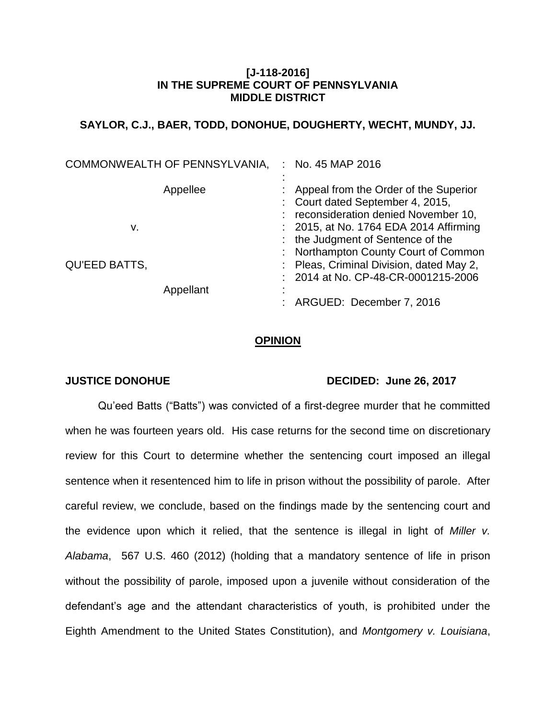# **[J-118-2016] IN THE SUPREME COURT OF PENNSYLVANIA MIDDLE DISTRICT**

# **SAYLOR, C.J., BAER, TODD, DONOHUE, DOUGHERTY, WECHT, MUNDY, JJ.**

| COMMONWEALTH OF PENNSYLVANIA, |           | : No. 45 MAP 2016                                                                                                     |
|-------------------------------|-----------|-----------------------------------------------------------------------------------------------------------------------|
|                               | Appellee  | Appeal from the Order of the Superior<br>: Court dated September 4, 2015,<br>reconsideration denied November 10,      |
| v.                            |           | : 2015, at No. 1764 EDA 2014 Affirming<br>: the Judgment of Sentence of the                                           |
| <b>QU'EED BATTS,</b>          |           | : Northampton County Court of Common<br>: Pleas, Criminal Division, dated May 2,<br>2014 at No. CP-48-CR-0001215-2006 |
|                               | Appellant | ARGUED: December 7, 2016                                                                                              |

# **OPINION**

# **JUSTICE DONOHUE DECIDED: June 26, 2017**

Qu'eed Batts ("Batts") was convicted of a first-degree murder that he committed when he was fourteen years old. His case returns for the second time on discretionary review for this Court to determine whether the sentencing court imposed an illegal sentence when it resentenced him to life in prison without the possibility of parole. After careful review, we conclude, based on the findings made by the sentencing court and the evidence upon which it relied, that the sentence is illegal in light of *Miller v. Alabama*, 567 U.S. 460 (2012) (holding that a mandatory sentence of life in prison without the possibility of parole, imposed upon a juvenile without consideration of the defendant's age and the attendant characteristics of youth, is prohibited under the Eighth Amendment to the United States Constitution), and *Montgomery v. Louisiana*,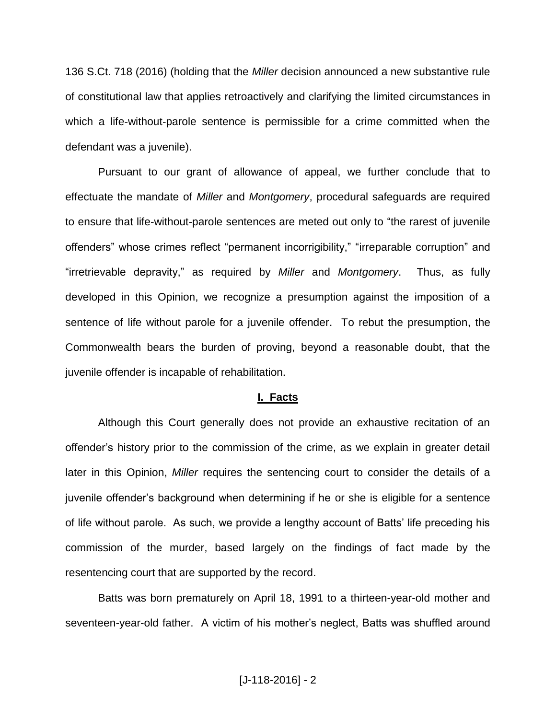136 S.Ct. 718 (2016) (holding that the *Miller* decision announced a new substantive rule of constitutional law that applies retroactively and clarifying the limited circumstances in which a life-without-parole sentence is permissible for a crime committed when the defendant was a juvenile).

Pursuant to our grant of allowance of appeal, we further conclude that to effectuate the mandate of *Miller* and *Montgomery*, procedural safeguards are required to ensure that life-without-parole sentences are meted out only to "the rarest of juvenile offenders" whose crimes reflect "permanent incorrigibility," "irreparable corruption" and "irretrievable depravity," as required by *Miller* and *Montgomery*. Thus, as fully developed in this Opinion, we recognize a presumption against the imposition of a sentence of life without parole for a juvenile offender. To rebut the presumption, the Commonwealth bears the burden of proving, beyond a reasonable doubt, that the juvenile offender is incapable of rehabilitation.

#### **I. Facts**

Although this Court generally does not provide an exhaustive recitation of an offender's history prior to the commission of the crime, as we explain in greater detail later in this Opinion, *Miller* requires the sentencing court to consider the details of a juvenile offender's background when determining if he or she is eligible for a sentence of life without parole. As such, we provide a lengthy account of Batts' life preceding his commission of the murder, based largely on the findings of fact made by the resentencing court that are supported by the record.

Batts was born prematurely on April 18, 1991 to a thirteen-year-old mother and seventeen-year-old father. A victim of his mother's neglect, Batts was shuffled around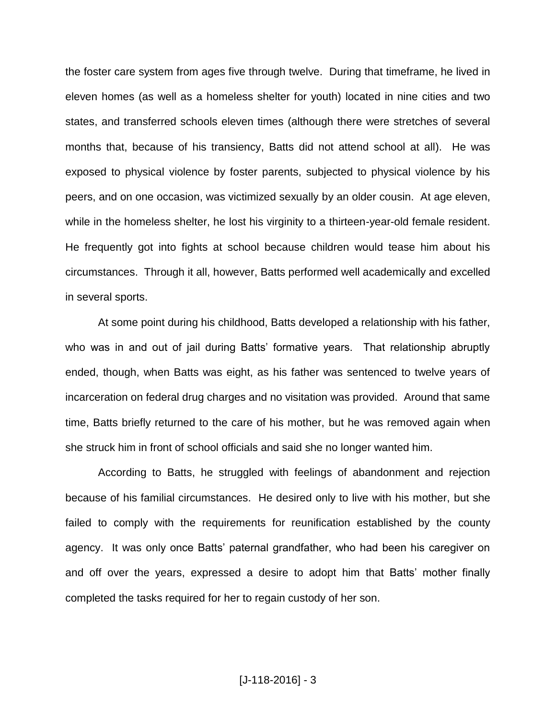the foster care system from ages five through twelve. During that timeframe, he lived in eleven homes (as well as a homeless shelter for youth) located in nine cities and two states, and transferred schools eleven times (although there were stretches of several months that, because of his transiency, Batts did not attend school at all). He was exposed to physical violence by foster parents, subjected to physical violence by his peers, and on one occasion, was victimized sexually by an older cousin. At age eleven, while in the homeless shelter, he lost his virginity to a thirteen-year-old female resident. He frequently got into fights at school because children would tease him about his circumstances. Through it all, however, Batts performed well academically and excelled in several sports.

At some point during his childhood, Batts developed a relationship with his father, who was in and out of jail during Batts' formative years. That relationship abruptly ended, though, when Batts was eight, as his father was sentenced to twelve years of incarceration on federal drug charges and no visitation was provided. Around that same time, Batts briefly returned to the care of his mother, but he was removed again when she struck him in front of school officials and said she no longer wanted him.

According to Batts, he struggled with feelings of abandonment and rejection because of his familial circumstances. He desired only to live with his mother, but she failed to comply with the requirements for reunification established by the county agency. It was only once Batts' paternal grandfather, who had been his caregiver on and off over the years, expressed a desire to adopt him that Batts' mother finally completed the tasks required for her to regain custody of her son.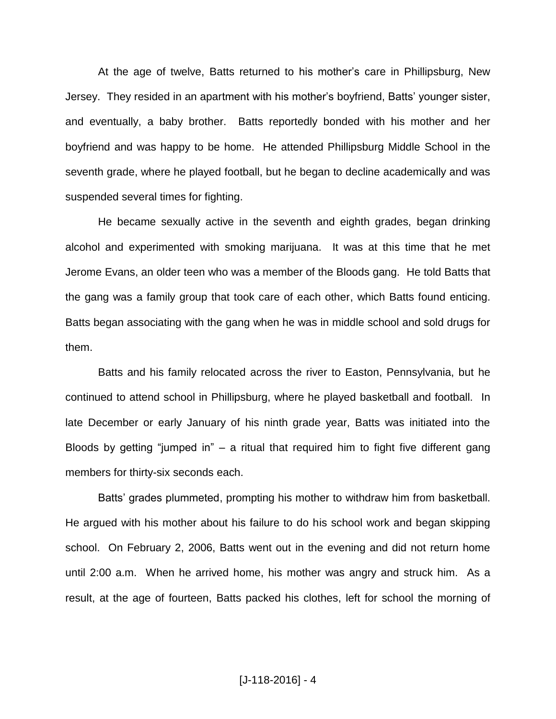At the age of twelve, Batts returned to his mother's care in Phillipsburg, New Jersey. They resided in an apartment with his mother's boyfriend, Batts' younger sister, and eventually, a baby brother. Batts reportedly bonded with his mother and her boyfriend and was happy to be home. He attended Phillipsburg Middle School in the seventh grade, where he played football, but he began to decline academically and was suspended several times for fighting.

He became sexually active in the seventh and eighth grades, began drinking alcohol and experimented with smoking marijuana. It was at this time that he met Jerome Evans, an older teen who was a member of the Bloods gang. He told Batts that the gang was a family group that took care of each other, which Batts found enticing. Batts began associating with the gang when he was in middle school and sold drugs for them.

Batts and his family relocated across the river to Easton, Pennsylvania, but he continued to attend school in Phillipsburg, where he played basketball and football. In late December or early January of his ninth grade year, Batts was initiated into the Bloods by getting "jumped in"  $-$  a ritual that required him to fight five different gang members for thirty-six seconds each.

Batts' grades plummeted, prompting his mother to withdraw him from basketball. He argued with his mother about his failure to do his school work and began skipping school. On February 2, 2006, Batts went out in the evening and did not return home until 2:00 a.m. When he arrived home, his mother was angry and struck him. As a result, at the age of fourteen, Batts packed his clothes, left for school the morning of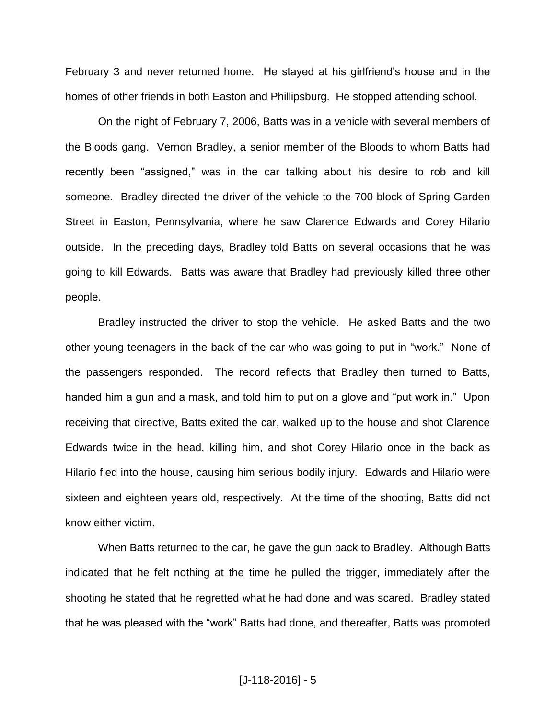February 3 and never returned home. He stayed at his girlfriend's house and in the homes of other friends in both Easton and Phillipsburg. He stopped attending school.

On the night of February 7, 2006, Batts was in a vehicle with several members of the Bloods gang. Vernon Bradley, a senior member of the Bloods to whom Batts had recently been "assigned," was in the car talking about his desire to rob and kill someone. Bradley directed the driver of the vehicle to the 700 block of Spring Garden Street in Easton, Pennsylvania, where he saw Clarence Edwards and Corey Hilario outside. In the preceding days, Bradley told Batts on several occasions that he was going to kill Edwards. Batts was aware that Bradley had previously killed three other people.

Bradley instructed the driver to stop the vehicle. He asked Batts and the two other young teenagers in the back of the car who was going to put in "work." None of the passengers responded. The record reflects that Bradley then turned to Batts, handed him a gun and a mask, and told him to put on a glove and "put work in." Upon receiving that directive, Batts exited the car, walked up to the house and shot Clarence Edwards twice in the head, killing him, and shot Corey Hilario once in the back as Hilario fled into the house, causing him serious bodily injury. Edwards and Hilario were sixteen and eighteen years old, respectively. At the time of the shooting, Batts did not know either victim.

When Batts returned to the car, he gave the gun back to Bradley. Although Batts indicated that he felt nothing at the time he pulled the trigger, immediately after the shooting he stated that he regretted what he had done and was scared. Bradley stated that he was pleased with the "work" Batts had done, and thereafter, Batts was promoted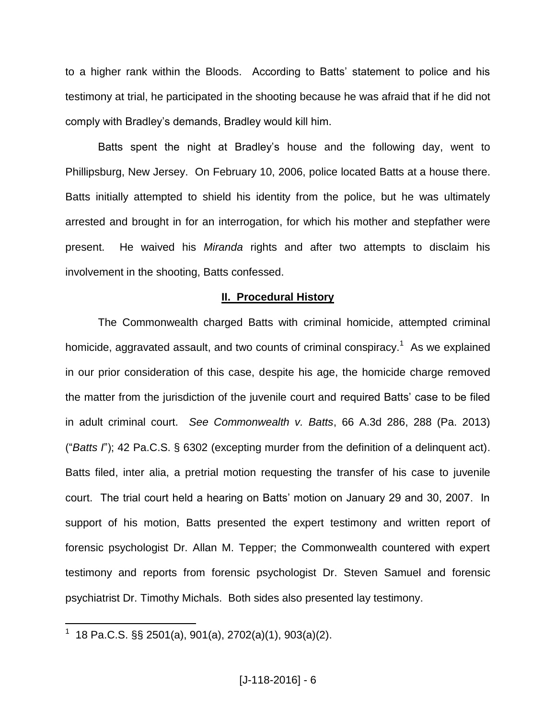to a higher rank within the Bloods. According to Batts' statement to police and his testimony at trial, he participated in the shooting because he was afraid that if he did not comply with Bradley's demands, Bradley would kill him.

Batts spent the night at Bradley's house and the following day, went to Phillipsburg, New Jersey. On February 10, 2006, police located Batts at a house there. Batts initially attempted to shield his identity from the police, but he was ultimately arrested and brought in for an interrogation, for which his mother and stepfather were present. He waived his *Miranda* rights and after two attempts to disclaim his involvement in the shooting, Batts confessed.

# **II. Procedural History**

The Commonwealth charged Batts with criminal homicide, attempted criminal homicide, aggravated assault, and two counts of criminal conspiracy.<sup>1</sup> As we explained in our prior consideration of this case, despite his age, the homicide charge removed the matter from the jurisdiction of the juvenile court and required Batts' case to be filed in adult criminal court. *See Commonwealth v. Batts*, 66 A.3d 286, 288 (Pa. 2013) ("*Batts I*"); 42 Pa.C.S. § 6302 (excepting murder from the definition of a delinquent act). Batts filed, inter alia, a pretrial motion requesting the transfer of his case to juvenile court. The trial court held a hearing on Batts' motion on January 29 and 30, 2007. In support of his motion, Batts presented the expert testimony and written report of forensic psychologist Dr. Allan M. Tepper; the Commonwealth countered with expert testimony and reports from forensic psychologist Dr. Steven Samuel and forensic psychiatrist Dr. Timothy Michals. Both sides also presented lay testimony.

 1 18 Pa.C.S. §§ 2501(a), 901(a), 2702(a)(1), 903(a)(2).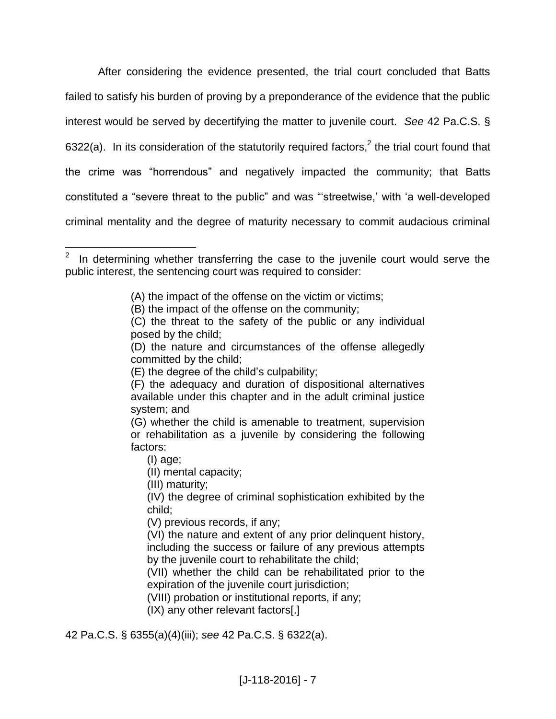After considering the evidence presented, the trial court concluded that Batts failed to satisfy his burden of proving by a preponderance of the evidence that the public interest would be served by decertifying the matter to juvenile court. *See* 42 Pa.C.S. § 6322(a). In its consideration of the statutorily required factors,<sup>2</sup> the trial court found that the crime was "horrendous" and negatively impacted the community; that Batts constituted a "severe threat to the public" and was "'streetwise,' with 'a well-developed criminal mentality and the degree of maturity necessary to commit audacious criminal

(A) the impact of the offense on the victim or victims;

 $\overline{a}$ 

- (VIII) probation or institutional reports, if any;
- (IX) any other relevant factors[.]

42 Pa.C.S. § 6355(a)(4)(iii); *see* 42 Pa.C.S. § 6322(a).

<sup>2</sup> In determining whether transferring the case to the juvenile court would serve the public interest, the sentencing court was required to consider:

<sup>(</sup>B) the impact of the offense on the community;

<sup>(</sup>C) the threat to the safety of the public or any individual posed by the child;

<sup>(</sup>D) the nature and circumstances of the offense allegedly committed by the child;

<sup>(</sup>E) the degree of the child's culpability;

<sup>(</sup>F) the adequacy and duration of dispositional alternatives available under this chapter and in the adult criminal justice system; and

<sup>(</sup>G) whether the child is amenable to treatment, supervision or rehabilitation as a juvenile by considering the following factors:

<sup>(</sup>I) age;

<sup>(</sup>II) mental capacity;

<sup>(</sup>III) maturity;

<sup>(</sup>IV) the degree of criminal sophistication exhibited by the child;

<sup>(</sup>V) previous records, if any;

<sup>(</sup>VI) the nature and extent of any prior delinquent history, including the success or failure of any previous attempts by the juvenile court to rehabilitate the child;

<sup>(</sup>VII) whether the child can be rehabilitated prior to the expiration of the juvenile court jurisdiction;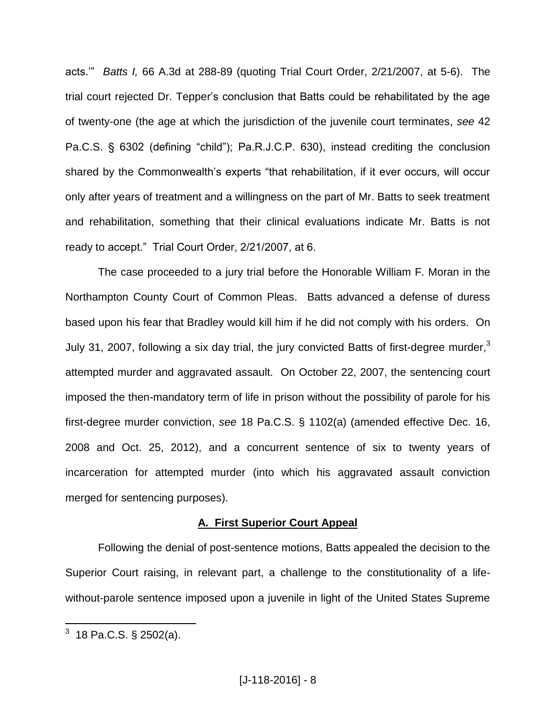acts.'" *Batts I,* 66 A.3d at 288-89 (quoting Trial Court Order, 2/21/2007, at 5-6). The trial court rejected Dr. Tepper's conclusion that Batts could be rehabilitated by the age of twenty-one (the age at which the jurisdiction of the juvenile court terminates, *see* 42 Pa.C.S. § 6302 (defining "child"); Pa.R.J.C.P. 630), instead crediting the conclusion shared by the Commonwealth's experts "that rehabilitation, if it ever occurs, will occur only after years of treatment and a willingness on the part of Mr. Batts to seek treatment and rehabilitation, something that their clinical evaluations indicate Mr. Batts is not ready to accept." Trial Court Order, 2/21/2007, at 6.

The case proceeded to a jury trial before the Honorable William F. Moran in the Northampton County Court of Common Pleas. Batts advanced a defense of duress based upon his fear that Bradley would kill him if he did not comply with his orders. On July 31, 2007, following a six day trial, the jury convicted Batts of first-degree murder,<sup>3</sup> attempted murder and aggravated assault. On October 22, 2007, the sentencing court imposed the then-mandatory term of life in prison without the possibility of parole for his first-degree murder conviction, *see* 18 Pa.C.S. § 1102(a) (amended effective Dec. 16, 2008 and Oct. 25, 2012), and a concurrent sentence of six to twenty years of incarceration for attempted murder (into which his aggravated assault conviction merged for sentencing purposes).

# **A. First Superior Court Appeal**

Following the denial of post-sentence motions, Batts appealed the decision to the Superior Court raising, in relevant part, a challenge to the constitutionality of a lifewithout-parole sentence imposed upon a juvenile in light of the United States Supreme

 $\overline{a}$ 

 $^3$  18 Pa.C.S. § 2502(a).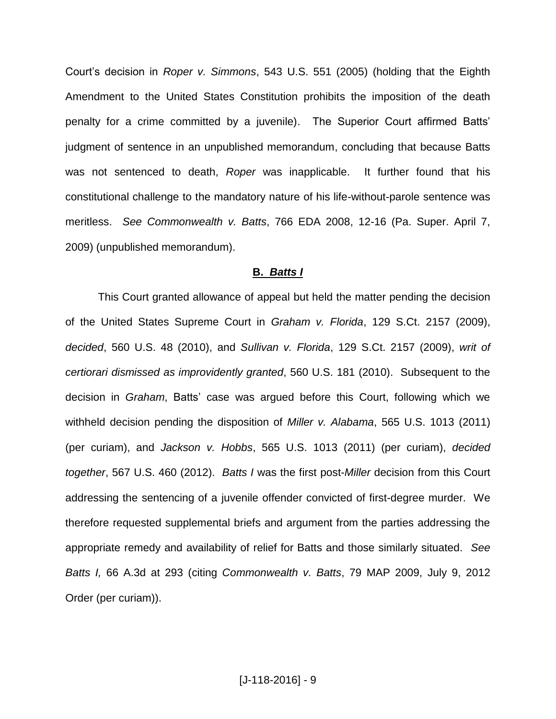Court's decision in *Roper v. Simmons*, 543 U.S. 551 (2005) (holding that the Eighth Amendment to the United States Constitution prohibits the imposition of the death penalty for a crime committed by a juvenile). The Superior Court affirmed Batts' judgment of sentence in an unpublished memorandum, concluding that because Batts was not sentenced to death, *Roper* was inapplicable. It further found that his constitutional challenge to the mandatory nature of his life-without-parole sentence was meritless. *See Commonwealth v. Batts*, 766 EDA 2008, 12-16 (Pa. Super. April 7, 2009) (unpublished memorandum).

## **B.** *Batts I*

This Court granted allowance of appeal but held the matter pending the decision of the United States Supreme Court in *Graham v. Florida*, 129 S.Ct. 2157 (2009), *decided*, 560 U.S. 48 (2010), and *Sullivan v. Florida*, 129 S.Ct. 2157 (2009), *writ of certiorari dismissed as improvidently granted*, 560 U.S. 181 (2010). Subsequent to the decision in *Graham*, Batts' case was argued before this Court, following which we withheld decision pending the disposition of *Miller v. Alabama*, 565 U.S. 1013 (2011) (per curiam), and *Jackson v. Hobbs*, 565 U.S. 1013 (2011) (per curiam), *decided together*, 567 U.S. 460 (2012). *Batts I* was the first post-*Miller* decision from this Court addressing the sentencing of a juvenile offender convicted of first-degree murder. We therefore requested supplemental briefs and argument from the parties addressing the appropriate remedy and availability of relief for Batts and those similarly situated. *See Batts I,* 66 A.3d at 293 (citing *Commonwealth v. Batts*, 79 MAP 2009, July 9, 2012 Order (per curiam)).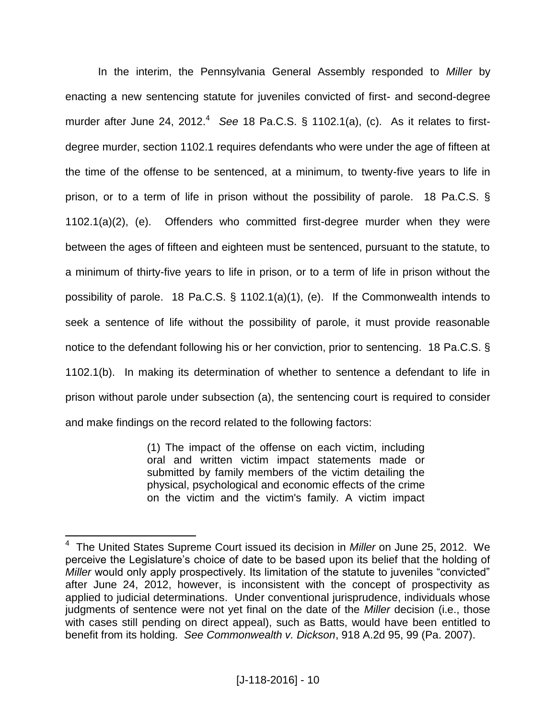In the interim, the Pennsylvania General Assembly responded to *Miller* by enacting a new sentencing statute for juveniles convicted of first- and second-degree murder after June 24, 2012.<sup>4</sup> See 18 Pa.C.S. § 1102.1(a), (c). As it relates to firstdegree murder, section 1102.1 requires defendants who were under the age of fifteen at the time of the offense to be sentenced, at a minimum, to twenty-five years to life in prison, or to a term of life in prison without the possibility of parole. 18 Pa.C.S. § 1102.1(a)(2), (e). Offenders who committed first-degree murder when they were between the ages of fifteen and eighteen must be sentenced, pursuant to the statute, to a minimum of thirty-five years to life in prison, or to a term of life in prison without the possibility of parole. 18 Pa.C.S. § 1102.1(a)(1), (e). If the Commonwealth intends to seek a sentence of life without the possibility of parole, it must provide reasonable notice to the defendant following his or her conviction, prior to sentencing. 18 Pa.C.S. § 1102.1(b). In making its determination of whether to sentence a defendant to life in prison without parole under subsection (a), the sentencing court is required to consider and make findings on the record related to the following factors:

> (1) The impact of the offense on each victim, including oral and written victim impact statements made or submitted by family members of the victim detailing the physical, psychological and economic effects of the crime on the victim and the victim's family. A victim impact

 $\overline{a}$ 

<sup>4</sup> The United States Supreme Court issued its decision in *Miller* on June 25, 2012. We perceive the Legislature's choice of date to be based upon its belief that the holding of *Miller* would only apply prospectively. Its limitation of the statute to juveniles "convicted" after June 24, 2012, however, is inconsistent with the concept of prospectivity as applied to judicial determinations. Under conventional jurisprudence, individuals whose judgments of sentence were not yet final on the date of the *Miller* decision (i.e., those with cases still pending on direct appeal), such as Batts, would have been entitled to benefit from its holding. *See Commonwealth v. Dickson*, 918 A.2d 95, 99 (Pa. 2007).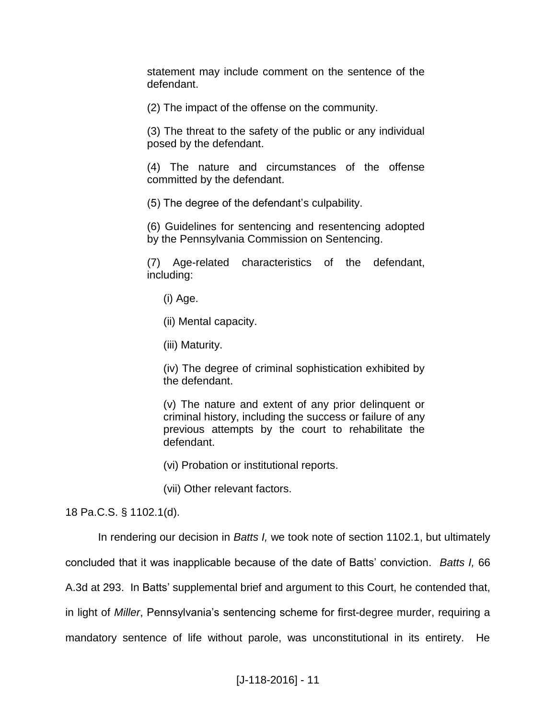statement may include comment on the sentence of the defendant.

(2) The impact of the offense on the community.

(3) The threat to the safety of the public or any individual posed by the defendant.

(4) The nature and circumstances of the offense committed by the defendant.

(5) The degree of the defendant's culpability.

(6) Guidelines for sentencing and resentencing adopted by the Pennsylvania Commission on Sentencing.

(7) Age-related characteristics of the defendant, including:

(i) Age.

(ii) Mental capacity.

(iii) Maturity.

(iv) The degree of criminal sophistication exhibited by the defendant.

(v) The nature and extent of any prior delinquent or criminal history, including the success or failure of any previous attempts by the court to rehabilitate the defendant.

(vi) Probation or institutional reports.

(vii) Other relevant factors.

18 Pa.C.S. § 1102.1(d).

In rendering our decision in *Batts I,* we took note of section 1102.1, but ultimately

concluded that it was inapplicable because of the date of Batts' conviction. *Batts I,* 66

A.3d at 293. In Batts' supplemental brief and argument to this Court, he contended that,

in light of *Miller*, Pennsylvania's sentencing scheme for first-degree murder, requiring a

mandatory sentence of life without parole, was unconstitutional in its entirety. He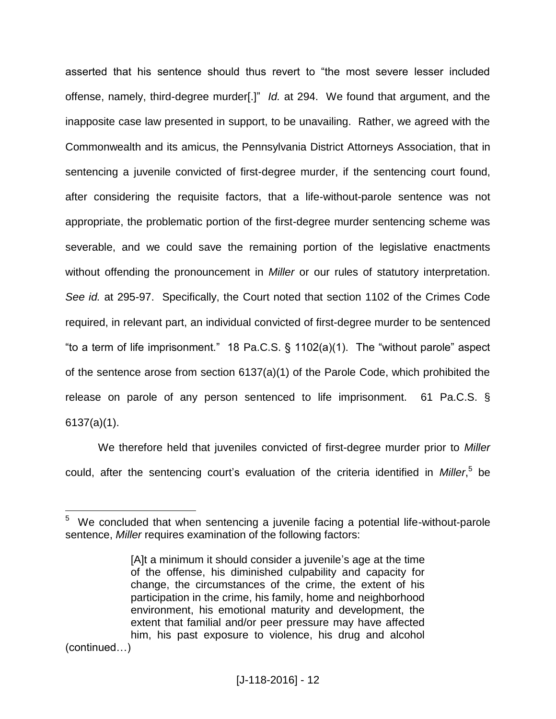asserted that his sentence should thus revert to "the most severe lesser included offense, namely, third-degree murder[.]" *Id.* at 294. We found that argument, and the inapposite case law presented in support, to be unavailing. Rather, we agreed with the Commonwealth and its amicus, the Pennsylvania District Attorneys Association, that in sentencing a juvenile convicted of first-degree murder, if the sentencing court found, after considering the requisite factors, that a life-without-parole sentence was not appropriate, the problematic portion of the first-degree murder sentencing scheme was severable, and we could save the remaining portion of the legislative enactments without offending the pronouncement in *Miller* or our rules of statutory interpretation. *See id.* at 295-97. Specifically, the Court noted that section 1102 of the Crimes Code required, in relevant part, an individual convicted of first-degree murder to be sentenced "to a term of life imprisonment." 18 Pa.C.S. § 1102(a)(1). The "without parole" aspect of the sentence arose from section 6137(a)(1) of the Parole Code, which prohibited the release on parole of any person sentenced to life imprisonment. 61 Pa.C.S. § 6137(a)(1).

We therefore held that juveniles convicted of first-degree murder prior to *Miller* could, after the sentencing court's evaluation of the criteria identified in *Miller*, 5 be

(continued…)

 $\frac{1}{5}$  We concluded that when sentencing a juvenile facing a potential life-without-parole sentence, *Miller* requires examination of the following factors:

<sup>[</sup>A]t a minimum it should consider a juvenile's age at the time of the offense, his diminished culpability and capacity for change, the circumstances of the crime, the extent of his participation in the crime, his family, home and neighborhood environment, his emotional maturity and development, the extent that familial and/or peer pressure may have affected him, his past exposure to violence, his drug and alcohol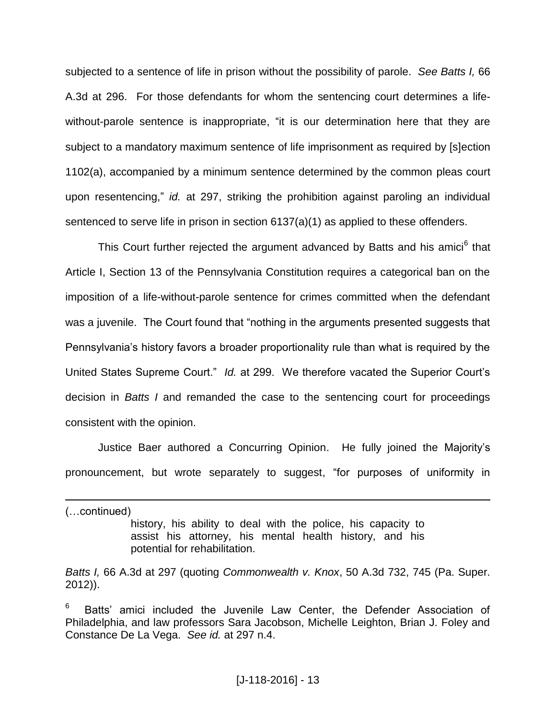subjected to a sentence of life in prison without the possibility of parole. *See Batts I,* 66 A.3d at 296. For those defendants for whom the sentencing court determines a lifewithout-parole sentence is inappropriate, "it is our determination here that they are subject to a mandatory maximum sentence of life imprisonment as required by [s]ection 1102(a), accompanied by a minimum sentence determined by the common pleas court upon resentencing," *id.* at 297, striking the prohibition against paroling an individual sentenced to serve life in prison in section 6137(a)(1) as applied to these offenders.

This Court further rejected the argument advanced by Batts and his amici<sup>6</sup> that Article I, Section 13 of the Pennsylvania Constitution requires a categorical ban on the imposition of a life-without-parole sentence for crimes committed when the defendant was a juvenile. The Court found that "nothing in the arguments presented suggests that Pennsylvania's history favors a broader proportionality rule than what is required by the United States Supreme Court." *Id.* at 299. We therefore vacated the Superior Court's decision in *Batts I* and remanded the case to the sentencing court for proceedings consistent with the opinion.

Justice Baer authored a Concurring Opinion. He fully joined the Majority's pronouncement, but wrote separately to suggest, "for purposes of uniformity in

(…continued)

 $\overline{a}$ 

history, his ability to deal with the police, his capacity to assist his attorney, his mental health history, and his potential for rehabilitation.

*Batts I,* 66 A.3d at 297 (quoting *Commonwealth v. Knox*, 50 A.3d 732, 745 (Pa. Super. 2012)).

<sup>6</sup> Batts' amici included the Juvenile Law Center, the Defender Association of Philadelphia, and law professors Sara Jacobson, Michelle Leighton, Brian J. Foley and Constance De La Vega. *See id.* at 297 n.4.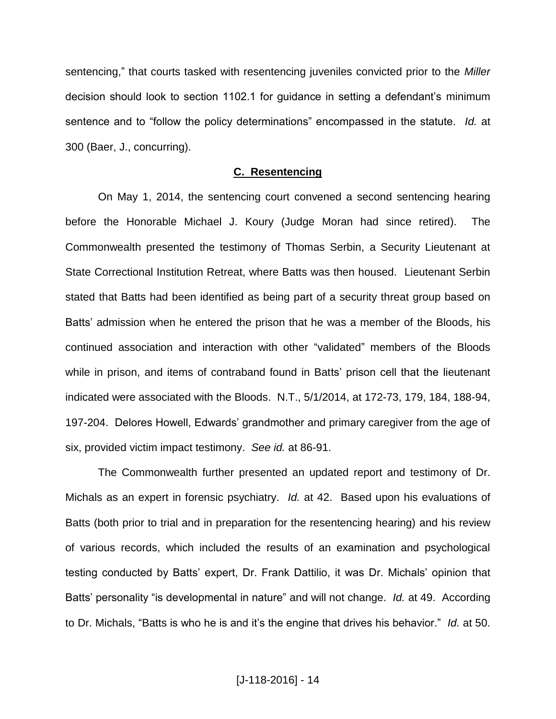sentencing," that courts tasked with resentencing juveniles convicted prior to the *Miller* decision should look to section 1102.1 for guidance in setting a defendant's minimum sentence and to "follow the policy determinations" encompassed in the statute. *Id.* at 300 (Baer, J., concurring).

## **C. Resentencing**

On May 1, 2014, the sentencing court convened a second sentencing hearing before the Honorable Michael J. Koury (Judge Moran had since retired). The Commonwealth presented the testimony of Thomas Serbin, a Security Lieutenant at State Correctional Institution Retreat, where Batts was then housed. Lieutenant Serbin stated that Batts had been identified as being part of a security threat group based on Batts' admission when he entered the prison that he was a member of the Bloods, his continued association and interaction with other "validated" members of the Bloods while in prison, and items of contraband found in Batts' prison cell that the lieutenant indicated were associated with the Bloods. N.T., 5/1/2014, at 172-73, 179, 184, 188-94, 197-204. Delores Howell, Edwards' grandmother and primary caregiver from the age of six, provided victim impact testimony. *See id.* at 86-91.

The Commonwealth further presented an updated report and testimony of Dr. Michals as an expert in forensic psychiatry. *Id.* at 42. Based upon his evaluations of Batts (both prior to trial and in preparation for the resentencing hearing) and his review of various records, which included the results of an examination and psychological testing conducted by Batts' expert, Dr. Frank Dattilio, it was Dr. Michals' opinion that Batts' personality "is developmental in nature" and will not change. *Id.* at 49. According to Dr. Michals, "Batts is who he is and it's the engine that drives his behavior." *Id.* at 50.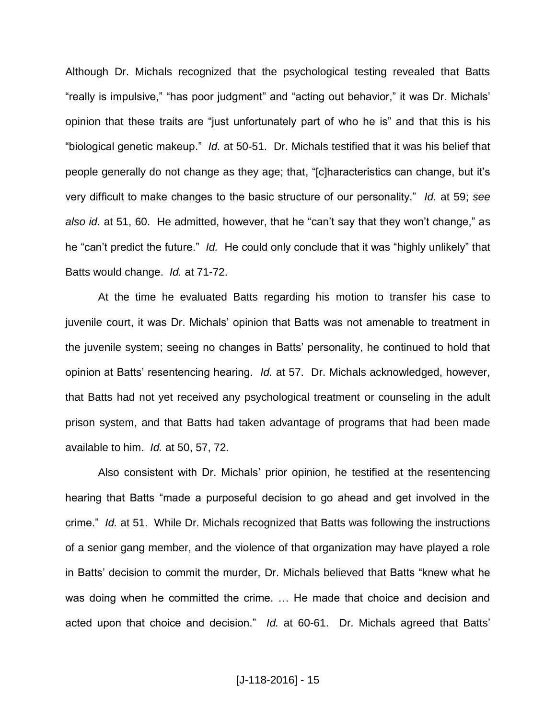Although Dr. Michals recognized that the psychological testing revealed that Batts "really is impulsive," "has poor judgment" and "acting out behavior," it was Dr. Michals' opinion that these traits are "just unfortunately part of who he is" and that this is his "biological genetic makeup." *Id.* at 50-51. Dr. Michals testified that it was his belief that people generally do not change as they age; that, "[c]haracteristics can change, but it's very difficult to make changes to the basic structure of our personality." *Id.* at 59; *see also id.* at 51, 60. He admitted, however, that he "can't say that they won't change," as he "can't predict the future." *Id.* He could only conclude that it was "highly unlikely" that Batts would change. *Id.* at 71-72.

At the time he evaluated Batts regarding his motion to transfer his case to juvenile court, it was Dr. Michals' opinion that Batts was not amenable to treatment in the juvenile system; seeing no changes in Batts' personality, he continued to hold that opinion at Batts' resentencing hearing. *Id.* at 57. Dr. Michals acknowledged, however, that Batts had not yet received any psychological treatment or counseling in the adult prison system, and that Batts had taken advantage of programs that had been made available to him. *Id.* at 50, 57, 72.

Also consistent with Dr. Michals' prior opinion, he testified at the resentencing hearing that Batts "made a purposeful decision to go ahead and get involved in the crime." *Id.* at 51. While Dr. Michals recognized that Batts was following the instructions of a senior gang member, and the violence of that organization may have played a role in Batts' decision to commit the murder, Dr. Michals believed that Batts "knew what he was doing when he committed the crime. … He made that choice and decision and acted upon that choice and decision." *Id.* at 60-61. Dr. Michals agreed that Batts'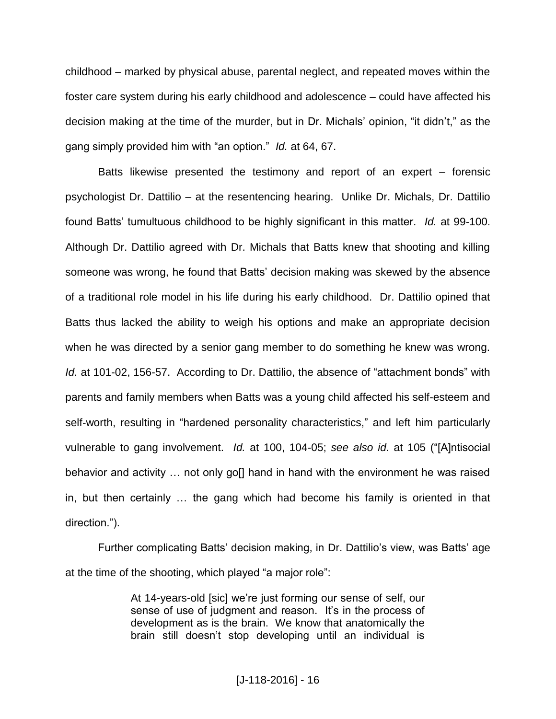childhood ‒ marked by physical abuse, parental neglect, and repeated moves within the foster care system during his early childhood and adolescence – could have affected his decision making at the time of the murder, but in Dr. Michals' opinion, "it didn't," as the gang simply provided him with "an option." *Id.* at 64, 67.

Batts likewise presented the testimony and report of an expert  $-$  forensic psychologist Dr. Dattilio ‒ at the resentencing hearing. Unlike Dr. Michals, Dr. Dattilio found Batts' tumultuous childhood to be highly significant in this matter. *Id.* at 99-100. Although Dr. Dattilio agreed with Dr. Michals that Batts knew that shooting and killing someone was wrong, he found that Batts' decision making was skewed by the absence of a traditional role model in his life during his early childhood. Dr. Dattilio opined that Batts thus lacked the ability to weigh his options and make an appropriate decision when he was directed by a senior gang member to do something he knew was wrong. *Id.* at 101-02, 156-57. According to Dr. Dattilio, the absence of "attachment bonds" with parents and family members when Batts was a young child affected his self-esteem and self-worth, resulting in "hardened personality characteristics," and left him particularly vulnerable to gang involvement. *Id.* at 100, 104-05; *see also id.* at 105 ("[A]ntisocial behavior and activity ... not only goll hand in hand with the environment he was raised in, but then certainly … the gang which had become his family is oriented in that direction.").

Further complicating Batts' decision making, in Dr. Dattilio's view, was Batts' age at the time of the shooting, which played "a major role":

> At 14-years-old [sic] we're just forming our sense of self, our sense of use of judgment and reason. It's in the process of development as is the brain. We know that anatomically the brain still doesn't stop developing until an individual is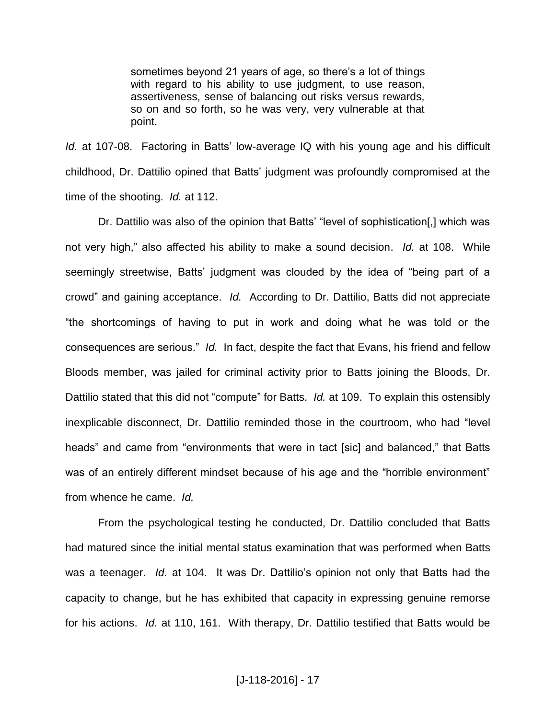sometimes beyond 21 years of age, so there's a lot of things with regard to his ability to use judgment, to use reason, assertiveness, sense of balancing out risks versus rewards, so on and so forth, so he was very, very vulnerable at that point.

*Id.* at 107-08. Factoring in Batts' low-average IQ with his young age and his difficult childhood, Dr. Dattilio opined that Batts' judgment was profoundly compromised at the time of the shooting. *Id.* at 112.

Dr. Dattilio was also of the opinion that Batts' "level of sophistication[,] which was not very high," also affected his ability to make a sound decision. *Id.* at 108. While seemingly streetwise, Batts' judgment was clouded by the idea of "being part of a crowd" and gaining acceptance. *Id.* According to Dr. Dattilio, Batts did not appreciate "the shortcomings of having to put in work and doing what he was told or the consequences are serious." *Id.* In fact, despite the fact that Evans, his friend and fellow Bloods member, was jailed for criminal activity prior to Batts joining the Bloods, Dr. Dattilio stated that this did not "compute" for Batts. *Id.* at 109. To explain this ostensibly inexplicable disconnect, Dr. Dattilio reminded those in the courtroom, who had "level heads" and came from "environments that were in tact [sic] and balanced," that Batts was of an entirely different mindset because of his age and the "horrible environment" from whence he came. *Id.*

From the psychological testing he conducted, Dr. Dattilio concluded that Batts had matured since the initial mental status examination that was performed when Batts was a teenager. *Id.* at 104. It was Dr. Dattilio's opinion not only that Batts had the capacity to change, but he has exhibited that capacity in expressing genuine remorse for his actions. *Id.* at 110, 161. With therapy, Dr. Dattilio testified that Batts would be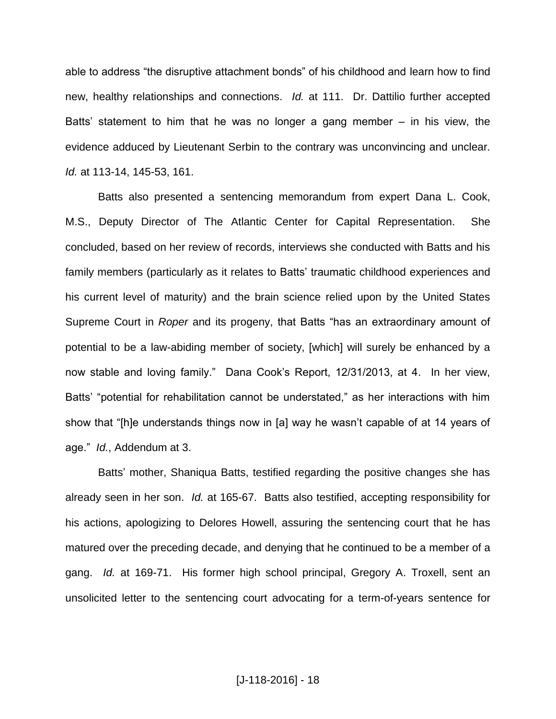able to address "the disruptive attachment bonds" of his childhood and learn how to find new, healthy relationships and connections. *Id.* at 111. Dr. Dattilio further accepted Batts' statement to him that he was no longer a gang member  $-$  in his view, the evidence adduced by Lieutenant Serbin to the contrary was unconvincing and unclear. *Id.* at 113-14, 145-53, 161.

Batts also presented a sentencing memorandum from expert Dana L. Cook, M.S., Deputy Director of The Atlantic Center for Capital Representation. She concluded, based on her review of records, interviews she conducted with Batts and his family members (particularly as it relates to Batts' traumatic childhood experiences and his current level of maturity) and the brain science relied upon by the United States Supreme Court in *Roper* and its progeny, that Batts "has an extraordinary amount of potential to be a law-abiding member of society, [which] will surely be enhanced by a now stable and loving family." Dana Cook's Report, 12/31/2013, at 4. In her view, Batts' "potential for rehabilitation cannot be understated," as her interactions with him show that "[h]e understands things now in [a] way he wasn't capable of at 14 years of age." *Id.*, Addendum at 3.

Batts' mother, Shaniqua Batts, testified regarding the positive changes she has already seen in her son. *Id.* at 165-67. Batts also testified, accepting responsibility for his actions, apologizing to Delores Howell, assuring the sentencing court that he has matured over the preceding decade, and denying that he continued to be a member of a gang. *Id.* at 169-71. His former high school principal, Gregory A. Troxell, sent an unsolicited letter to the sentencing court advocating for a term-of-years sentence for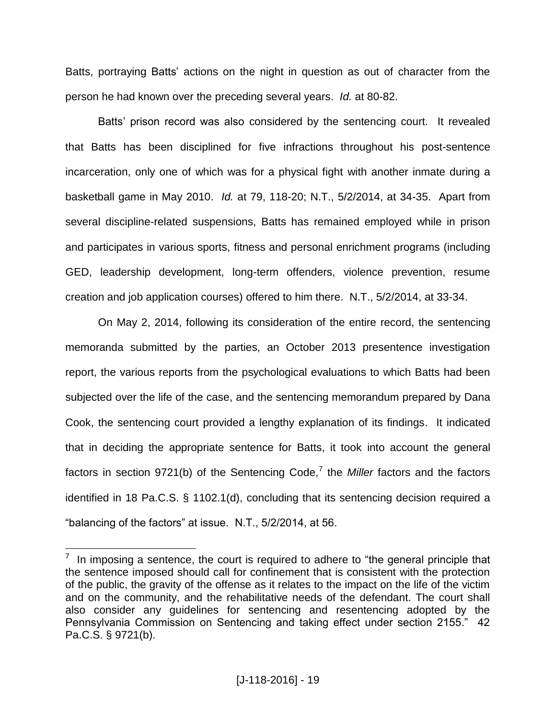Batts, portraying Batts' actions on the night in question as out of character from the person he had known over the preceding several years. *Id.* at 80-82.

Batts' prison record was also considered by the sentencing court. It revealed that Batts has been disciplined for five infractions throughout his post-sentence incarceration, only one of which was for a physical fight with another inmate during a basketball game in May 2010. *Id.* at 79, 118-20; N.T., 5/2/2014, at 34-35. Apart from several discipline-related suspensions, Batts has remained employed while in prison and participates in various sports, fitness and personal enrichment programs (including GED, leadership development, long-term offenders, violence prevention, resume creation and job application courses) offered to him there. N.T., 5/2/2014, at 33-34.

On May 2, 2014, following its consideration of the entire record, the sentencing memoranda submitted by the parties, an October 2013 presentence investigation report, the various reports from the psychological evaluations to which Batts had been subjected over the life of the case, and the sentencing memorandum prepared by Dana Cook, the sentencing court provided a lengthy explanation of its findings. It indicated that in deciding the appropriate sentence for Batts, it took into account the general factors in section 9721(b) of the Sentencing Code,<sup>7</sup> the *Miller* factors and the factors identified in 18 Pa.C.S. § 1102.1(d), concluding that its sentencing decision required a "balancing of the factors" at issue. N.T., 5/2/2014, at 56.

 $\overline{a}$ 

<sup>7</sup> In imposing a sentence, the court is required to adhere to "the general principle that the sentence imposed should call for confinement that is consistent with the protection of the public, the gravity of the offense as it relates to the impact on the life of the victim and on the community, and the rehabilitative needs of the defendant. The court shall also consider any guidelines for sentencing and resentencing adopted by the Pennsylvania Commission on Sentencing and taking effect under section 2155." 42 Pa.C.S. § 9721(b).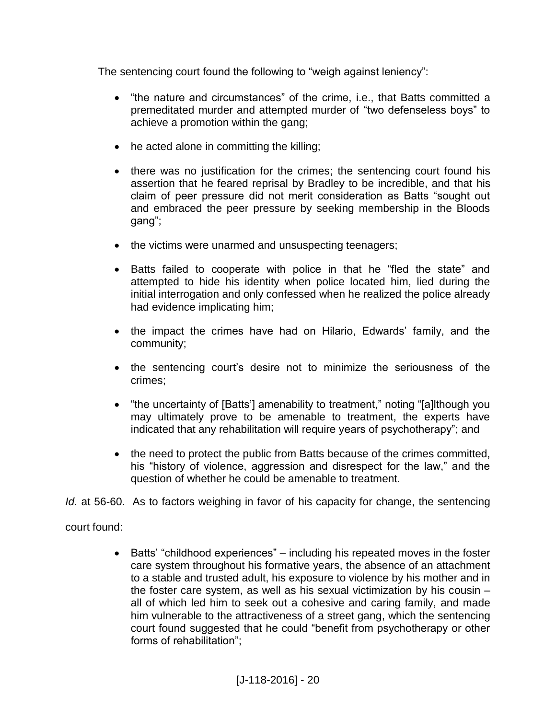The sentencing court found the following to "weigh against leniency":

- "the nature and circumstances" of the crime, i.e., that Batts committed a premeditated murder and attempted murder of "two defenseless boys" to achieve a promotion within the gang;
- he acted alone in committing the killing;
- there was no justification for the crimes; the sentencing court found his assertion that he feared reprisal by Bradley to be incredible, and that his claim of peer pressure did not merit consideration as Batts "sought out and embraced the peer pressure by seeking membership in the Bloods gang";
- the victims were unarmed and unsuspecting teenagers;
- Batts failed to cooperate with police in that he "fled the state" and attempted to hide his identity when police located him, lied during the initial interrogation and only confessed when he realized the police already had evidence implicating him;
- the impact the crimes have had on Hilario, Edwards' family, and the community;
- the sentencing court's desire not to minimize the seriousness of the crimes;
- "the uncertainty of [Batts'] amenability to treatment," noting "[a]lthough you may ultimately prove to be amenable to treatment, the experts have indicated that any rehabilitation will require years of psychotherapy"; and
- the need to protect the public from Batts because of the crimes committed, his "history of violence, aggression and disrespect for the law," and the question of whether he could be amenable to treatment.
- *Id.* at 56-60. As to factors weighing in favor of his capacity for change, the sentencing

# court found:

• Batts' "childhood experiences" – including his repeated moves in the foster care system throughout his formative years, the absence of an attachment to a stable and trusted adult, his exposure to violence by his mother and in the foster care system, as well as his sexual victimization by his cousin  $$ all of which led him to seek out a cohesive and caring family, and made him vulnerable to the attractiveness of a street gang, which the sentencing court found suggested that he could "benefit from psychotherapy or other forms of rehabilitation";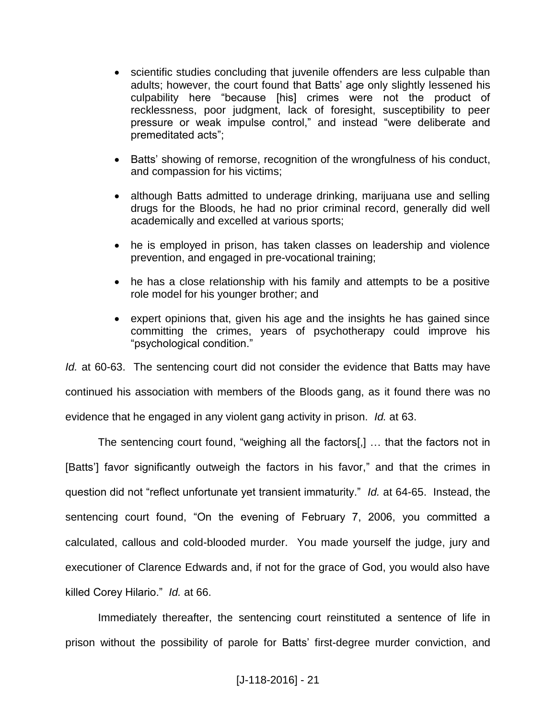- scientific studies concluding that juvenile offenders are less culpable than adults; however, the court found that Batts' age only slightly lessened his culpability here "because [his] crimes were not the product of recklessness, poor judgment, lack of foresight, susceptibility to peer pressure or weak impulse control," and instead "were deliberate and premeditated acts";
- Batts' showing of remorse, recognition of the wrongfulness of his conduct, and compassion for his victims;
- although Batts admitted to underage drinking, marijuana use and selling drugs for the Bloods, he had no prior criminal record, generally did well academically and excelled at various sports;
- he is employed in prison, has taken classes on leadership and violence prevention, and engaged in pre-vocational training;
- he has a close relationship with his family and attempts to be a positive role model for his younger brother; and
- expert opinions that, given his age and the insights he has gained since committing the crimes, years of psychotherapy could improve his "psychological condition."

*Id.* at 60-63. The sentencing court did not consider the evidence that Batts may have continued his association with members of the Bloods gang, as it found there was no evidence that he engaged in any violent gang activity in prison. *Id.* at 63.

The sentencing court found, "weighing all the factors[,] … that the factors not in [Batts'] favor significantly outweigh the factors in his favor," and that the crimes in question did not "reflect unfortunate yet transient immaturity." *Id.* at 64-65. Instead, the sentencing court found, "On the evening of February 7, 2006, you committed a calculated, callous and cold-blooded murder. You made yourself the judge, jury and executioner of Clarence Edwards and, if not for the grace of God, you would also have killed Corey Hilario." *Id.* at 66.

Immediately thereafter, the sentencing court reinstituted a sentence of life in prison without the possibility of parole for Batts' first-degree murder conviction, and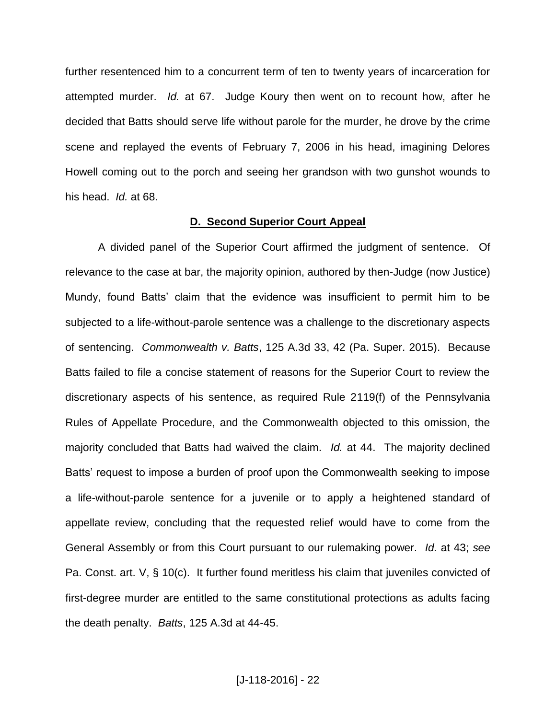further resentenced him to a concurrent term of ten to twenty years of incarceration for attempted murder. *Id.* at 67. Judge Koury then went on to recount how, after he decided that Batts should serve life without parole for the murder, he drove by the crime scene and replayed the events of February 7, 2006 in his head, imagining Delores Howell coming out to the porch and seeing her grandson with two gunshot wounds to his head. *Id.* at 68.

#### **D. Second Superior Court Appeal**

A divided panel of the Superior Court affirmed the judgment of sentence. Of relevance to the case at bar, the majority opinion, authored by then-Judge (now Justice) Mundy, found Batts' claim that the evidence was insufficient to permit him to be subjected to a life-without-parole sentence was a challenge to the discretionary aspects of sentencing. *Commonwealth v. Batts*, 125 A.3d 33, 42 (Pa. Super. 2015). Because Batts failed to file a concise statement of reasons for the Superior Court to review the discretionary aspects of his sentence, as required Rule 2119(f) of the Pennsylvania Rules of Appellate Procedure, and the Commonwealth objected to this omission, the majority concluded that Batts had waived the claim. *Id.* at 44. The majority declined Batts' request to impose a burden of proof upon the Commonwealth seeking to impose a life-without-parole sentence for a juvenile or to apply a heightened standard of appellate review, concluding that the requested relief would have to come from the General Assembly or from this Court pursuant to our rulemaking power. *Id.* at 43; *see* Pa. Const. art. V, § 10(c). It further found meritless his claim that juveniles convicted of first-degree murder are entitled to the same constitutional protections as adults facing the death penalty. *Batts*, 125 A.3d at 44-45.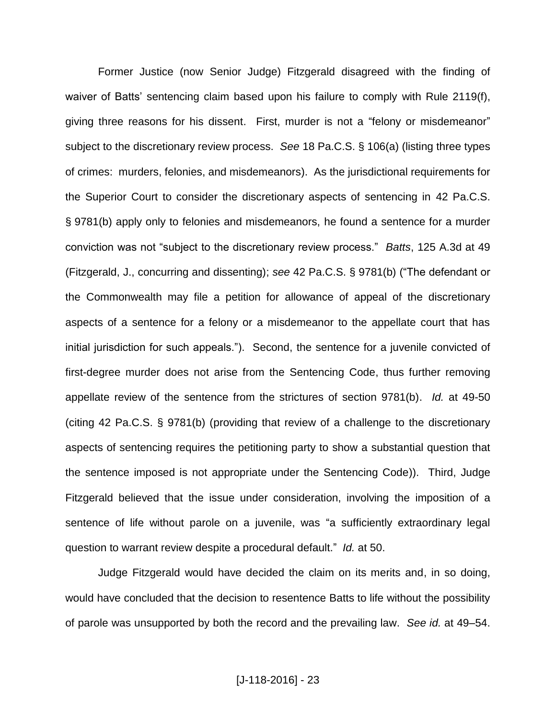Former Justice (now Senior Judge) Fitzgerald disagreed with the finding of waiver of Batts' sentencing claim based upon his failure to comply with Rule 2119(f), giving three reasons for his dissent. First, murder is not a "felony or misdemeanor" subject to the discretionary review process. *See* 18 Pa.C.S. § 106(a) (listing three types of crimes: murders, felonies, and misdemeanors). As the jurisdictional requirements for the Superior Court to consider the discretionary aspects of sentencing in 42 Pa.C.S. § 9781(b) apply only to felonies and misdemeanors, he found a sentence for a murder conviction was not "subject to the discretionary review process." *Batts*, 125 A.3d at 49 (Fitzgerald, J., concurring and dissenting); *see* 42 Pa.C.S. § 9781(b) ("The defendant or the Commonwealth may file a petition for allowance of appeal of the discretionary aspects of a sentence for a felony or a misdemeanor to the appellate court that has initial jurisdiction for such appeals."). Second, the sentence for a juvenile convicted of first-degree murder does not arise from the Sentencing Code, thus further removing appellate review of the sentence from the strictures of section 9781(b). *Id.* at 49-50 (citing 42 Pa.C.S. § 9781(b) (providing that review of a challenge to the discretionary aspects of sentencing requires the petitioning party to show a substantial question that the sentence imposed is not appropriate under the Sentencing Code)). Third, Judge Fitzgerald believed that the issue under consideration, involving the imposition of a sentence of life without parole on a juvenile, was "a sufficiently extraordinary legal question to warrant review despite a procedural default." *Id.* at 50.

Judge Fitzgerald would have decided the claim on its merits and, in so doing, would have concluded that the decision to resentence Batts to life without the possibility of parole was unsupported by both the record and the prevailing law. *See id.* at 49–54.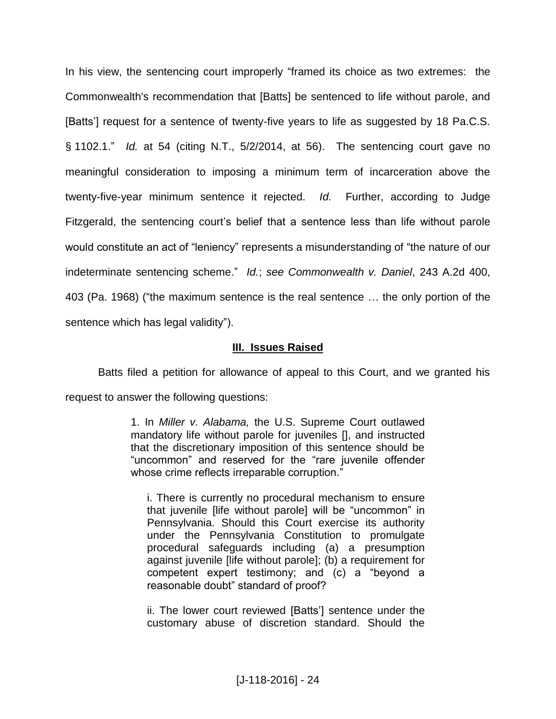In his view, the sentencing court improperly "framed its choice as two extremes: the Commonwealth's recommendation that [Batts] be sentenced to life without parole, and [Batts'] request for a sentence of twenty-five years to life as suggested by 18 Pa.C.S. § 1102.1." *Id.* at 54 (citing N.T., 5/2/2014, at 56). The sentencing court gave no meaningful consideration to imposing a minimum term of incarceration above the twenty-five-year minimum sentence it rejected. *Id.* Further, according to Judge Fitzgerald, the sentencing court's belief that a sentence less than life without parole would constitute an act of "leniency" represents a misunderstanding of "the nature of our indeterminate sentencing scheme." *Id.*; *see Commonwealth v. Daniel*, 243 A.2d 400, 403 (Pa. 1968) ("the maximum sentence is the real sentence … the only portion of the sentence which has legal validity").

# **III. Issues Raised**

Batts filed a petition for allowance of appeal to this Court, and we granted his request to answer the following questions:

> 1. In *Miller v. Alabama,* the U.S. Supreme Court outlawed mandatory life without parole for juveniles [], and instructed that the discretionary imposition of this sentence should be "uncommon" and reserved for the "rare juvenile offender whose crime reflects irreparable corruption."

i. There is currently no procedural mechanism to ensure that juvenile [life without parole] will be "uncommon" in Pennsylvania. Should this Court exercise its authority under the Pennsylvania Constitution to promulgate procedural safeguards including (a) a presumption against juvenile [life without parole]; (b) a requirement for competent expert testimony; and (c) a "beyond a reasonable doubt" standard of proof?

ii. The lower court reviewed [Batts'] sentence under the customary abuse of discretion standard. Should the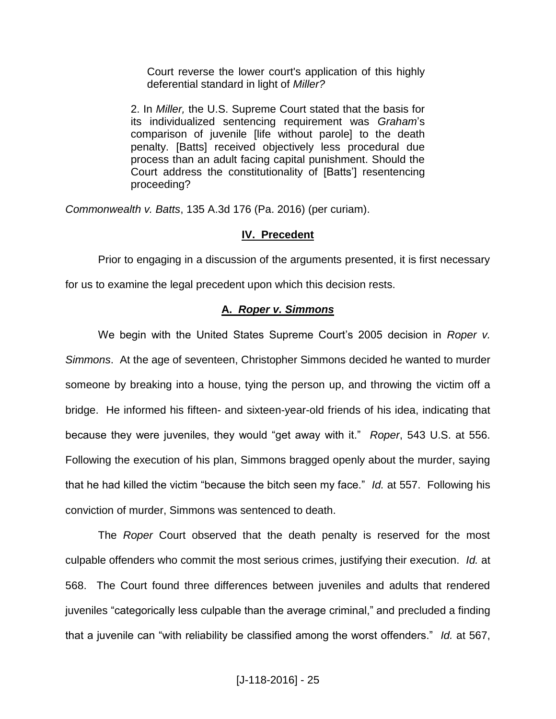Court reverse the lower court's application of this highly deferential standard in light of *Miller?*

2. In *Miller,* the U.S. Supreme Court stated that the basis for its individualized sentencing requirement was *Graham*'s comparison of juvenile [life without parole] to the death penalty. [Batts] received objectively less procedural due process than an adult facing capital punishment. Should the Court address the constitutionality of [Batts'] resentencing proceeding?

*Commonwealth v. Batts*, 135 A.3d 176 (Pa. 2016) (per curiam).

# **IV. Precedent**

Prior to engaging in a discussion of the arguments presented, it is first necessary

for us to examine the legal precedent upon which this decision rests.

# **A.** *Roper v. Simmons*

We begin with the United States Supreme Court's 2005 decision in *Roper v. Simmons*. At the age of seventeen, Christopher Simmons decided he wanted to murder someone by breaking into a house, tying the person up, and throwing the victim off a bridge. He informed his fifteen- and sixteen-year-old friends of his idea, indicating that because they were juveniles, they would "get away with it." *Roper*, 543 U.S. at 556. Following the execution of his plan, Simmons bragged openly about the murder, saying that he had killed the victim "because the bitch seen my face." *Id.* at 557. Following his conviction of murder, Simmons was sentenced to death.

The *Roper* Court observed that the death penalty is reserved for the most culpable offenders who commit the most serious crimes, justifying their execution. *Id.* at 568. The Court found three differences between juveniles and adults that rendered juveniles "categorically less culpable than the average criminal," and precluded a finding that a juvenile can "with reliability be classified among the worst offenders." *Id.* at 567,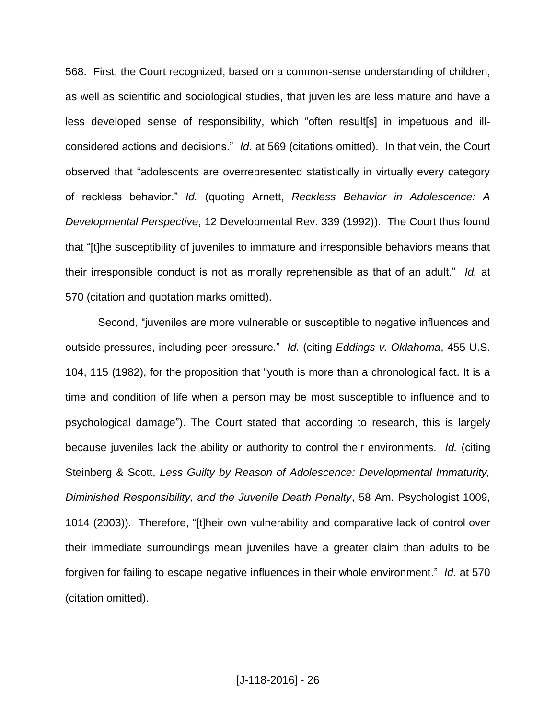568. First, the Court recognized, based on a common-sense understanding of children, as well as scientific and sociological studies, that juveniles are less mature and have a less developed sense of responsibility, which "often result[s] in impetuous and illconsidered actions and decisions." *Id.* at 569 (citations omitted). In that vein, the Court observed that "adolescents are overrepresented statistically in virtually every category of reckless behavior." *Id.* (quoting Arnett, *Reckless Behavior in Adolescence: A Developmental Perspective*, 12 Developmental Rev. 339 (1992)). The Court thus found that "[t]he susceptibility of juveniles to immature and irresponsible behaviors means that their irresponsible conduct is not as morally reprehensible as that of an adult." *Id.* at 570 (citation and quotation marks omitted).

Second, "juveniles are more vulnerable or susceptible to negative influences and outside pressures, including peer pressure." *Id.* (citing *Eddings v. Oklahoma*, 455 U.S. 104, 115 (1982), for the proposition that "youth is more than a chronological fact. It is a time and condition of life when a person may be most susceptible to influence and to psychological damage"). The Court stated that according to research, this is largely because juveniles lack the ability or authority to control their environments. *Id.* (citing Steinberg & Scott, *Less Guilty by Reason of Adolescence: Developmental Immaturity, Diminished Responsibility, and the Juvenile Death Penalty*, 58 Am. Psychologist 1009, 1014 (2003)). Therefore, "[t]heir own vulnerability and comparative lack of control over their immediate surroundings mean juveniles have a greater claim than adults to be forgiven for failing to escape negative influences in their whole environment." *Id.* at 570 (citation omitted).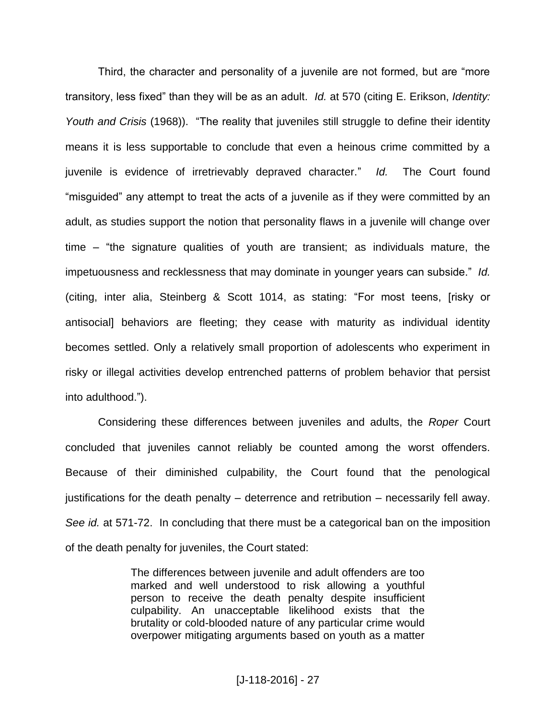Third, the character and personality of a juvenile are not formed, but are "more transitory, less fixed" than they will be as an adult. *Id.* at 570 (citing E. Erikson, *Identity: Youth and Crisis* (1968)). "The reality that juveniles still struggle to define their identity means it is less supportable to conclude that even a heinous crime committed by a juvenile is evidence of irretrievably depraved character." *Id.* The Court found "misguided" any attempt to treat the acts of a juvenile as if they were committed by an adult, as studies support the notion that personality flaws in a juvenile will change over time – "the signature qualities of youth are transient; as individuals mature, the impetuousness and recklessness that may dominate in younger years can subside." *Id.* (citing, inter alia, Steinberg & Scott 1014, as stating: "For most teens, [risky or antisocial] behaviors are fleeting; they cease with maturity as individual identity becomes settled. Only a relatively small proportion of adolescents who experiment in risky or illegal activities develop entrenched patterns of problem behavior that persist into adulthood.").

Considering these differences between juveniles and adults, the *Roper* Court concluded that juveniles cannot reliably be counted among the worst offenders. Because of their diminished culpability, the Court found that the penological justifications for the death penalty  $-$  deterrence and retribution  $-$  necessarily fell away. *See id.* at 571-72. In concluding that there must be a categorical ban on the imposition of the death penalty for juveniles, the Court stated:

> The differences between juvenile and adult offenders are too marked and well understood to risk allowing a youthful person to receive the death penalty despite insufficient culpability. An unacceptable likelihood exists that the brutality or cold-blooded nature of any particular crime would overpower mitigating arguments based on youth as a matter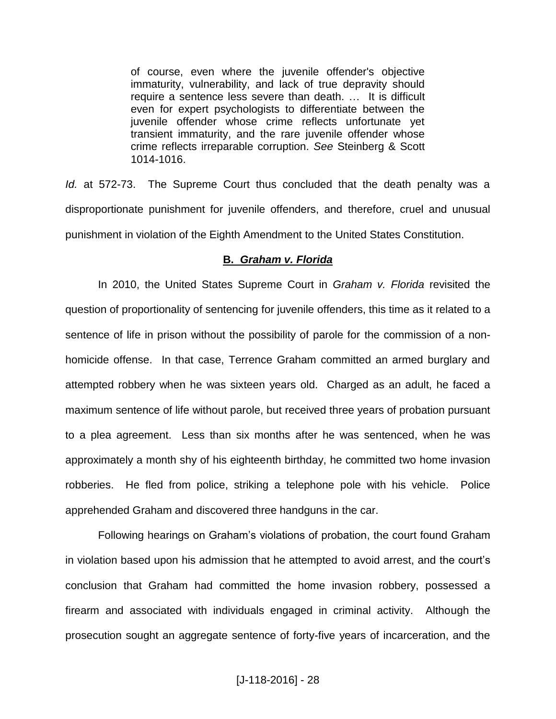of course, even where the juvenile offender's objective immaturity, vulnerability, and lack of true depravity should require a sentence less severe than death. … It is difficult even for expert psychologists to differentiate between the iuvenile offender whose crime reflects unfortunate yet transient immaturity, and the rare juvenile offender whose crime reflects irreparable corruption. *See* Steinberg & Scott 1014-1016.

*Id.* at 572-73. The Supreme Court thus concluded that the death penalty was a disproportionate punishment for juvenile offenders, and therefore, cruel and unusual punishment in violation of the Eighth Amendment to the United States Constitution.

## **B.** *Graham v. Florida*

In 2010, the United States Supreme Court in *Graham v. Florida* revisited the question of proportionality of sentencing for juvenile offenders, this time as it related to a sentence of life in prison without the possibility of parole for the commission of a nonhomicide offense. In that case, Terrence Graham committed an armed burglary and attempted robbery when he was sixteen years old. Charged as an adult, he faced a maximum sentence of life without parole, but received three years of probation pursuant to a plea agreement. Less than six months after he was sentenced, when he was approximately a month shy of his eighteenth birthday, he committed two home invasion robberies. He fled from police, striking a telephone pole with his vehicle. Police apprehended Graham and discovered three handguns in the car.

Following hearings on Graham's violations of probation, the court found Graham in violation based upon his admission that he attempted to avoid arrest, and the court's conclusion that Graham had committed the home invasion robbery, possessed a firearm and associated with individuals engaged in criminal activity. Although the prosecution sought an aggregate sentence of forty-five years of incarceration, and the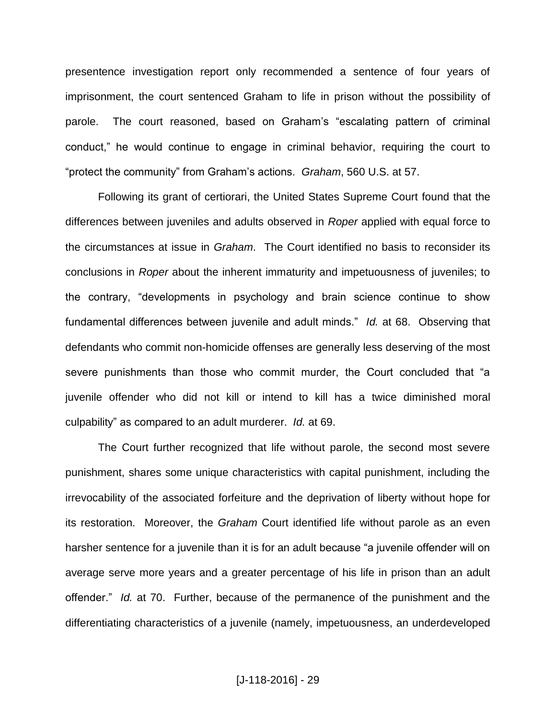presentence investigation report only recommended a sentence of four years of imprisonment, the court sentenced Graham to life in prison without the possibility of parole. The court reasoned, based on Graham's "escalating pattern of criminal conduct," he would continue to engage in criminal behavior, requiring the court to "protect the community" from Graham's actions. *Graham*, 560 U.S. at 57.

Following its grant of certiorari, the United States Supreme Court found that the differences between juveniles and adults observed in *Roper* applied with equal force to the circumstances at issue in *Graham*. The Court identified no basis to reconsider its conclusions in *Roper* about the inherent immaturity and impetuousness of juveniles; to the contrary, "developments in psychology and brain science continue to show fundamental differences between juvenile and adult minds." *Id.* at 68. Observing that defendants who commit non-homicide offenses are generally less deserving of the most severe punishments than those who commit murder, the Court concluded that "a juvenile offender who did not kill or intend to kill has a twice diminished moral culpability" as compared to an adult murderer. *Id.* at 69.

The Court further recognized that life without parole, the second most severe punishment, shares some unique characteristics with capital punishment, including the irrevocability of the associated forfeiture and the deprivation of liberty without hope for its restoration. Moreover, the *Graham* Court identified life without parole as an even harsher sentence for a juvenile than it is for an adult because "a juvenile offender will on average serve more years and a greater percentage of his life in prison than an adult offender." *Id.* at 70. Further, because of the permanence of the punishment and the differentiating characteristics of a juvenile (namely, impetuousness, an underdeveloped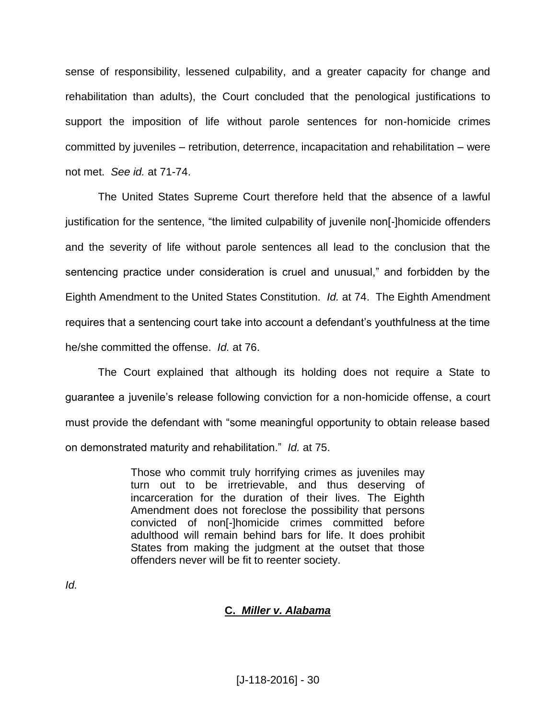sense of responsibility, lessened culpability, and a greater capacity for change and rehabilitation than adults), the Court concluded that the penological justifications to support the imposition of life without parole sentences for non-homicide crimes committed by juveniles – retribution, deterrence, incapacitation and rehabilitation – were not met. *See id.* at 71-74.

The United States Supreme Court therefore held that the absence of a lawful justification for the sentence, "the limited culpability of juvenile non[-]homicide offenders and the severity of life without parole sentences all lead to the conclusion that the sentencing practice under consideration is cruel and unusual," and forbidden by the Eighth Amendment to the United States Constitution. *Id.* at 74. The Eighth Amendment requires that a sentencing court take into account a defendant's youthfulness at the time he/she committed the offense. *Id.* at 76.

The Court explained that although its holding does not require a State to guarantee a juvenile's release following conviction for a non-homicide offense, a court must provide the defendant with "some meaningful opportunity to obtain release based on demonstrated maturity and rehabilitation." *Id.* at 75.

> Those who commit truly horrifying crimes as juveniles may turn out to be irretrievable, and thus deserving of incarceration for the duration of their lives. The Eighth Amendment does not foreclose the possibility that persons convicted of non[-]homicide crimes committed before adulthood will remain behind bars for life. It does prohibit States from making the judgment at the outset that those offenders never will be fit to reenter society.

*Id.*

# **C.** *Miller v. Alabama*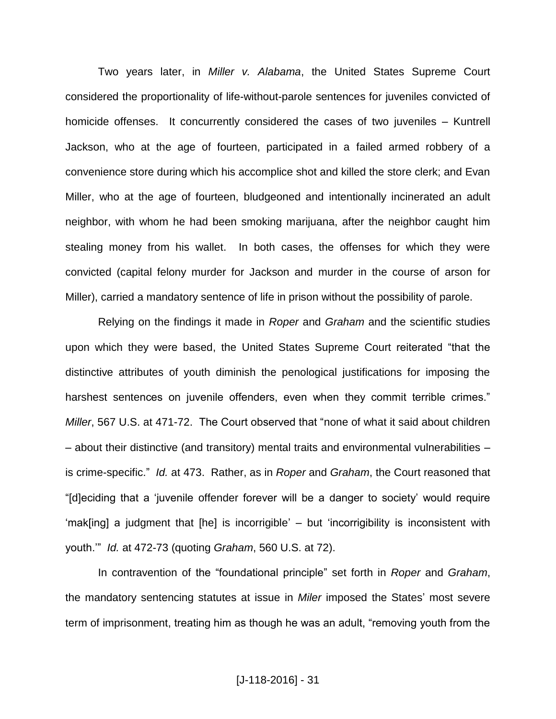Two years later, in *Miller v. Alabama*, the United States Supreme Court considered the proportionality of life-without-parole sentences for juveniles convicted of homicide offenses. It concurrently considered the cases of two juveniles – Kuntrell Jackson, who at the age of fourteen, participated in a failed armed robbery of a convenience store during which his accomplice shot and killed the store clerk; and Evan Miller, who at the age of fourteen, bludgeoned and intentionally incinerated an adult neighbor, with whom he had been smoking marijuana, after the neighbor caught him stealing money from his wallet. In both cases, the offenses for which they were convicted (capital felony murder for Jackson and murder in the course of arson for Miller), carried a mandatory sentence of life in prison without the possibility of parole.

Relying on the findings it made in *Roper* and *Graham* and the scientific studies upon which they were based, the United States Supreme Court reiterated "that the distinctive attributes of youth diminish the penological justifications for imposing the harshest sentences on juvenile offenders, even when they commit terrible crimes." *Miller*, 567 U.S. at 471-72. The Court observed that "none of what it said about children - about their distinctive (and transitory) mental traits and environmental vulnerabilities is crime-specific." *Id.* at 473. Rather, as in *Roper* and *Graham*, the Court reasoned that "[d]eciding that a 'juvenile offender forever will be a danger to society' would require 'mak[ing] a judgment that [he] is incorrigible' ‒ but 'incorrigibility is inconsistent with youth.'" *Id.* at 472-73 (quoting *Graham*, 560 U.S. at 72).

In contravention of the "foundational principle" set forth in *Roper* and *Graham*, the mandatory sentencing statutes at issue in *Miler* imposed the States' most severe term of imprisonment, treating him as though he was an adult, "removing youth from the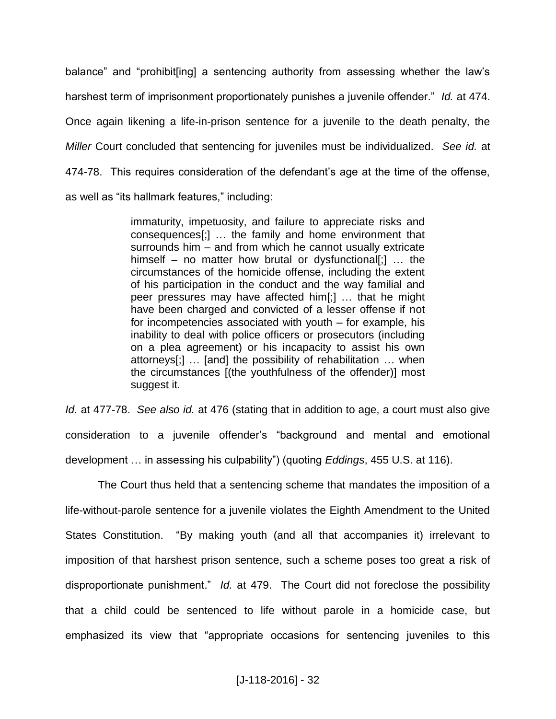balance" and "prohibit[ing] a sentencing authority from assessing whether the law's harshest term of imprisonment proportionately punishes a juvenile offender." *Id.* at 474. Once again likening a life-in-prison sentence for a juvenile to the death penalty, the *Miller* Court concluded that sentencing for juveniles must be individualized. *See id.* at 474-78. This requires consideration of the defendant's age at the time of the offense, as well as "its hallmark features," including:

> immaturity, impetuosity, and failure to appreciate risks and consequences[;] … the family and home environment that surrounds him – and from which he cannot usually extricate himself  $-$  no matter how brutal or dysfunctional[;] ... the circumstances of the homicide offense, including the extent of his participation in the conduct and the way familial and peer pressures may have affected him[;] … that he might have been charged and convicted of a lesser offense if not for incompetencies associated with youth  $-$  for example, his inability to deal with police officers or prosecutors (including on a plea agreement) or his incapacity to assist his own attorneys[;] … [and] the possibility of rehabilitation … when the circumstances [(the youthfulness of the offender)] most suggest it.

*Id.* at 477-78. *See also id.* at 476 (stating that in addition to age, a court must also give consideration to a juvenile offender's "background and mental and emotional development … in assessing his culpability") (quoting *Eddings*, 455 U.S. at 116).

The Court thus held that a sentencing scheme that mandates the imposition of a life-without-parole sentence for a juvenile violates the Eighth Amendment to the United States Constitution. "By making youth (and all that accompanies it) irrelevant to imposition of that harshest prison sentence, such a scheme poses too great a risk of disproportionate punishment." *Id.* at 479. The Court did not foreclose the possibility that a child could be sentenced to life without parole in a homicide case, but emphasized its view that "appropriate occasions for sentencing juveniles to this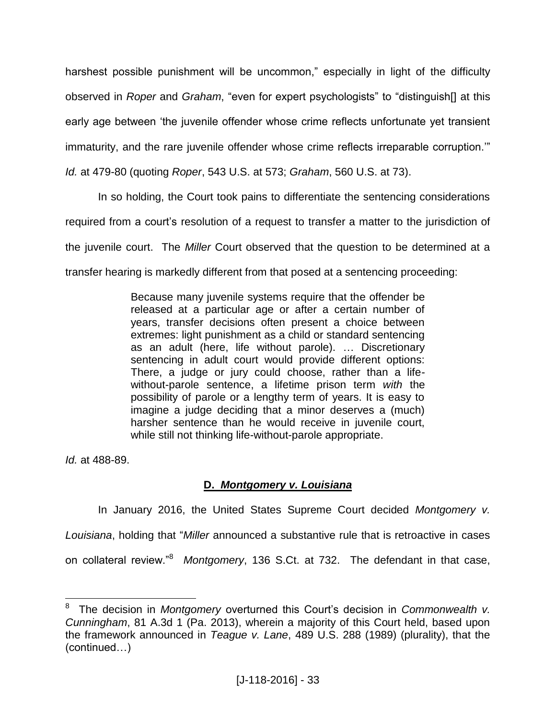harshest possible punishment will be uncommon," especially in light of the difficulty observed in *Roper* and *Graham*, "even for expert psychologists" to "distinguish[] at this early age between 'the juvenile offender whose crime reflects unfortunate yet transient immaturity, and the rare juvenile offender whose crime reflects irreparable corruption.'"

*Id.* at 479-80 (quoting *Roper*, 543 U.S. at 573; *Graham*, 560 U.S. at 73).

In so holding, the Court took pains to differentiate the sentencing considerations required from a court's resolution of a request to transfer a matter to the jurisdiction of the juvenile court. The *Miller* Court observed that the question to be determined at a transfer hearing is markedly different from that posed at a sentencing proceeding:

> Because many juvenile systems require that the offender be released at a particular age or after a certain number of years, transfer decisions often present a choice between extremes: light punishment as a child or standard sentencing as an adult (here, life without parole). … Discretionary sentencing in adult court would provide different options: There, a judge or jury could choose, rather than a lifewithout-parole sentence, a lifetime prison term *with* the possibility of parole or a lengthy term of years. It is easy to imagine a judge deciding that a minor deserves a (much) harsher sentence than he would receive in juvenile court, while still not thinking life-without-parole appropriate.

*Id.* at 488-89.

# **D.** *Montgomery v. Louisiana*

In January 2016, the United States Supreme Court decided *Montgomery v. Louisiana*, holding that "*Miller* announced a substantive rule that is retroactive in cases on collateral review."<sup>8</sup> Montgomery, 136 S.Ct. at 732. The defendant in that case,

 8 The decision in *Montgomery* overturned this Court's decision in *Commonwealth v. Cunningham*, 81 A.3d 1 (Pa. 2013), wherein a majority of this Court held, based upon the framework announced in *Teague v. Lane*, 489 U.S. 288 (1989) (plurality), that the (continued…)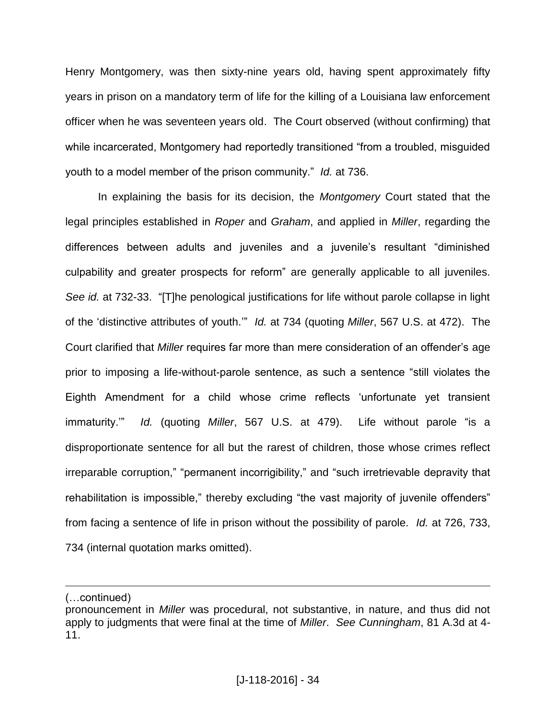Henry Montgomery, was then sixty-nine years old, having spent approximately fifty years in prison on a mandatory term of life for the killing of a Louisiana law enforcement officer when he was seventeen years old. The Court observed (without confirming) that while incarcerated, Montgomery had reportedly transitioned "from a troubled, misguided youth to a model member of the prison community." *Id.* at 736.

In explaining the basis for its decision, the *Montgomery* Court stated that the legal principles established in *Roper* and *Graham*, and applied in *Miller*, regarding the differences between adults and juveniles and a juvenile's resultant "diminished culpability and greater prospects for reform" are generally applicable to all juveniles. *See id.* at 732-33. "[T]he penological justifications for life without parole collapse in light of the 'distinctive attributes of youth.'" *Id.* at 734 (quoting *Miller*, 567 U.S. at 472). The Court clarified that *Miller* requires far more than mere consideration of an offender's age prior to imposing a life-without-parole sentence, as such a sentence "still violates the Eighth Amendment for a child whose crime reflects 'unfortunate yet transient immaturity.'" *Id.* (quoting *Miller*, 567 U.S. at 479). Life without parole "is a disproportionate sentence for all but the rarest of children, those whose crimes reflect irreparable corruption," "permanent incorrigibility," and "such irretrievable depravity that rehabilitation is impossible," thereby excluding "the vast majority of juvenile offenders" from facing a sentence of life in prison without the possibility of parole. *Id.* at 726, 733, 734 (internal quotation marks omitted).

 $\overline{a}$ 

<sup>(…</sup>continued)

pronouncement in *Miller* was procedural, not substantive, in nature, and thus did not apply to judgments that were final at the time of *Miller*. *See Cunningham*, 81 A.3d at 4- 11.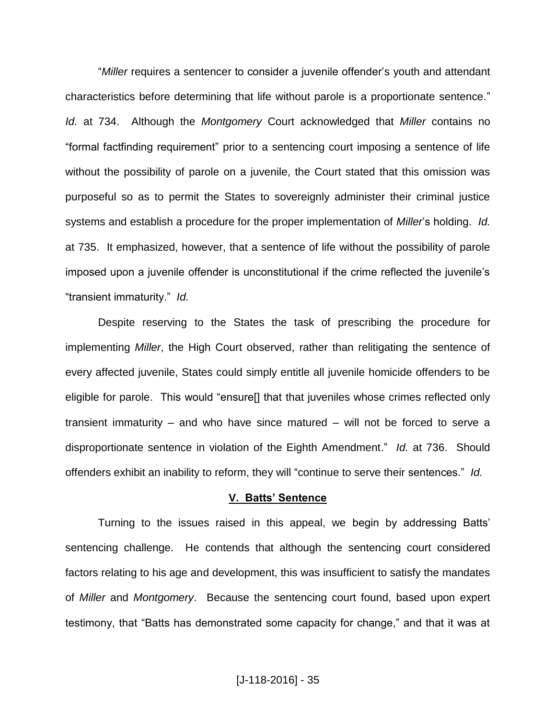"*Miller* requires a sentencer to consider a juvenile offender's youth and attendant characteristics before determining that life without parole is a proportionate sentence." *Id.* at 734. Although the *Montgomery* Court acknowledged that *Miller* contains no "formal factfinding requirement" prior to a sentencing court imposing a sentence of life without the possibility of parole on a juvenile, the Court stated that this omission was purposeful so as to permit the States to sovereignly administer their criminal justice systems and establish a procedure for the proper implementation of *Miller*'s holding. *Id.* at 735. It emphasized, however, that a sentence of life without the possibility of parole imposed upon a juvenile offender is unconstitutional if the crime reflected the juvenile's "transient immaturity." *Id.*

Despite reserving to the States the task of prescribing the procedure for implementing *Miller*, the High Court observed, rather than relitigating the sentence of every affected juvenile, States could simply entitle all juvenile homicide offenders to be eligible for parole. This would "ensure[] that that juveniles whose crimes reflected only transient immaturity  $-$  and who have since matured  $-$  will not be forced to serve a disproportionate sentence in violation of the Eighth Amendment." *Id.* at 736. Should offenders exhibit an inability to reform, they will "continue to serve their sentences." *Id.*

## **V. Batts' Sentence**

Turning to the issues raised in this appeal, we begin by addressing Batts' sentencing challenge. He contends that although the sentencing court considered factors relating to his age and development, this was insufficient to satisfy the mandates of *Miller* and *Montgomery*. Because the sentencing court found, based upon expert testimony, that "Batts has demonstrated some capacity for change," and that it was at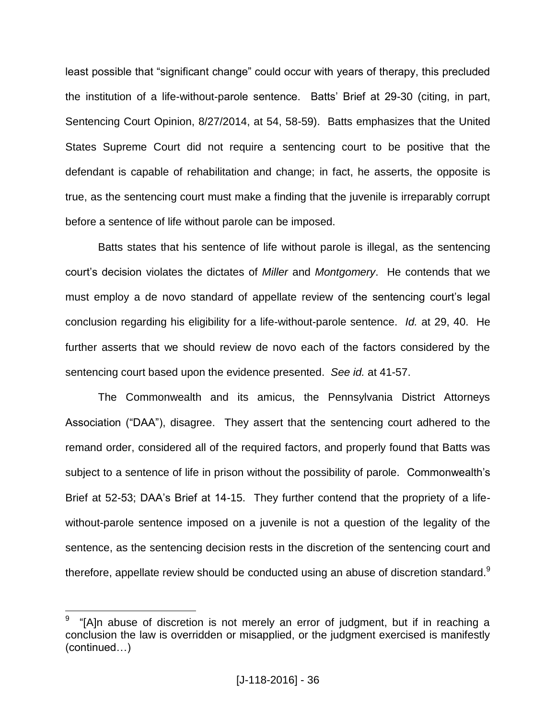least possible that "significant change" could occur with years of therapy, this precluded the institution of a life-without-parole sentence. Batts' Brief at 29-30 (citing, in part, Sentencing Court Opinion, 8/27/2014, at 54, 58-59). Batts emphasizes that the United States Supreme Court did not require a sentencing court to be positive that the defendant is capable of rehabilitation and change; in fact, he asserts, the opposite is true, as the sentencing court must make a finding that the juvenile is irreparably corrupt before a sentence of life without parole can be imposed.

Batts states that his sentence of life without parole is illegal, as the sentencing court's decision violates the dictates of *Miller* and *Montgomery*. He contends that we must employ a de novo standard of appellate review of the sentencing court's legal conclusion regarding his eligibility for a life-without-parole sentence. *Id.* at 29, 40. He further asserts that we should review de novo each of the factors considered by the sentencing court based upon the evidence presented. *See id.* at 41-57.

The Commonwealth and its amicus, the Pennsylvania District Attorneys Association ("DAA"), disagree. They assert that the sentencing court adhered to the remand order, considered all of the required factors, and properly found that Batts was subject to a sentence of life in prison without the possibility of parole. Commonwealth's Brief at 52-53; DAA's Brief at 14-15. They further contend that the propriety of a lifewithout-parole sentence imposed on a juvenile is not a question of the legality of the sentence, as the sentencing decision rests in the discretion of the sentencing court and therefore, appellate review should be conducted using an abuse of discretion standard. $9$ 

 $\overline{a}$ 

<sup>9</sup> "[A]n abuse of discretion is not merely an error of judgment, but if in reaching a conclusion the law is overridden or misapplied, or the judgment exercised is manifestly (continued…)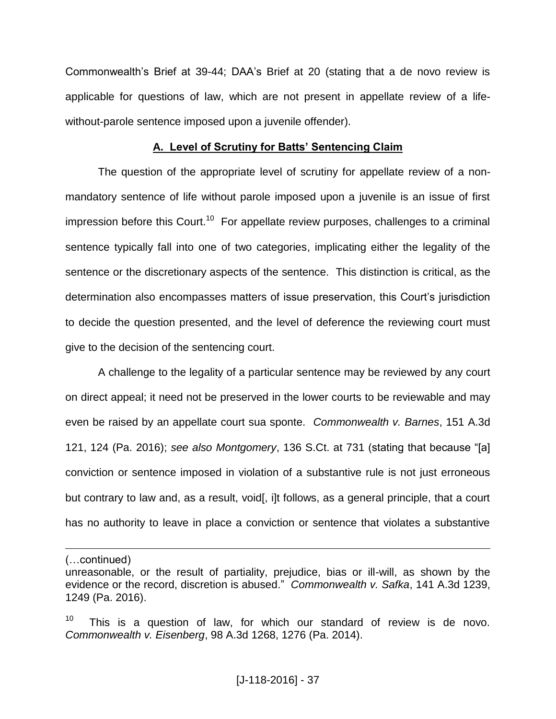Commonwealth's Brief at 39-44; DAA's Brief at 20 (stating that a de novo review is applicable for questions of law, which are not present in appellate review of a lifewithout-parole sentence imposed upon a juvenile offender).

### **A. Level of Scrutiny for Batts' Sentencing Claim**

The question of the appropriate level of scrutiny for appellate review of a nonmandatory sentence of life without parole imposed upon a juvenile is an issue of first impression before this Court.<sup>10</sup> For appellate review purposes, challenges to a criminal sentence typically fall into one of two categories, implicating either the legality of the sentence or the discretionary aspects of the sentence. This distinction is critical, as the determination also encompasses matters of issue preservation, this Court's jurisdiction to decide the question presented, and the level of deference the reviewing court must give to the decision of the sentencing court.

A challenge to the legality of a particular sentence may be reviewed by any court on direct appeal; it need not be preserved in the lower courts to be reviewable and may even be raised by an appellate court sua sponte. *Commonwealth v. Barnes*, 151 A.3d 121, 124 (Pa. 2016); *see also Montgomery*, 136 S.Ct. at 731 (stating that because "[a] conviction or sentence imposed in violation of a substantive rule is not just erroneous but contrary to law and, as a result, void, i]t follows, as a general principle, that a court has no authority to leave in place a conviction or sentence that violates a substantive

 $\overline{a}$ 

<sup>(…</sup>continued)

unreasonable, or the result of partiality, prejudice, bias or ill-will, as shown by the evidence or the record, discretion is abused." *Commonwealth v. Safka*, 141 A.3d 1239, 1249 (Pa. 2016).

<sup>10</sup> This is a question of law, for which our standard of review is de novo. *Commonwealth v. Eisenberg*, 98 A.3d 1268, 1276 (Pa. 2014).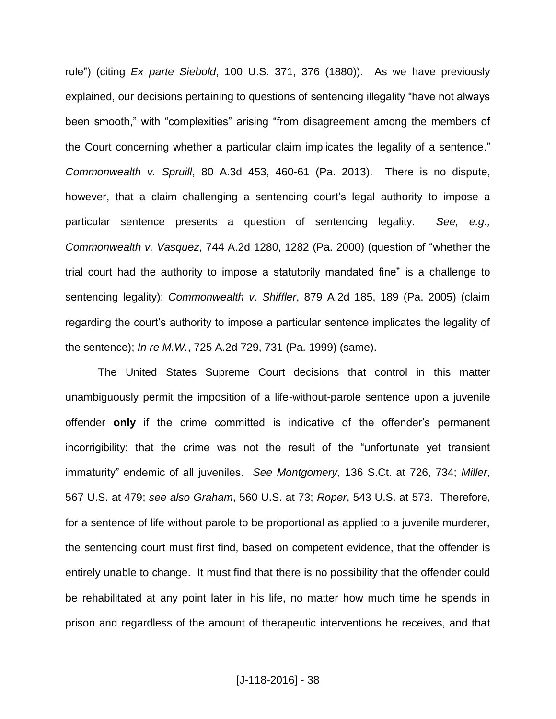rule") (citing *Ex parte Siebold*, 100 U.S. 371, 376 (1880)). As we have previously explained, our decisions pertaining to questions of sentencing illegality "have not always been smooth," with "complexities" arising "from disagreement among the members of the Court concerning whether a particular claim implicates the legality of a sentence." *Commonwealth v. Spruill*, 80 A.3d 453, 460-61 (Pa. 2013). There is no dispute, however, that a claim challenging a sentencing court's legal authority to impose a particular sentence presents a question of sentencing legality. *See, e.g., Commonwealth v. Vasquez*, 744 A.2d 1280, 1282 (Pa. 2000) (question of "whether the trial court had the authority to impose a statutorily mandated fine" is a challenge to sentencing legality); *Commonwealth v. Shiffler*, 879 A.2d 185, 189 (Pa. 2005) (claim regarding the court's authority to impose a particular sentence implicates the legality of the sentence); *In re M.W.*, 725 A.2d 729, 731 (Pa. 1999) (same).

The United States Supreme Court decisions that control in this matter unambiguously permit the imposition of a life-without-parole sentence upon a juvenile offender **only** if the crime committed is indicative of the offender's permanent incorrigibility; that the crime was not the result of the "unfortunate yet transient immaturity" endemic of all juveniles. *See Montgomery*, 136 S.Ct. at 726, 734; *Miller*, 567 U.S. at 479; *see also Graham*, 560 U.S. at 73; *Roper*, 543 U.S. at 573. Therefore, for a sentence of life without parole to be proportional as applied to a juvenile murderer, the sentencing court must first find, based on competent evidence, that the offender is entirely unable to change. It must find that there is no possibility that the offender could be rehabilitated at any point later in his life, no matter how much time he spends in prison and regardless of the amount of therapeutic interventions he receives, and that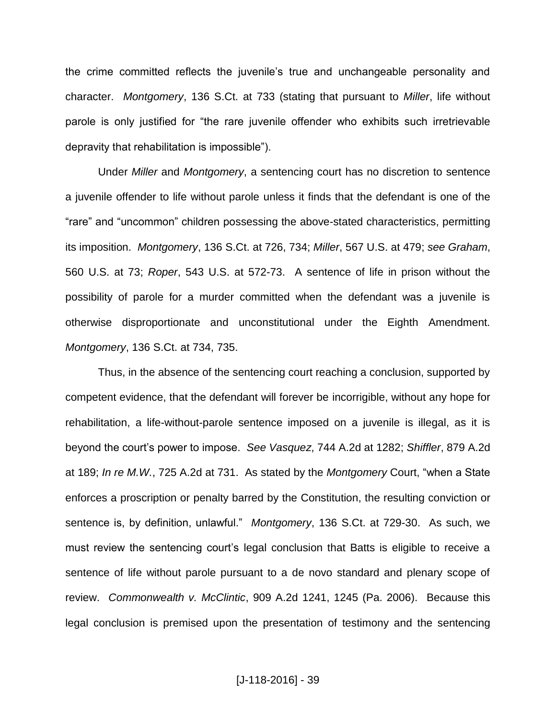the crime committed reflects the juvenile's true and unchangeable personality and character. *Montgomery*, 136 S.Ct. at 733 (stating that pursuant to *Miller*, life without parole is only justified for "the rare juvenile offender who exhibits such irretrievable depravity that rehabilitation is impossible").

Under *Miller* and *Montgomery*, a sentencing court has no discretion to sentence a juvenile offender to life without parole unless it finds that the defendant is one of the "rare" and "uncommon" children possessing the above-stated characteristics, permitting its imposition. *Montgomery*, 136 S.Ct. at 726, 734; *Miller*, 567 U.S. at 479; *see Graham*, 560 U.S. at 73; *Roper*, 543 U.S. at 572-73. A sentence of life in prison without the possibility of parole for a murder committed when the defendant was a juvenile is otherwise disproportionate and unconstitutional under the Eighth Amendment. *Montgomery*, 136 S.Ct. at 734, 735.

Thus, in the absence of the sentencing court reaching a conclusion, supported by competent evidence, that the defendant will forever be incorrigible, without any hope for rehabilitation, a life-without-parole sentence imposed on a juvenile is illegal, as it is beyond the court's power to impose. *See Vasquez*, 744 A.2d at 1282; *Shiffler*, 879 A.2d at 189; *In re M.W.*, 725 A.2d at 731. As stated by the *Montgomery* Court, "when a State enforces a proscription or penalty barred by the Constitution, the resulting conviction or sentence is, by definition, unlawful." *Montgomery*, 136 S.Ct. at 729-30. As such, we must review the sentencing court's legal conclusion that Batts is eligible to receive a sentence of life without parole pursuant to a de novo standard and plenary scope of review. *Commonwealth v. McClintic*, 909 A.2d 1241, 1245 (Pa. 2006). Because this legal conclusion is premised upon the presentation of testimony and the sentencing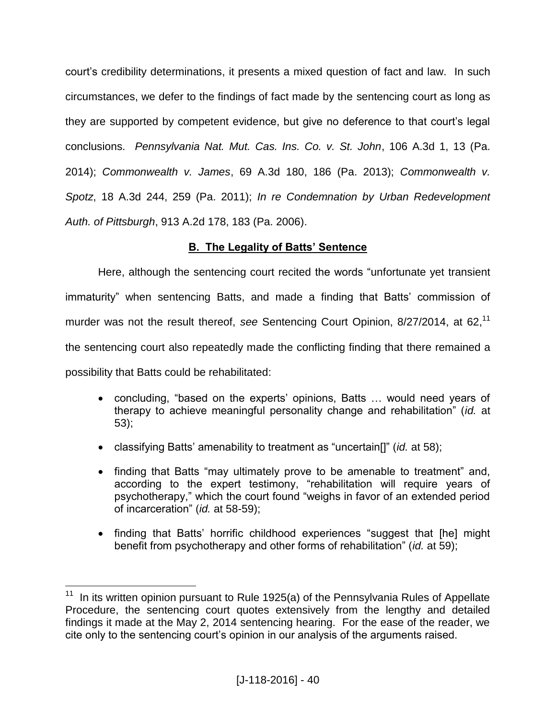court's credibility determinations, it presents a mixed question of fact and law. In such circumstances, we defer to the findings of fact made by the sentencing court as long as they are supported by competent evidence, but give no deference to that court's legal conclusions. *Pennsylvania Nat. Mut. Cas. Ins. Co. v. St. John*, 106 A.3d 1, 13 (Pa. 2014); *Commonwealth v. James*, 69 A.3d 180, 186 (Pa. 2013); *Commonwealth v. Spotz*, 18 A.3d 244, 259 (Pa. 2011); *In re Condemnation by Urban Redevelopment Auth. of Pittsburgh*, 913 A.2d 178, 183 (Pa. 2006).

# **B. The Legality of Batts' Sentence**

Here, although the sentencing court recited the words "unfortunate yet transient immaturity" when sentencing Batts, and made a finding that Batts' commission of murder was not the result thereof, *see* Sentencing Court Opinion, 8/27/2014, at 62, 11 the sentencing court also repeatedly made the conflicting finding that there remained a possibility that Batts could be rehabilitated:

- concluding, "based on the experts' opinions, Batts … would need years of therapy to achieve meaningful personality change and rehabilitation" (*id.* at 53);
- classifying Batts' amenability to treatment as "uncertain[]" (*id.* at 58);
- finding that Batts "may ultimately prove to be amenable to treatment" and, according to the expert testimony, "rehabilitation will require years of psychotherapy," which the court found "weighs in favor of an extended period of incarceration" (*id.* at 58-59);
- finding that Batts' horrific childhood experiences "suggest that [he] might benefit from psychotherapy and other forms of rehabilitation" (*id.* at 59);

THE 11 In its written opinion pursuant to Rule 1925(a) of the Pennsylvania Rules of Appellate Procedure, the sentencing court quotes extensively from the lengthy and detailed findings it made at the May 2, 2014 sentencing hearing. For the ease of the reader, we cite only to the sentencing court's opinion in our analysis of the arguments raised.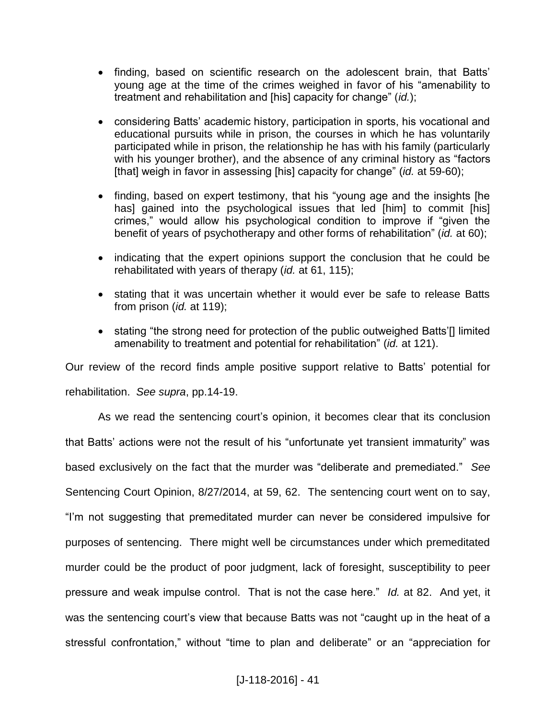- finding, based on scientific research on the adolescent brain, that Batts' young age at the time of the crimes weighed in favor of his "amenability to treatment and rehabilitation and [his] capacity for change" (*id.*);
- considering Batts' academic history, participation in sports, his vocational and educational pursuits while in prison, the courses in which he has voluntarily participated while in prison, the relationship he has with his family (particularly with his younger brother), and the absence of any criminal history as "factors [that] weigh in favor in assessing [his] capacity for change" (*id.* at 59-60);
- finding, based on expert testimony, that his "young age and the insights [he has] gained into the psychological issues that led [him] to commit [his] crimes," would allow his psychological condition to improve if "given the benefit of years of psychotherapy and other forms of rehabilitation" (*id.* at 60);
- indicating that the expert opinions support the conclusion that he could be rehabilitated with years of therapy (*id.* at 61, 115);
- stating that it was uncertain whether it would ever be safe to release Batts from prison (*id.* at 119);
- stating "the strong need for protection of the public outweighed Batts'<sup>[]</sup> limited amenability to treatment and potential for rehabilitation" (*id.* at 121).

Our review of the record finds ample positive support relative to Batts' potential for rehabilitation. *See supra*, pp.14-19.

As we read the sentencing court's opinion, it becomes clear that its conclusion that Batts' actions were not the result of his "unfortunate yet transient immaturity" was based exclusively on the fact that the murder was "deliberate and premediated." *See* Sentencing Court Opinion, 8/27/2014, at 59, 62. The sentencing court went on to say, "I'm not suggesting that premeditated murder can never be considered impulsive for purposes of sentencing. There might well be circumstances under which premeditated murder could be the product of poor judgment, lack of foresight, susceptibility to peer pressure and weak impulse control. That is not the case here." *Id.* at 82. And yet, it was the sentencing court's view that because Batts was not "caught up in the heat of a stressful confrontation," without "time to plan and deliberate" or an "appreciation for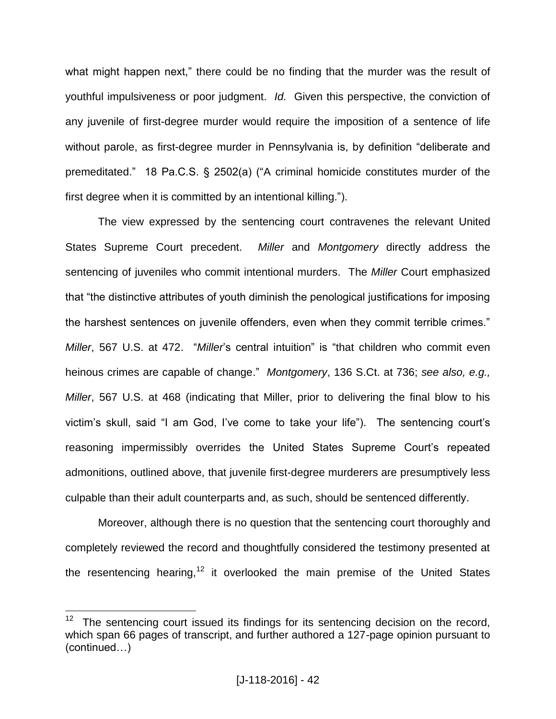what might happen next," there could be no finding that the murder was the result of youthful impulsiveness or poor judgment. *Id.* Given this perspective, the conviction of any juvenile of first-degree murder would require the imposition of a sentence of life without parole, as first-degree murder in Pennsylvania is, by definition "deliberate and premeditated." 18 Pa.C.S. § 2502(a) ("A criminal homicide constitutes murder of the first degree when it is committed by an intentional killing.").

The view expressed by the sentencing court contravenes the relevant United States Supreme Court precedent. *Miller* and *Montgomery* directly address the sentencing of juveniles who commit intentional murders. The *Miller* Court emphasized that "the distinctive attributes of youth diminish the penological justifications for imposing the harshest sentences on juvenile offenders, even when they commit terrible crimes." *Miller*, 567 U.S. at 472. "*Miller*'s central intuition" is "that children who commit even heinous crimes are capable of change." *Montgomery*, 136 S.Ct. at 736; *see also, e.g., Miller*, 567 U.S. at 468 (indicating that Miller, prior to delivering the final blow to his victim's skull, said "I am God, I've come to take your life"). The sentencing court's reasoning impermissibly overrides the United States Supreme Court's repeated admonitions, outlined above, that juvenile first-degree murderers are presumptively less culpable than their adult counterparts and, as such, should be sentenced differently.

Moreover, although there is no question that the sentencing court thoroughly and completely reviewed the record and thoughtfully considered the testimony presented at the resentencing hearing,<sup>12</sup> it overlooked the main premise of the United States

 $\overline{a}$ 

<sup>12</sup> The sentencing court issued its findings for its sentencing decision on the record, which span 66 pages of transcript, and further authored a 127-page opinion pursuant to (continued…)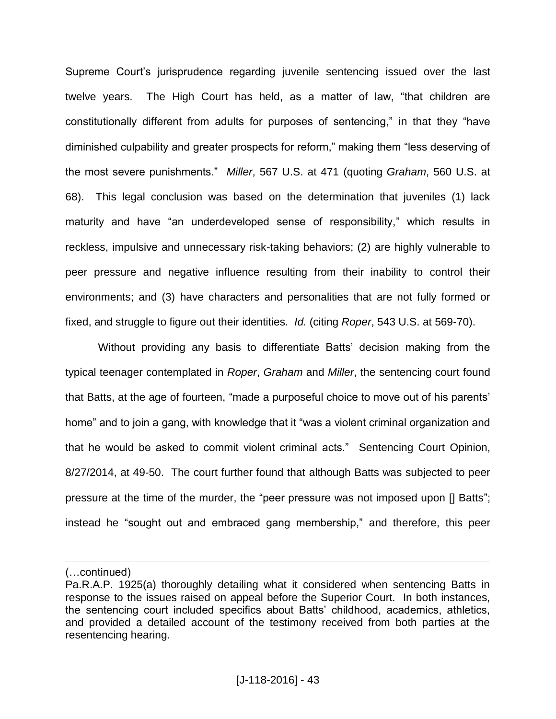Supreme Court's jurisprudence regarding juvenile sentencing issued over the last twelve years. The High Court has held, as a matter of law, "that children are constitutionally different from adults for purposes of sentencing," in that they "have diminished culpability and greater prospects for reform," making them "less deserving of the most severe punishments." *Miller*, 567 U.S. at 471 (quoting *Graham*, 560 U.S. at 68). This legal conclusion was based on the determination that juveniles (1) lack maturity and have "an underdeveloped sense of responsibility," which results in reckless, impulsive and unnecessary risk-taking behaviors; (2) are highly vulnerable to peer pressure and negative influence resulting from their inability to control their environments; and (3) have characters and personalities that are not fully formed or fixed, and struggle to figure out their identities. *Id.* (citing *Roper*, 543 U.S. at 569-70).

Without providing any basis to differentiate Batts' decision making from the typical teenager contemplated in *Roper*, *Graham* and *Miller*, the sentencing court found that Batts, at the age of fourteen, "made a purposeful choice to move out of his parents' home" and to join a gang, with knowledge that it "was a violent criminal organization and that he would be asked to commit violent criminal acts." Sentencing Court Opinion, 8/27/2014, at 49-50. The court further found that although Batts was subjected to peer pressure at the time of the murder, the "peer pressure was not imposed upon [] Batts"; instead he "sought out and embraced gang membership," and therefore, this peer

 $\overline{a}$ 

<sup>(…</sup>continued)

Pa.R.A.P. 1925(a) thoroughly detailing what it considered when sentencing Batts in response to the issues raised on appeal before the Superior Court. In both instances, the sentencing court included specifics about Batts' childhood, academics, athletics, and provided a detailed account of the testimony received from both parties at the resentencing hearing.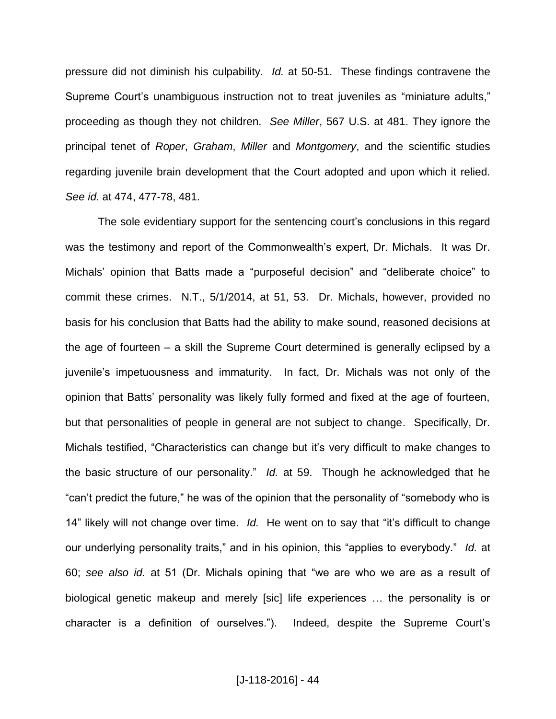pressure did not diminish his culpability. *Id.* at 50-51. These findings contravene the Supreme Court's unambiguous instruction not to treat juveniles as "miniature adults," proceeding as though they not children. *See Miller*, 567 U.S. at 481. They ignore the principal tenet of *Roper*, *Graham*, *Miller* and *Montgomery*, and the scientific studies regarding juvenile brain development that the Court adopted and upon which it relied. *See id.* at 474, 477-78, 481.

The sole evidentiary support for the sentencing court's conclusions in this regard was the testimony and report of the Commonwealth's expert, Dr. Michals. It was Dr. Michals' opinion that Batts made a "purposeful decision" and "deliberate choice" to commit these crimes. N.T., 5/1/2014, at 51, 53. Dr. Michals, however, provided no basis for his conclusion that Batts had the ability to make sound, reasoned decisions at the age of fourteen  $-$  a skill the Supreme Court determined is generally eclipsed by a juvenile's impetuousness and immaturity. In fact, Dr. Michals was not only of the opinion that Batts' personality was likely fully formed and fixed at the age of fourteen, but that personalities of people in general are not subject to change. Specifically, Dr. Michals testified, "Characteristics can change but it's very difficult to make changes to the basic structure of our personality." *Id.* at 59. Though he acknowledged that he "can't predict the future," he was of the opinion that the personality of "somebody who is 14" likely will not change over time. *Id.* He went on to say that "it's difficult to change our underlying personality traits," and in his opinion, this "applies to everybody." *Id.* at 60; *see also id.* at 51 (Dr. Michals opining that "we are who we are as a result of biological genetic makeup and merely [sic] life experiences … the personality is or character is a definition of ourselves."). Indeed, despite the Supreme Court's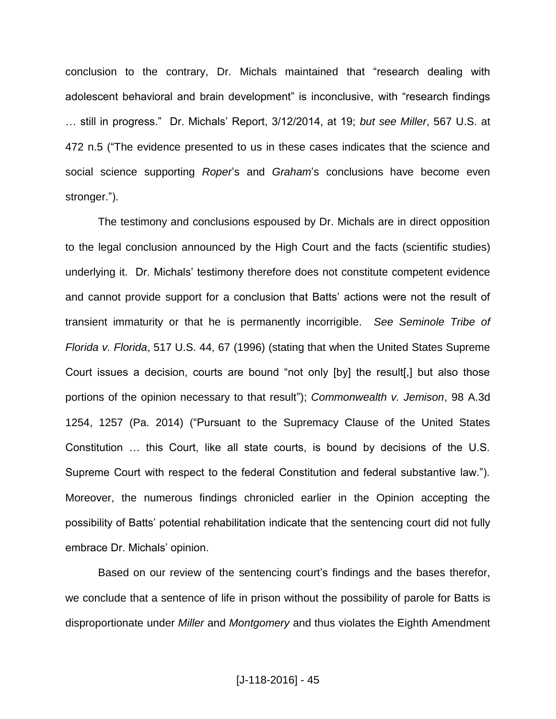conclusion to the contrary, Dr. Michals maintained that "research dealing with adolescent behavioral and brain development" is inconclusive, with "research findings … still in progress." Dr. Michals' Report, 3/12/2014, at 19; *but see Miller*, 567 U.S. at 472 n.5 ("The evidence presented to us in these cases indicates that the science and social science supporting *Roper*'s and *Graham*'s conclusions have become even stronger.").

The testimony and conclusions espoused by Dr. Michals are in direct opposition to the legal conclusion announced by the High Court and the facts (scientific studies) underlying it. Dr. Michals' testimony therefore does not constitute competent evidence and cannot provide support for a conclusion that Batts' actions were not the result of transient immaturity or that he is permanently incorrigible. *See Seminole Tribe of Florida v. Florida*, 517 U.S. 44, 67 (1996) (stating that when the United States Supreme Court issues a decision, courts are bound "not only [by] the result[,] but also those portions of the opinion necessary to that result"); *Commonwealth v. Jemison*, 98 A.3d 1254, 1257 (Pa. 2014) ("Pursuant to the Supremacy Clause of the United States Constitution … this Court, like all state courts, is bound by decisions of the U.S. Supreme Court with respect to the federal Constitution and federal substantive law."). Moreover, the numerous findings chronicled earlier in the Opinion accepting the possibility of Batts' potential rehabilitation indicate that the sentencing court did not fully embrace Dr. Michals' opinion.

Based on our review of the sentencing court's findings and the bases therefor, we conclude that a sentence of life in prison without the possibility of parole for Batts is disproportionate under *Miller* and *Montgomery* and thus violates the Eighth Amendment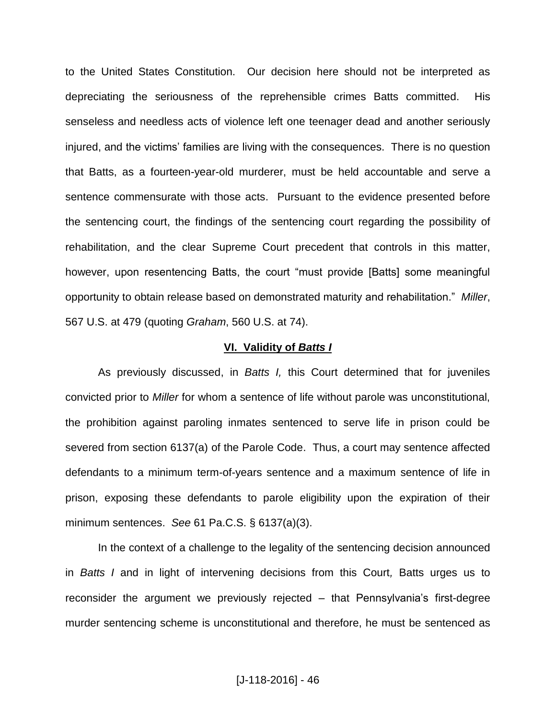to the United States Constitution. Our decision here should not be interpreted as depreciating the seriousness of the reprehensible crimes Batts committed. His senseless and needless acts of violence left one teenager dead and another seriously injured, and the victims' families are living with the consequences. There is no question that Batts, as a fourteen-year-old murderer, must be held accountable and serve a sentence commensurate with those acts. Pursuant to the evidence presented before the sentencing court, the findings of the sentencing court regarding the possibility of rehabilitation, and the clear Supreme Court precedent that controls in this matter, however, upon resentencing Batts, the court "must provide [Batts] some meaningful opportunity to obtain release based on demonstrated maturity and rehabilitation." *Miller*, 567 U.S. at 479 (quoting *Graham*, 560 U.S. at 74).

#### **VI. Validity of** *Batts I*

As previously discussed, in *Batts I,* this Court determined that for juveniles convicted prior to *Miller* for whom a sentence of life without parole was unconstitutional, the prohibition against paroling inmates sentenced to serve life in prison could be severed from section 6137(a) of the Parole Code. Thus, a court may sentence affected defendants to a minimum term-of-years sentence and a maximum sentence of life in prison, exposing these defendants to parole eligibility upon the expiration of their minimum sentences. *See* 61 Pa.C.S. § 6137(a)(3).

In the context of a challenge to the legality of the sentencing decision announced in *Batts I* and in light of intervening decisions from this Court*,* Batts urges us to reconsider the argument we previously rejected – that Pennsylvania's first-degree murder sentencing scheme is unconstitutional and therefore, he must be sentenced as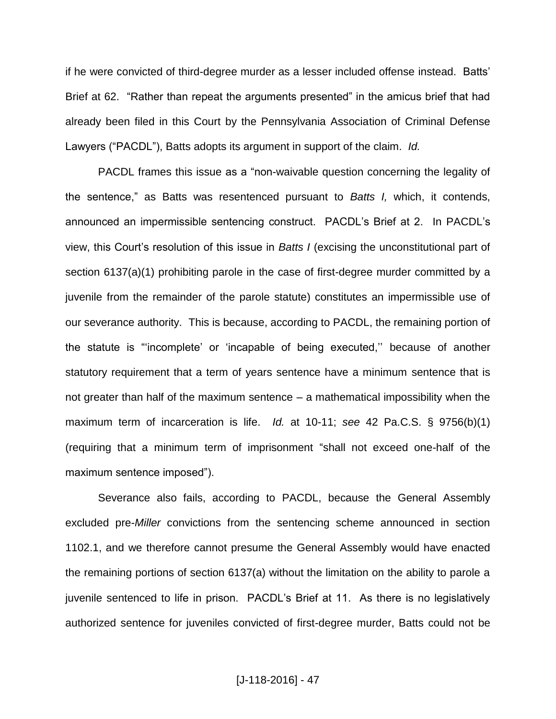if he were convicted of third-degree murder as a lesser included offense instead. Batts' Brief at 62. "Rather than repeat the arguments presented" in the amicus brief that had already been filed in this Court by the Pennsylvania Association of Criminal Defense Lawyers ("PACDL"), Batts adopts its argument in support of the claim. *Id.*

PACDL frames this issue as a "non-waivable question concerning the legality of the sentence," as Batts was resentenced pursuant to *Batts I,* which, it contends, announced an impermissible sentencing construct. PACDL's Brief at 2. In PACDL's view, this Court's resolution of this issue in *Batts I* (excising the unconstitutional part of section 6137(a)(1) prohibiting parole in the case of first-degree murder committed by a juvenile from the remainder of the parole statute) constitutes an impermissible use of our severance authority. This is because, according to PACDL, the remaining portion of the statute is "'incomplete' or 'incapable of being executed,'' because of another statutory requirement that a term of years sentence have a minimum sentence that is not greater than half of the maximum sentence  $-$  a mathematical impossibility when the maximum term of incarceration is life. *Id.* at 10-11; *see* 42 Pa.C.S. § 9756(b)(1) (requiring that a minimum term of imprisonment "shall not exceed one-half of the maximum sentence imposed").

Severance also fails, according to PACDL, because the General Assembly excluded pre-*Miller* convictions from the sentencing scheme announced in section 1102.1, and we therefore cannot presume the General Assembly would have enacted the remaining portions of section 6137(a) without the limitation on the ability to parole a juvenile sentenced to life in prison. PACDL's Brief at 11. As there is no legislatively authorized sentence for juveniles convicted of first-degree murder, Batts could not be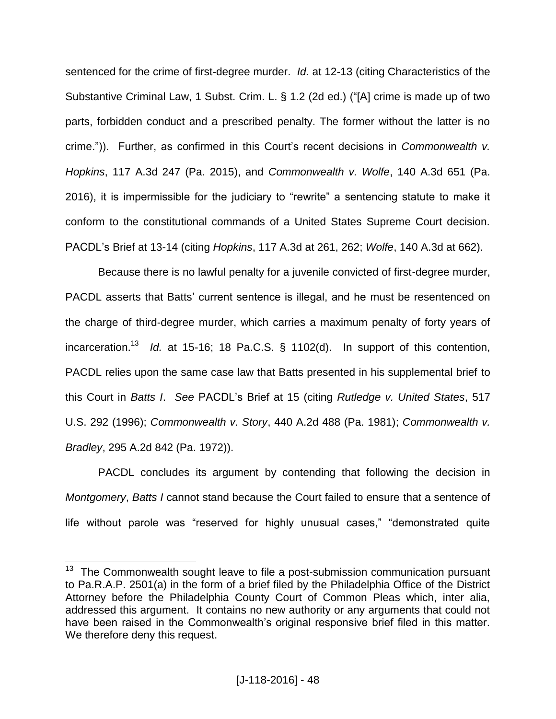sentenced for the crime of first-degree murder. *Id.* at 12-13 (citing Characteristics of the Substantive Criminal Law, 1 Subst. Crim. L. § 1.2 (2d ed.) ("[A] crime is made up of two parts, forbidden conduct and a prescribed penalty. The former without the latter is no crime.")). Further, as confirmed in this Court's recent decisions in *Commonwealth v. Hopkins*, 117 A.3d 247 (Pa. 2015), and *Commonwealth v. Wolfe*, 140 A.3d 651 (Pa. 2016), it is impermissible for the judiciary to "rewrite" a sentencing statute to make it conform to the constitutional commands of a United States Supreme Court decision. PACDL's Brief at 13-14 (citing *Hopkins*, 117 A.3d at 261, 262; *Wolfe*, 140 A.3d at 662).

Because there is no lawful penalty for a juvenile convicted of first-degree murder, PACDL asserts that Batts' current sentence is illegal, and he must be resentenced on the charge of third-degree murder, which carries a maximum penalty of forty years of incarceration.<sup>13</sup> *Id.* at 15-16; 18 Pa.C.S. § 1102(d). In support of this contention, PACDL relies upon the same case law that Batts presented in his supplemental brief to this Court in *Batts I*. *See* PACDL's Brief at 15 (citing *Rutledge v. United States*, 517 U.S. 292 (1996); *Commonwealth v. Story*, 440 A.2d 488 (Pa. 1981); *Commonwealth v. Bradley*, 295 A.2d 842 (Pa. 1972)).

PACDL concludes its argument by contending that following the decision in *Montgomery*, *Batts I* cannot stand because the Court failed to ensure that a sentence of life without parole was "reserved for highly unusual cases," "demonstrated quite

The Commonwealth sought leave to file a post-submission communication pursuant to Pa.R.A.P. 2501(a) in the form of a brief filed by the Philadelphia Office of the District Attorney before the Philadelphia County Court of Common Pleas which, inter alia, addressed this argument. It contains no new authority or any arguments that could not have been raised in the Commonwealth's original responsive brief filed in this matter. We therefore deny this request.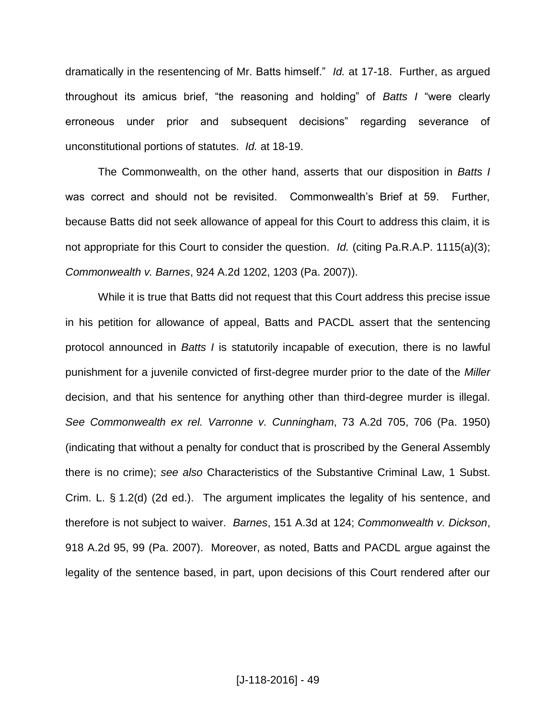dramatically in the resentencing of Mr. Batts himself." *Id.* at 17-18. Further, as argued throughout its amicus brief, "the reasoning and holding" of *Batts I* "were clearly erroneous under prior and subsequent decisions" regarding severance of unconstitutional portions of statutes. *Id.* at 18-19.

The Commonwealth, on the other hand, asserts that our disposition in *Batts I*  was correct and should not be revisited. Commonwealth's Brief at 59. Further, because Batts did not seek allowance of appeal for this Court to address this claim, it is not appropriate for this Court to consider the question. *Id.* (citing Pa.R.A.P. 1115(a)(3); *Commonwealth v. Barnes*, 924 A.2d 1202, 1203 (Pa. 2007)).

While it is true that Batts did not request that this Court address this precise issue in his petition for allowance of appeal, Batts and PACDL assert that the sentencing protocol announced in *Batts I* is statutorily incapable of execution, there is no lawful punishment for a juvenile convicted of first-degree murder prior to the date of the *Miller* decision, and that his sentence for anything other than third-degree murder is illegal. *See Commonwealth ex rel. Varronne v. Cunningham*, 73 A.2d 705, 706 (Pa. 1950) (indicating that without a penalty for conduct that is proscribed by the General Assembly there is no crime); *see also* Characteristics of the Substantive Criminal Law, 1 Subst. Crim. L. § 1.2(d) (2d ed.). The argument implicates the legality of his sentence, and therefore is not subject to waiver. *Barnes*, 151 A.3d at 124; *Commonwealth v. Dickson*, 918 A.2d 95, 99 (Pa. 2007). Moreover, as noted, Batts and PACDL argue against the legality of the sentence based, in part, upon decisions of this Court rendered after our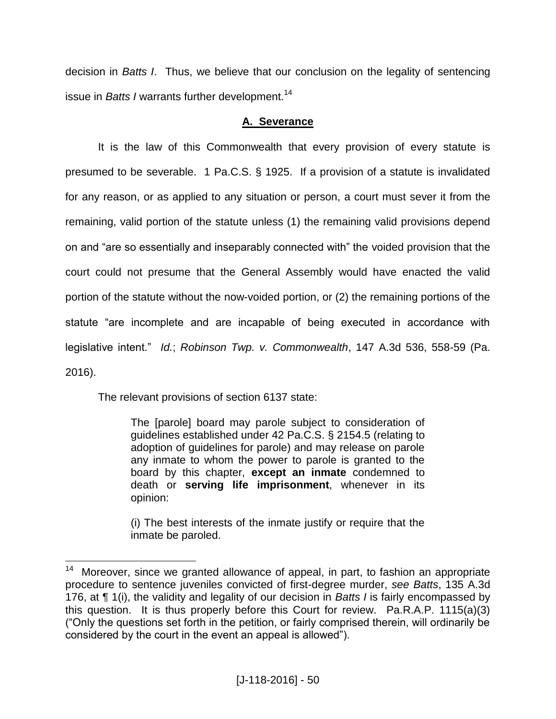decision in *Batts I*. Thus, we believe that our conclusion on the legality of sentencing issue in *Batts I* warrants further development.<sup>14</sup>

## **A. Severance**

It is the law of this Commonwealth that every provision of every statute is presumed to be severable. 1 Pa.C.S. § 1925. If a provision of a statute is invalidated for any reason, or as applied to any situation or person, a court must sever it from the remaining, valid portion of the statute unless (1) the remaining valid provisions depend on and "are so essentially and inseparably connected with" the voided provision that the court could not presume that the General Assembly would have enacted the valid portion of the statute without the now-voided portion, or (2) the remaining portions of the statute "are incomplete and are incapable of being executed in accordance with legislative intent." *Id.*; *Robinson Twp. v. Commonwealth*, 147 A.3d 536, 558-59 (Pa. 2016).

The relevant provisions of section 6137 state:

The [parole] board may parole subject to consideration of guidelines established under 42 Pa.C.S. § 2154.5 (relating to adoption of guidelines for parole) and may release on parole any inmate to whom the power to parole is granted to the board by this chapter, **except an inmate** condemned to death or **serving life imprisonment**, whenever in its opinion:

(i) The best interests of the inmate justify or require that the inmate be paroled.

 14 Moreover, since we granted allowance of appeal, in part, to fashion an appropriate procedure to sentence juveniles convicted of first-degree murder, *see Batts*, 135 A.3d 176, at ¶ 1(i), the validity and legality of our decision in *Batts I* is fairly encompassed by this question. It is thus properly before this Court for review. Pa.R.A.P. 1115(a)(3) ("Only the questions set forth in the petition, or fairly comprised therein, will ordinarily be considered by the court in the event an appeal is allowed").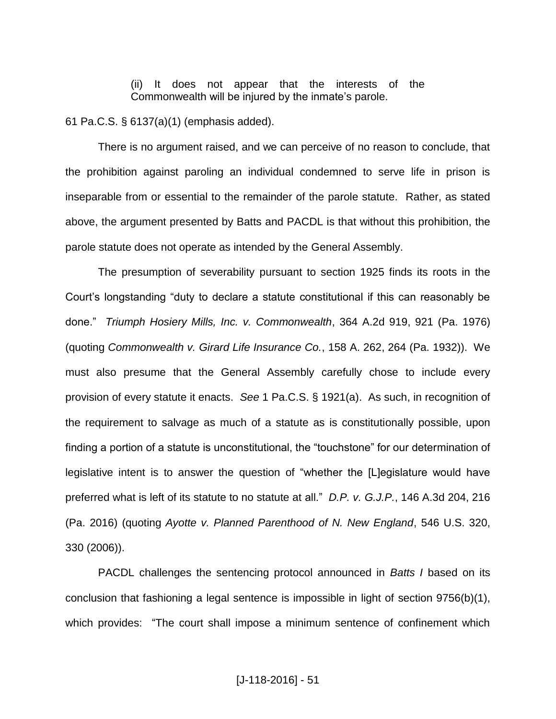(ii) It does not appear that the interests of the Commonwealth will be injured by the inmate's parole.

61 Pa.C.S. § 6137(a)(1) (emphasis added).

There is no argument raised, and we can perceive of no reason to conclude, that the prohibition against paroling an individual condemned to serve life in prison is inseparable from or essential to the remainder of the parole statute. Rather, as stated above, the argument presented by Batts and PACDL is that without this prohibition, the parole statute does not operate as intended by the General Assembly.

The presumption of severability pursuant to section 1925 finds its roots in the Court's longstanding "duty to declare a statute constitutional if this can reasonably be done." *Triumph Hosiery Mills, Inc. v. Commonwealth*, 364 A.2d 919, 921 (Pa. 1976) (quoting *Commonwealth v. Girard Life Insurance Co.*, 158 A. 262, 264 (Pa. 1932)). We must also presume that the General Assembly carefully chose to include every provision of every statute it enacts. *See* 1 Pa.C.S. § 1921(a). As such, in recognition of the requirement to salvage as much of a statute as is constitutionally possible, upon finding a portion of a statute is unconstitutional, the "touchstone" for our determination of legislative intent is to answer the question of "whether the [L]egislature would have preferred what is left of its statute to no statute at all." *D.P. v. G.J.P.*, 146 A.3d 204, 216 (Pa. 2016) (quoting *Ayotte v. Planned Parenthood of N. New England*, 546 U.S. 320, 330 (2006)).

PACDL challenges the sentencing protocol announced in *Batts I* based on its conclusion that fashioning a legal sentence is impossible in light of section 9756(b)(1), which provides: "The court shall impose a minimum sentence of confinement which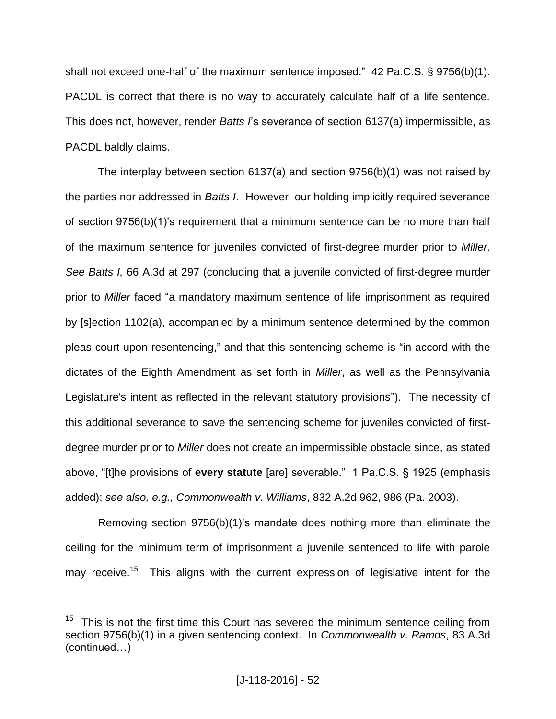shall not exceed one-half of the maximum sentence imposed." 42 Pa.C.S. § 9756(b)(1). PACDL is correct that there is no way to accurately calculate half of a life sentence. This does not, however, render *Batts I*'s severance of section 6137(a) impermissible, as PACDL baldly claims.

The interplay between section 6137(a) and section 9756(b)(1) was not raised by the parties nor addressed in *Batts I*. However, our holding implicitly required severance of section 9756(b)(1)'s requirement that a minimum sentence can be no more than half of the maximum sentence for juveniles convicted of first-degree murder prior to *Miller*. *See Batts I,* 66 A.3d at 297 (concluding that a juvenile convicted of first-degree murder prior to *Miller* faced "a mandatory maximum sentence of life imprisonment as required by [s]ection 1102(a), accompanied by a minimum sentence determined by the common pleas court upon resentencing," and that this sentencing scheme is "in accord with the dictates of the Eighth Amendment as set forth in *Miller*, as well as the Pennsylvania Legislature's intent as reflected in the relevant statutory provisions"). The necessity of this additional severance to save the sentencing scheme for juveniles convicted of firstdegree murder prior to *Miller* does not create an impermissible obstacle since, as stated above, "[t]he provisions of **every statute** [are] severable." 1 Pa.C.S. § 1925 (emphasis added); *see also, e.g., Commonwealth v. Williams*, 832 A.2d 962, 986 (Pa. 2003).

Removing section 9756(b)(1)'s mandate does nothing more than eliminate the ceiling for the minimum term of imprisonment a juvenile sentenced to life with parole may receive.<sup>15</sup> This aligns with the current expression of legislative intent for the

 $\overline{a}$ 

<sup>15</sup> This is not the first time this Court has severed the minimum sentence ceiling from section 9756(b)(1) in a given sentencing context. In *Commonwealth v. Ramos*, 83 A.3d (continued…)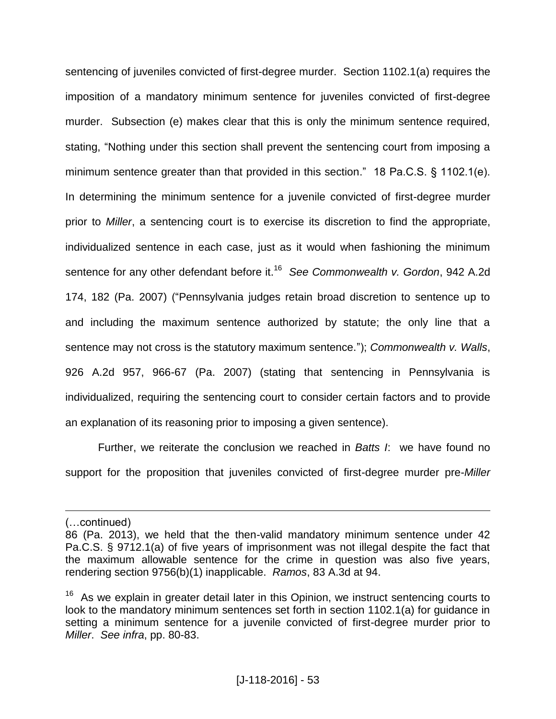sentencing of juveniles convicted of first-degree murder. Section 1102.1(a) requires the imposition of a mandatory minimum sentence for juveniles convicted of first-degree murder. Subsection (e) makes clear that this is only the minimum sentence required, stating, "Nothing under this section shall prevent the sentencing court from imposing a minimum sentence greater than that provided in this section." 18 Pa.C.S. § 1102.1(e). In determining the minimum sentence for a juvenile convicted of first-degree murder prior to *Miller*, a sentencing court is to exercise its discretion to find the appropriate, individualized sentence in each case, just as it would when fashioning the minimum sentence for any other defendant before it.<sup>16</sup> *See Commonwealth v. Gordon*, 942 A.2d 174, 182 (Pa. 2007) ("Pennsylvania judges retain broad discretion to sentence up to and including the maximum sentence authorized by statute; the only line that a sentence may not cross is the statutory maximum sentence."); *Commonwealth v. Walls*, 926 A.2d 957, 966-67 (Pa. 2007) (stating that sentencing in Pennsylvania is individualized, requiring the sentencing court to consider certain factors and to provide an explanation of its reasoning prior to imposing a given sentence).

Further, we reiterate the conclusion we reached in *Batts I*: we have found no support for the proposition that juveniles convicted of first-degree murder pre-*Miller*

 $\overline{a}$ 

<sup>(…</sup>continued)

<sup>86 (</sup>Pa. 2013), we held that the then-valid mandatory minimum sentence under 42 Pa.C.S. § 9712.1(a) of five years of imprisonment was not illegal despite the fact that the maximum allowable sentence for the crime in question was also five years, rendering section 9756(b)(1) inapplicable. *Ramos*, 83 A.3d at 94.

<sup>&</sup>lt;sup>16</sup> As we explain in greater detail later in this Opinion, we instruct sentencing courts to look to the mandatory minimum sentences set forth in section 1102.1(a) for guidance in setting a minimum sentence for a juvenile convicted of first-degree murder prior to *Miller*. *See infra*, pp. 80-83.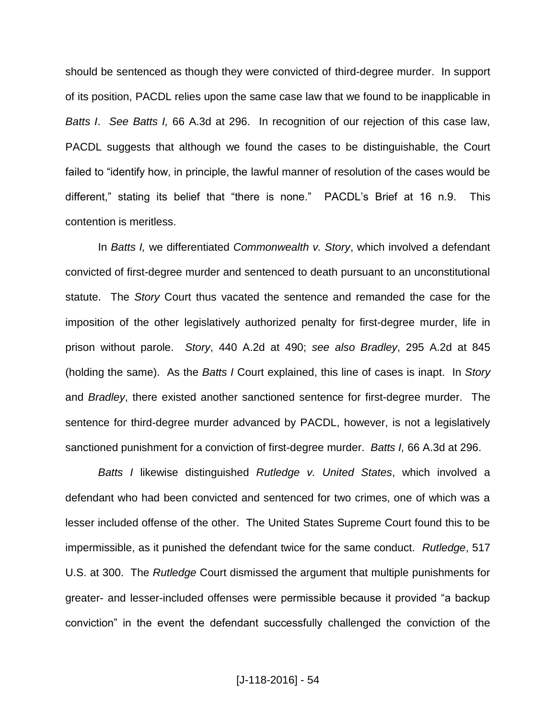should be sentenced as though they were convicted of third-degree murder. In support of its position, PACDL relies upon the same case law that we found to be inapplicable in *Batts I*. *See Batts I,* 66 A.3d at 296. In recognition of our rejection of this case law, PACDL suggests that although we found the cases to be distinguishable, the Court failed to "identify how, in principle, the lawful manner of resolution of the cases would be different," stating its belief that "there is none." PACDL's Brief at 16 n.9. This contention is meritless.

In *Batts I,* we differentiated *Commonwealth v. Story*, which involved a defendant convicted of first-degree murder and sentenced to death pursuant to an unconstitutional statute. The *Story* Court thus vacated the sentence and remanded the case for the imposition of the other legislatively authorized penalty for first-degree murder, life in prison without parole. *Story*, 440 A.2d at 490; *see also Bradley*, 295 A.2d at 845 (holding the same). As the *Batts I* Court explained, this line of cases is inapt. In *Story* and *Bradley*, there existed another sanctioned sentence for first-degree murder. The sentence for third-degree murder advanced by PACDL, however, is not a legislatively sanctioned punishment for a conviction of first-degree murder. *Batts I,* 66 A.3d at 296.

*Batts I* likewise distinguished *Rutledge v. United States*, which involved a defendant who had been convicted and sentenced for two crimes, one of which was a lesser included offense of the other. The United States Supreme Court found this to be impermissible, as it punished the defendant twice for the same conduct. *Rutledge*, 517 U.S. at 300. The *Rutledge* Court dismissed the argument that multiple punishments for greater- and lesser-included offenses were permissible because it provided "a backup conviction" in the event the defendant successfully challenged the conviction of the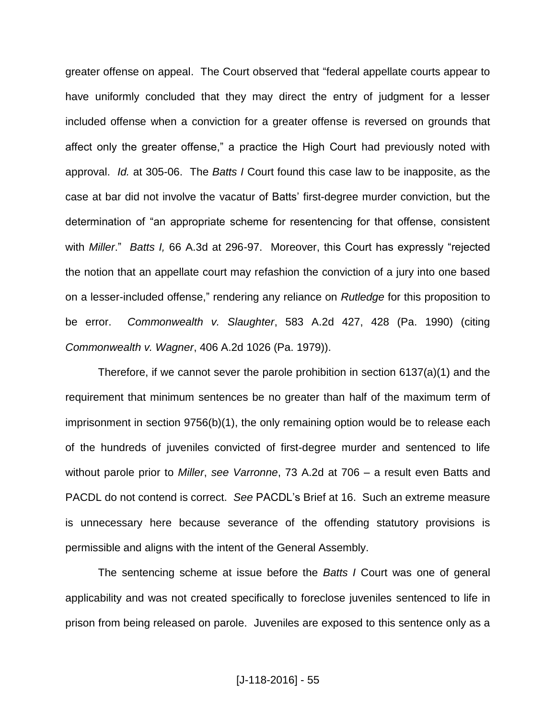greater offense on appeal. The Court observed that "federal appellate courts appear to have uniformly concluded that they may direct the entry of judgment for a lesser included offense when a conviction for a greater offense is reversed on grounds that affect only the greater offense," a practice the High Court had previously noted with approval. *Id.* at 305-06. The *Batts I* Court found this case law to be inapposite, as the case at bar did not involve the vacatur of Batts' first-degree murder conviction, but the determination of "an appropriate scheme for resentencing for that offense, consistent with *Miller*." *Batts I,* 66 A.3d at 296-97. Moreover, this Court has expressly "rejected the notion that an appellate court may refashion the conviction of a jury into one based on a lesser-included offense," rendering any reliance on *Rutledge* for this proposition to be error. *Commonwealth v. Slaughter*, 583 A.2d 427, 428 (Pa. 1990) (citing *Commonwealth v. Wagner*, 406 A.2d 1026 (Pa. 1979)).

Therefore, if we cannot sever the parole prohibition in section 6137(a)(1) and the requirement that minimum sentences be no greater than half of the maximum term of imprisonment in section 9756(b)(1), the only remaining option would be to release each of the hundreds of juveniles convicted of first-degree murder and sentenced to life without parole prior to *Miller*, *see Varronne*, 73 A.2d at 706 ‒ a result even Batts and PACDL do not contend is correct. *See* PACDL's Brief at 16. Such an extreme measure is unnecessary here because severance of the offending statutory provisions is permissible and aligns with the intent of the General Assembly.

The sentencing scheme at issue before the *Batts I* Court was one of general applicability and was not created specifically to foreclose juveniles sentenced to life in prison from being released on parole. Juveniles are exposed to this sentence only as a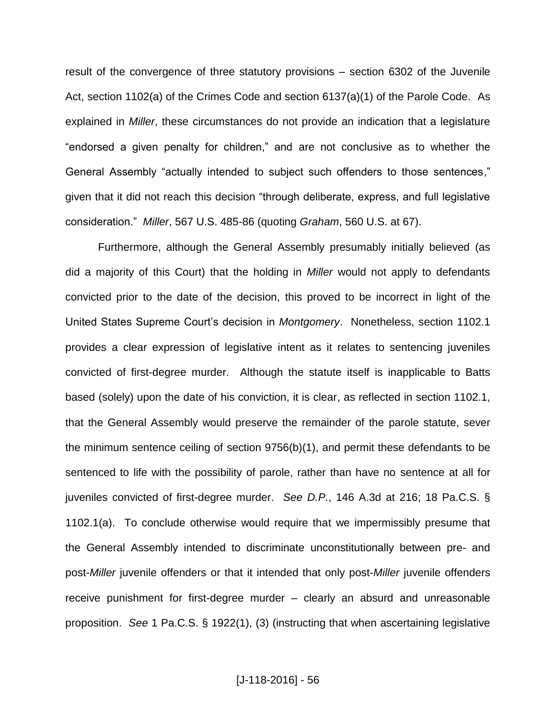result of the convergence of three statutory provisions – section 6302 of the Juvenile Act, section 1102(a) of the Crimes Code and section 6137(a)(1) of the Parole Code. As explained in *Miller*, these circumstances do not provide an indication that a legislature "endorsed a given penalty for children," and are not conclusive as to whether the General Assembly "actually intended to subject such offenders to those sentences," given that it did not reach this decision "through deliberate, express, and full legislative consideration." *Miller*, 567 U.S. 485-86 (quoting *Graham*, 560 U.S. at 67).

Furthermore, although the General Assembly presumably initially believed (as did a majority of this Court) that the holding in *Miller* would not apply to defendants convicted prior to the date of the decision, this proved to be incorrect in light of the United States Supreme Court's decision in *Montgomery*. Nonetheless, section 1102.1 provides a clear expression of legislative intent as it relates to sentencing juveniles convicted of first-degree murder. Although the statute itself is inapplicable to Batts based (solely) upon the date of his conviction, it is clear, as reflected in section 1102.1, that the General Assembly would preserve the remainder of the parole statute, sever the minimum sentence ceiling of section  $9756(b)(1)$ , and permit these defendants to be sentenced to life with the possibility of parole, rather than have no sentence at all for juveniles convicted of first-degree murder. *See D.P.*, 146 A.3d at 216; 18 Pa.C.S. § 1102.1(a). To conclude otherwise would require that we impermissibly presume that the General Assembly intended to discriminate unconstitutionally between pre- and post-*Miller* juvenile offenders or that it intended that only post-*Miller* juvenile offenders receive punishment for first-degree murder – clearly an absurd and unreasonable proposition. *See* 1 Pa.C.S. § 1922(1), (3) (instructing that when ascertaining legislative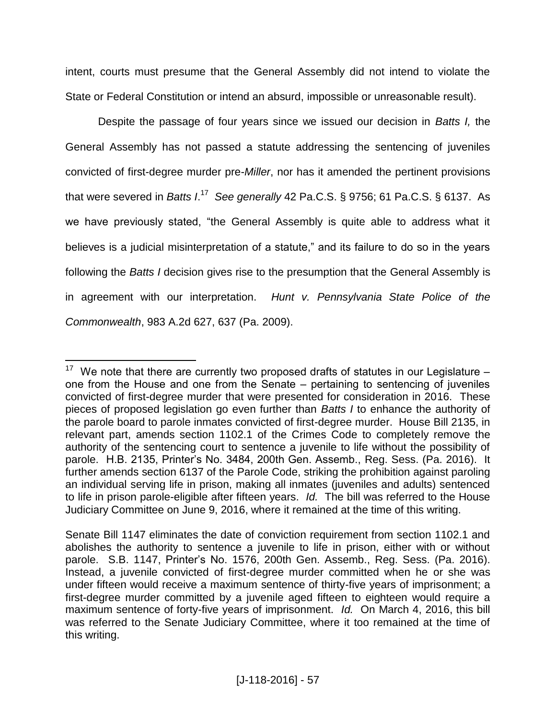intent, courts must presume that the General Assembly did not intend to violate the State or Federal Constitution or intend an absurd, impossible or unreasonable result).

Despite the passage of four years since we issued our decision in *Batts I,* the General Assembly has not passed a statute addressing the sentencing of juveniles convicted of first-degree murder pre-*Miller*, nor has it amended the pertinent provisions that were severed in *Batts I.<sup>17</sup> See generally* 42 Pa.C.S. § 9756; 61 Pa.C.S. § 6137. As we have previously stated, "the General Assembly is quite able to address what it believes is a judicial misinterpretation of a statute," and its failure to do so in the years following the *Batts I* decision gives rise to the presumption that the General Assembly is in agreement with our interpretation. *Hunt v. Pennsylvania State Police of the Commonwealth*, 983 A.2d 627, 637 (Pa. 2009).

 $\overline{a}$ 

<sup>17</sup> We note that there are currently two proposed drafts of statutes in our Legislature – one from the House and one from the Senate – pertaining to sentencing of juveniles convicted of first-degree murder that were presented for consideration in 2016. These pieces of proposed legislation go even further than *Batts I* to enhance the authority of the parole board to parole inmates convicted of first-degree murder. House Bill 2135, in relevant part, amends section 1102.1 of the Crimes Code to completely remove the authority of the sentencing court to sentence a juvenile to life without the possibility of parole. H.B. 2135, Printer's No. 3484, 200th Gen. Assemb., Reg. Sess. (Pa. 2016). It further amends section 6137 of the Parole Code, striking the prohibition against paroling an individual serving life in prison, making all inmates (juveniles and adults) sentenced to life in prison parole-eligible after fifteen years. *Id.* The bill was referred to the House Judiciary Committee on June 9, 2016, where it remained at the time of this writing.

Senate Bill 1147 eliminates the date of conviction requirement from section 1102.1 and abolishes the authority to sentence a juvenile to life in prison, either with or without parole. S.B. 1147, Printer's No. 1576, 200th Gen. Assemb., Reg. Sess. (Pa. 2016). Instead, a juvenile convicted of first-degree murder committed when he or she was under fifteen would receive a maximum sentence of thirty-five years of imprisonment; a first-degree murder committed by a juvenile aged fifteen to eighteen would require a maximum sentence of forty-five years of imprisonment. *Id.* On March 4, 2016, this bill was referred to the Senate Judiciary Committee, where it too remained at the time of this writing.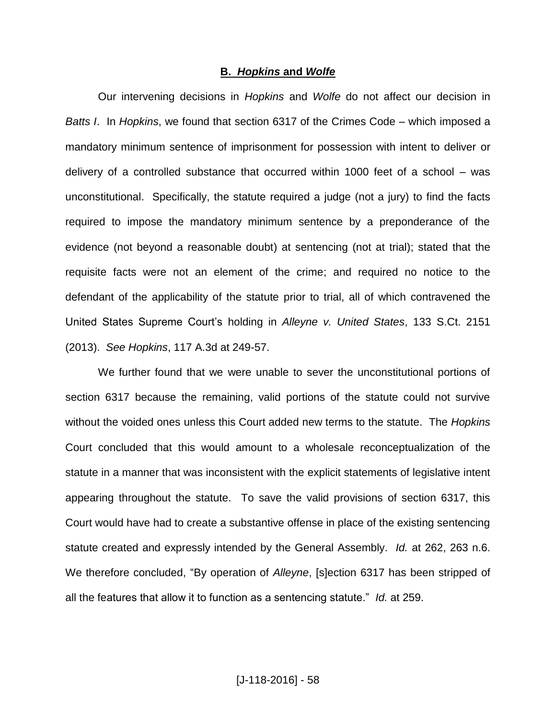#### **B.** *Hopkins* **and** *Wolfe*

Our intervening decisions in *Hopkins* and *Wolfe* do not affect our decision in *Batts I.* In *Hopkins*, we found that section 6317 of the Crimes Code – which imposed a mandatory minimum sentence of imprisonment for possession with intent to deliver or delivery of a controlled substance that occurred within 1000 feet of a school  $-$  was unconstitutional. Specifically, the statute required a judge (not a jury) to find the facts required to impose the mandatory minimum sentence by a preponderance of the evidence (not beyond a reasonable doubt) at sentencing (not at trial); stated that the requisite facts were not an element of the crime; and required no notice to the defendant of the applicability of the statute prior to trial, all of which contravened the United States Supreme Court's holding in *Alleyne v. United States*, 133 S.Ct. 2151 (2013). *See Hopkins*, 117 A.3d at 249-57.

We further found that we were unable to sever the unconstitutional portions of section 6317 because the remaining, valid portions of the statute could not survive without the voided ones unless this Court added new terms to the statute. The *Hopkins* Court concluded that this would amount to a wholesale reconceptualization of the statute in a manner that was inconsistent with the explicit statements of legislative intent appearing throughout the statute. To save the valid provisions of section 6317, this Court would have had to create a substantive offense in place of the existing sentencing statute created and expressly intended by the General Assembly. *Id.* at 262, 263 n.6. We therefore concluded, "By operation of *Alleyne*, [s]ection 6317 has been stripped of all the features that allow it to function as a sentencing statute." *Id.* at 259.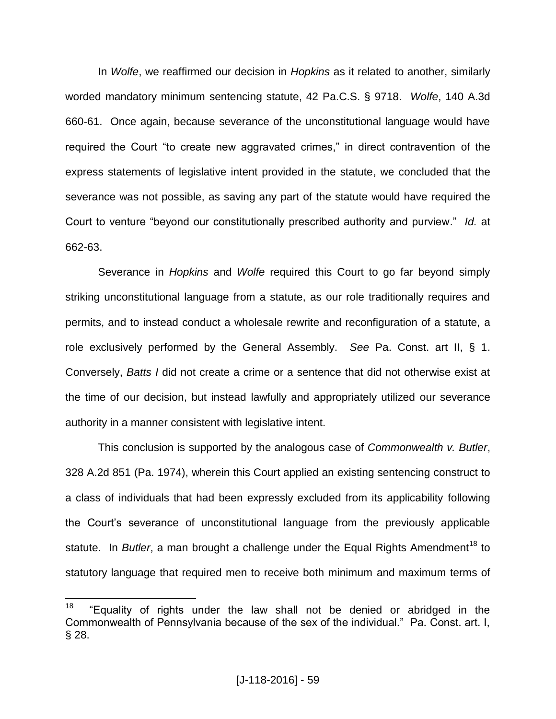In *Wolfe*, we reaffirmed our decision in *Hopkins* as it related to another, similarly worded mandatory minimum sentencing statute, 42 Pa.C.S. § 9718. *Wolfe*, 140 A.3d 660-61. Once again, because severance of the unconstitutional language would have required the Court "to create new aggravated crimes," in direct contravention of the express statements of legislative intent provided in the statute, we concluded that the severance was not possible, as saving any part of the statute would have required the Court to venture "beyond our constitutionally prescribed authority and purview." *Id.* at 662-63.

Severance in *Hopkins* and *Wolfe* required this Court to go far beyond simply striking unconstitutional language from a statute, as our role traditionally requires and permits, and to instead conduct a wholesale rewrite and reconfiguration of a statute, a role exclusively performed by the General Assembly. *See* Pa. Const. art II, § 1. Conversely, *Batts I* did not create a crime or a sentence that did not otherwise exist at the time of our decision, but instead lawfully and appropriately utilized our severance authority in a manner consistent with legislative intent.

This conclusion is supported by the analogous case of *Commonwealth v. Butler*, 328 A.2d 851 (Pa. 1974), wherein this Court applied an existing sentencing construct to a class of individuals that had been expressly excluded from its applicability following the Court's severance of unconstitutional language from the previously applicable statute. In *Butler*, a man brought a challenge under the Equal Rights Amendment<sup>18</sup> to statutory language that required men to receive both minimum and maximum terms of

 $\frac{1}{18}$  "Equality of rights under the law shall not be denied or abridged in the Commonwealth of Pennsylvania because of the sex of the individual." Pa. Const. art. I, § 28.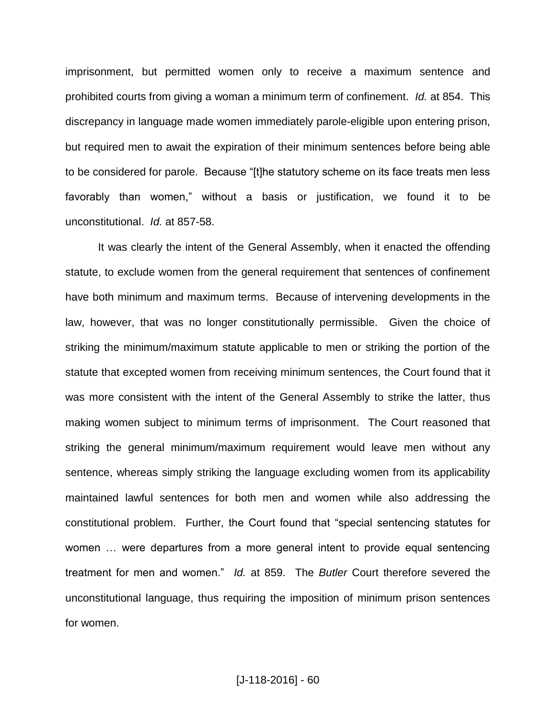imprisonment, but permitted women only to receive a maximum sentence and prohibited courts from giving a woman a minimum term of confinement. *Id.* at 854. This discrepancy in language made women immediately parole-eligible upon entering prison, but required men to await the expiration of their minimum sentences before being able to be considered for parole. Because "[t]he statutory scheme on its face treats men less favorably than women," without a basis or justification, we found it to be unconstitutional. *Id.* at 857-58.

It was clearly the intent of the General Assembly, when it enacted the offending statute, to exclude women from the general requirement that sentences of confinement have both minimum and maximum terms. Because of intervening developments in the law, however, that was no longer constitutionally permissible. Given the choice of striking the minimum/maximum statute applicable to men or striking the portion of the statute that excepted women from receiving minimum sentences, the Court found that it was more consistent with the intent of the General Assembly to strike the latter, thus making women subject to minimum terms of imprisonment. The Court reasoned that striking the general minimum/maximum requirement would leave men without any sentence, whereas simply striking the language excluding women from its applicability maintained lawful sentences for both men and women while also addressing the constitutional problem. Further, the Court found that "special sentencing statutes for women … were departures from a more general intent to provide equal sentencing treatment for men and women." *Id.* at 859. The *Butler* Court therefore severed the unconstitutional language, thus requiring the imposition of minimum prison sentences for women.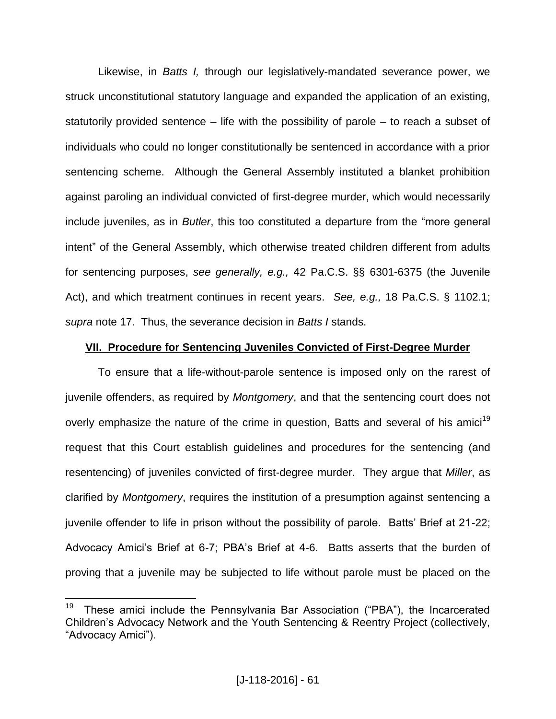Likewise, in *Batts I,* through our legislatively-mandated severance power, we struck unconstitutional statutory language and expanded the application of an existing, statutorily provided sentence  $-$  life with the possibility of parole  $-$  to reach a subset of individuals who could no longer constitutionally be sentenced in accordance with a prior sentencing scheme. Although the General Assembly instituted a blanket prohibition against paroling an individual convicted of first-degree murder, which would necessarily include juveniles, as in *Butler*, this too constituted a departure from the "more general intent" of the General Assembly, which otherwise treated children different from adults for sentencing purposes, *see generally, e.g.,* 42 Pa.C.S. §§ 6301-6375 (the Juvenile Act), and which treatment continues in recent years. *See, e.g.,* 18 Pa.C.S. § 1102.1; *supra* note 17. Thus, the severance decision in *Batts I* stands.

### **VII. Procedure for Sentencing Juveniles Convicted of First-Degree Murder**

To ensure that a life-without-parole sentence is imposed only on the rarest of juvenile offenders, as required by *Montgomery*, and that the sentencing court does not overly emphasize the nature of the crime in question, Batts and several of his amici<sup>19</sup> request that this Court establish guidelines and procedures for the sentencing (and resentencing) of juveniles convicted of first-degree murder. They argue that *Miller*, as clarified by *Montgomery*, requires the institution of a presumption against sentencing a juvenile offender to life in prison without the possibility of parole. Batts' Brief at 21-22; Advocacy Amici's Brief at 6-7; PBA's Brief at 4-6. Batts asserts that the burden of proving that a juvenile may be subjected to life without parole must be placed on the

 $\overline{a}$ 

<sup>19</sup> These amici include the Pennsylvania Bar Association ("PBA"), the Incarcerated Children's Advocacy Network and the Youth Sentencing & Reentry Project (collectively, "Advocacy Amici").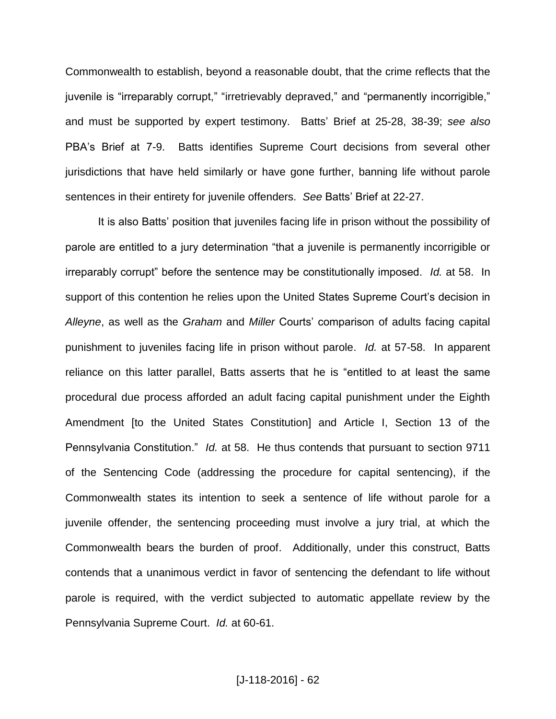Commonwealth to establish, beyond a reasonable doubt, that the crime reflects that the juvenile is "irreparably corrupt," "irretrievably depraved," and "permanently incorrigible," and must be supported by expert testimony. Batts' Brief at 25-28, 38-39; *see also* PBA's Brief at 7-9. Batts identifies Supreme Court decisions from several other jurisdictions that have held similarly or have gone further, banning life without parole sentences in their entirety for juvenile offenders. *See* Batts' Brief at 22-27.

It is also Batts' position that juveniles facing life in prison without the possibility of parole are entitled to a jury determination "that a juvenile is permanently incorrigible or irreparably corrupt" before the sentence may be constitutionally imposed. *Id.* at 58. In support of this contention he relies upon the United States Supreme Court's decision in *Alleyne*, as well as the *Graham* and *Miller* Courts' comparison of adults facing capital punishment to juveniles facing life in prison without parole. *Id.* at 57-58. In apparent reliance on this latter parallel, Batts asserts that he is "entitled to at least the same procedural due process afforded an adult facing capital punishment under the Eighth Amendment [to the United States Constitution] and Article I, Section 13 of the Pennsylvania Constitution." *Id.* at 58. He thus contends that pursuant to section 9711 of the Sentencing Code (addressing the procedure for capital sentencing), if the Commonwealth states its intention to seek a sentence of life without parole for a juvenile offender, the sentencing proceeding must involve a jury trial, at which the Commonwealth bears the burden of proof. Additionally, under this construct, Batts contends that a unanimous verdict in favor of sentencing the defendant to life without parole is required, with the verdict subjected to automatic appellate review by the Pennsylvania Supreme Court. *Id.* at 60-61.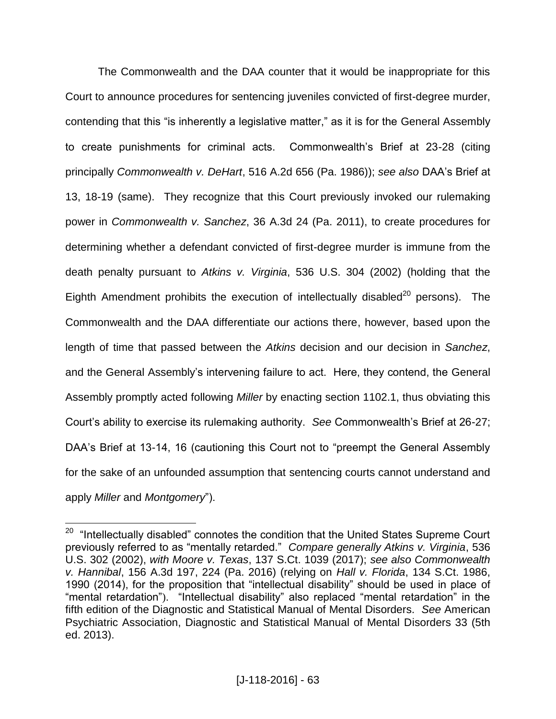The Commonwealth and the DAA counter that it would be inappropriate for this Court to announce procedures for sentencing juveniles convicted of first-degree murder, contending that this "is inherently a legislative matter," as it is for the General Assembly to create punishments for criminal acts. Commonwealth's Brief at 23-28 (citing principally *Commonwealth v. DeHart*, 516 A.2d 656 (Pa. 1986)); *see also* DAA's Brief at 13, 18-19 (same). They recognize that this Court previously invoked our rulemaking power in *Commonwealth v. Sanchez*, 36 A.3d 24 (Pa. 2011), to create procedures for determining whether a defendant convicted of first-degree murder is immune from the death penalty pursuant to *Atkins v. Virginia*, 536 U.S. 304 (2002) (holding that the Eighth Amendment prohibits the execution of intellectually disabled<sup>20</sup> persons). The Commonwealth and the DAA differentiate our actions there, however, based upon the length of time that passed between the *Atkins* decision and our decision in *Sanchez*, and the General Assembly's intervening failure to act. Here, they contend, the General Assembly promptly acted following *Miller* by enacting section 1102.1, thus obviating this Court's ability to exercise its rulemaking authority. *See* Commonwealth's Brief at 26-27; DAA's Brief at 13-14, 16 (cautioning this Court not to "preempt the General Assembly for the sake of an unfounded assumption that sentencing courts cannot understand and apply *Miller* and *Montgomery*").

 20 "Intellectually disabled" connotes the condition that the United States Supreme Court previously referred to as "mentally retarded." *Compare generally Atkins v. Virginia*, 536 U.S. 302 (2002), *with Moore v. Texas*, 137 S.Ct. 1039 (2017); *see also Commonwealth v. Hannibal*, 156 A.3d 197, 224 (Pa. 2016) (relying on *Hall v. Florida*, 134 S.Ct. 1986, 1990 (2014), for the proposition that "intellectual disability" should be used in place of "mental retardation"). "Intellectual disability" also replaced "mental retardation" in the fifth edition of the Diagnostic and Statistical Manual of Mental Disorders. *See* American Psychiatric Association, Diagnostic and Statistical Manual of Mental Disorders 33 (5th ed. 2013).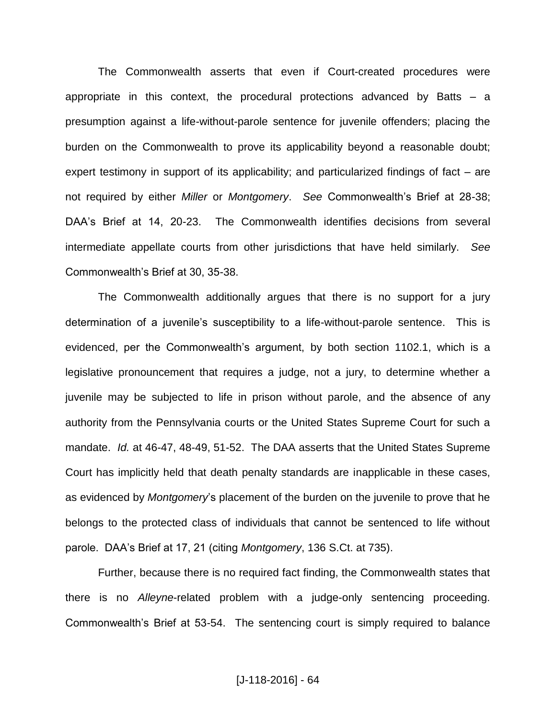The Commonwealth asserts that even if Court-created procedures were appropriate in this context, the procedural protections advanced by Batts  $-$  a presumption against a life-without-parole sentence for juvenile offenders; placing the burden on the Commonwealth to prove its applicability beyond a reasonable doubt; expert testimony in support of its applicability; and particularized findings of fact  $-$  are not required by either *Miller* or *Montgomery*. *See* Commonwealth's Brief at 28-38; DAA's Brief at 14, 20-23. The Commonwealth identifies decisions from several intermediate appellate courts from other jurisdictions that have held similarly. *See* Commonwealth's Brief at 30, 35-38.

The Commonwealth additionally argues that there is no support for a jury determination of a juvenile's susceptibility to a life-without-parole sentence. This is evidenced, per the Commonwealth's argument, by both section 1102.1, which is a legislative pronouncement that requires a judge, not a jury, to determine whether a juvenile may be subjected to life in prison without parole, and the absence of any authority from the Pennsylvania courts or the United States Supreme Court for such a mandate. *Id.* at 46-47, 48-49, 51-52. The DAA asserts that the United States Supreme Court has implicitly held that death penalty standards are inapplicable in these cases, as evidenced by *Montgomery*'s placement of the burden on the juvenile to prove that he belongs to the protected class of individuals that cannot be sentenced to life without parole. DAA's Brief at 17, 21 (citing *Montgomery*, 136 S.Ct. at 735).

Further, because there is no required fact finding, the Commonwealth states that there is no *Alleyne*-related problem with a judge-only sentencing proceeding. Commonwealth's Brief at 53-54. The sentencing court is simply required to balance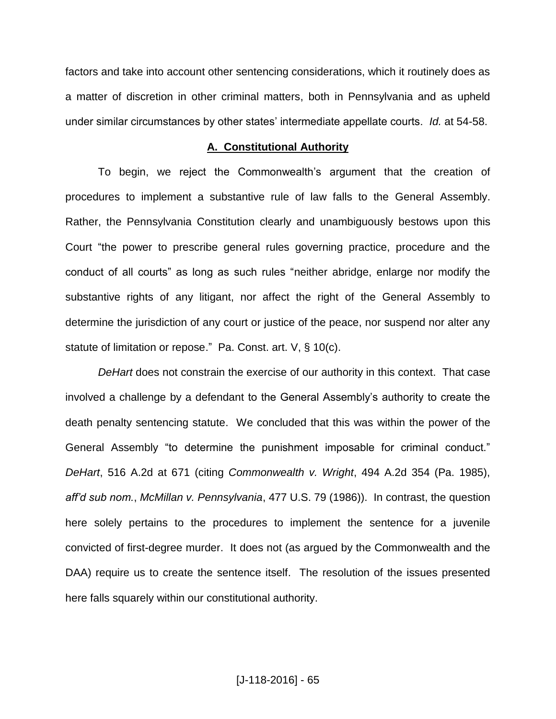factors and take into account other sentencing considerations, which it routinely does as a matter of discretion in other criminal matters, both in Pennsylvania and as upheld under similar circumstances by other states' intermediate appellate courts. *Id.* at 54-58.

#### **A. Constitutional Authority**

To begin, we reject the Commonwealth's argument that the creation of procedures to implement a substantive rule of law falls to the General Assembly. Rather, the Pennsylvania Constitution clearly and unambiguously bestows upon this Court "the power to prescribe general rules governing practice, procedure and the conduct of all courts" as long as such rules "neither abridge, enlarge nor modify the substantive rights of any litigant, nor affect the right of the General Assembly to determine the jurisdiction of any court or justice of the peace, nor suspend nor alter any statute of limitation or repose." Pa. Const. art. V, § 10(c).

*DeHart* does not constrain the exercise of our authority in this context. That case involved a challenge by a defendant to the General Assembly's authority to create the death penalty sentencing statute. We concluded that this was within the power of the General Assembly "to determine the punishment imposable for criminal conduct." *DeHart*, 516 A.2d at 671 (citing *Commonwealth v. Wright*, 494 A.2d 354 (Pa. 1985), *aff'd sub nom.*, *McMillan v. Pennsylvania*, 477 U.S. 79 (1986)). In contrast, the question here solely pertains to the procedures to implement the sentence for a juvenile convicted of first-degree murder. It does not (as argued by the Commonwealth and the DAA) require us to create the sentence itself. The resolution of the issues presented here falls squarely within our constitutional authority.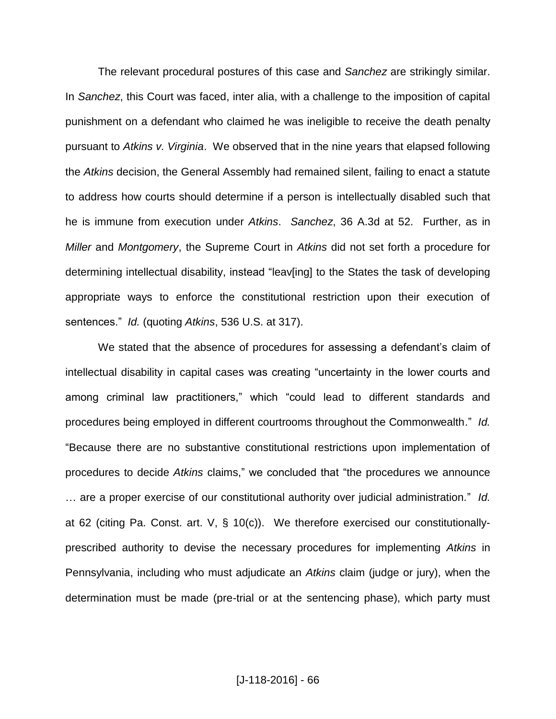The relevant procedural postures of this case and *Sanchez* are strikingly similar. In *Sanchez*, this Court was faced, inter alia, with a challenge to the imposition of capital punishment on a defendant who claimed he was ineligible to receive the death penalty pursuant to *Atkins v. Virginia*. We observed that in the nine years that elapsed following the *Atkins* decision, the General Assembly had remained silent, failing to enact a statute to address how courts should determine if a person is intellectually disabled such that he is immune from execution under *Atkins*. *Sanchez*, 36 A.3d at 52. Further, as in *Miller* and *Montgomery*, the Supreme Court in *Atkins* did not set forth a procedure for determining intellectual disability, instead "leav[ing] to the States the task of developing appropriate ways to enforce the constitutional restriction upon their execution of sentences." *Id.* (quoting *Atkins*, 536 U.S. at 317).

We stated that the absence of procedures for assessing a defendant's claim of intellectual disability in capital cases was creating "uncertainty in the lower courts and among criminal law practitioners," which "could lead to different standards and procedures being employed in different courtrooms throughout the Commonwealth." *Id.* "Because there are no substantive constitutional restrictions upon implementation of procedures to decide *Atkins* claims," we concluded that "the procedures we announce … are a proper exercise of our constitutional authority over judicial administration." *Id.* at 62 (citing Pa. Const. art. V, § 10(c)). We therefore exercised our constitutionallyprescribed authority to devise the necessary procedures for implementing *Atkins* in Pennsylvania, including who must adjudicate an *Atkins* claim (judge or jury), when the determination must be made (pre-trial or at the sentencing phase), which party must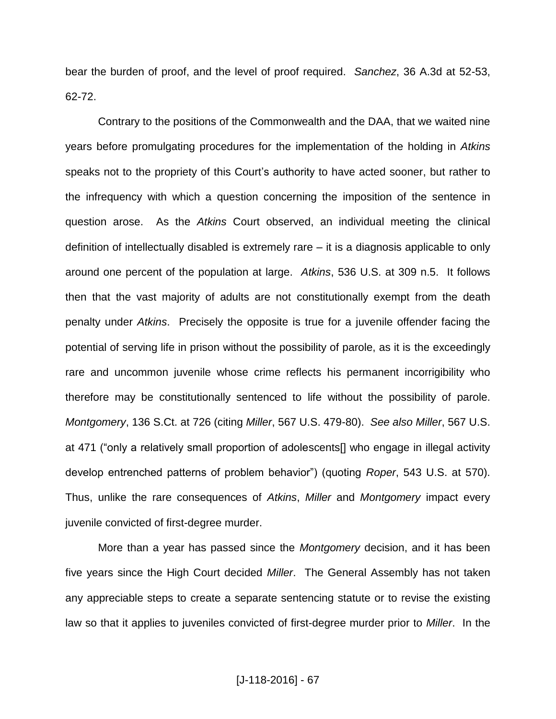bear the burden of proof, and the level of proof required. *Sanchez*, 36 A.3d at 52-53, 62-72.

Contrary to the positions of the Commonwealth and the DAA, that we waited nine years before promulgating procedures for the implementation of the holding in *Atkins* speaks not to the propriety of this Court's authority to have acted sooner, but rather to the infrequency with which a question concerning the imposition of the sentence in question arose. As the *Atkins* Court observed, an individual meeting the clinical definition of intellectually disabled is extremely rare – it is a diagnosis applicable to only around one percent of the population at large. *Atkins*, 536 U.S. at 309 n.5. It follows then that the vast majority of adults are not constitutionally exempt from the death penalty under *Atkins*. Precisely the opposite is true for a juvenile offender facing the potential of serving life in prison without the possibility of parole, as it is the exceedingly rare and uncommon juvenile whose crime reflects his permanent incorrigibility who therefore may be constitutionally sentenced to life without the possibility of parole. *Montgomery*, 136 S.Ct. at 726 (citing *Miller*, 567 U.S. 479-80). *See also Miller*, 567 U.S. at 471 ("only a relatively small proportion of adolescents[] who engage in illegal activity develop entrenched patterns of problem behavior") (quoting *Roper*, 543 U.S. at 570). Thus, unlike the rare consequences of *Atkins*, *Miller* and *Montgomery* impact every juvenile convicted of first-degree murder.

More than a year has passed since the *Montgomery* decision, and it has been five years since the High Court decided *Miller*. The General Assembly has not taken any appreciable steps to create a separate sentencing statute or to revise the existing law so that it applies to juveniles convicted of first-degree murder prior to *Miller*. In the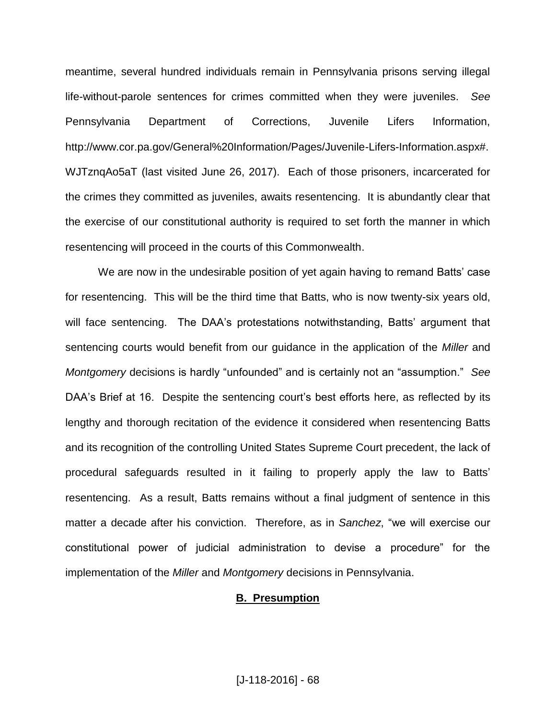meantime, several hundred individuals remain in Pennsylvania prisons serving illegal life-without-parole sentences for crimes committed when they were juveniles. *See* Pennsylvania Department of Corrections, Juvenile Lifers Information, http://www.cor.pa.gov/General%20Information/Pages/Juvenile-Lifers-Information.aspx#. WJTznqAo5aT (last visited June 26, 2017). Each of those prisoners, incarcerated for the crimes they committed as juveniles, awaits resentencing. It is abundantly clear that the exercise of our constitutional authority is required to set forth the manner in which resentencing will proceed in the courts of this Commonwealth.

We are now in the undesirable position of yet again having to remand Batts' case for resentencing. This will be the third time that Batts, who is now twenty-six years old, will face sentencing. The DAA's protestations notwithstanding, Batts' argument that sentencing courts would benefit from our guidance in the application of the *Miller* and *Montgomery* decisions is hardly "unfounded" and is certainly not an "assumption." *See* DAA's Brief at 16. Despite the sentencing court's best efforts here, as reflected by its lengthy and thorough recitation of the evidence it considered when resentencing Batts and its recognition of the controlling United States Supreme Court precedent, the lack of procedural safeguards resulted in it failing to properly apply the law to Batts' resentencing. As a result, Batts remains without a final judgment of sentence in this matter a decade after his conviction. Therefore, as in *Sanchez*, "we will exercise our constitutional power of judicial administration to devise a procedure" for the implementation of the *Miller* and *Montgomery* decisions in Pennsylvania.

### **B. Presumption**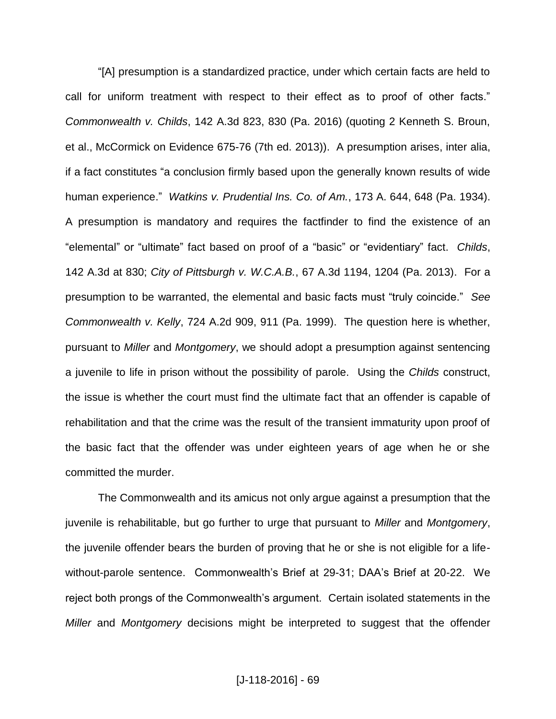"[A] presumption is a standardized practice, under which certain facts are held to call for uniform treatment with respect to their effect as to proof of other facts." *Commonwealth v. Childs*, 142 A.3d 823, 830 (Pa. 2016) (quoting 2 Kenneth S. Broun, et al., McCormick on Evidence 675-76 (7th ed. 2013)). A presumption arises, inter alia, if a fact constitutes "a conclusion firmly based upon the generally known results of wide human experience." *Watkins v. Prudential Ins. Co. of Am.*, 173 A. 644, 648 (Pa. 1934). A presumption is mandatory and requires the factfinder to find the existence of an "elemental" or "ultimate" fact based on proof of a "basic" or "evidentiary" fact. *Childs*, 142 A.3d at 830; *City of Pittsburgh v. W.C.A.B.*, 67 A.3d 1194, 1204 (Pa. 2013). For a presumption to be warranted, the elemental and basic facts must "truly coincide." *See Commonwealth v. Kelly*, 724 A.2d 909, 911 (Pa. 1999). The question here is whether, pursuant to *Miller* and *Montgomery*, we should adopt a presumption against sentencing a juvenile to life in prison without the possibility of parole. Using the *Childs* construct, the issue is whether the court must find the ultimate fact that an offender is capable of rehabilitation and that the crime was the result of the transient immaturity upon proof of the basic fact that the offender was under eighteen years of age when he or she committed the murder.

The Commonwealth and its amicus not only argue against a presumption that the juvenile is rehabilitable, but go further to urge that pursuant to *Miller* and *Montgomery*, the juvenile offender bears the burden of proving that he or she is not eligible for a lifewithout-parole sentence. Commonwealth's Brief at 29-31; DAA's Brief at 20-22. We reject both prongs of the Commonwealth's argument. Certain isolated statements in the *Miller* and *Montgomery* decisions might be interpreted to suggest that the offender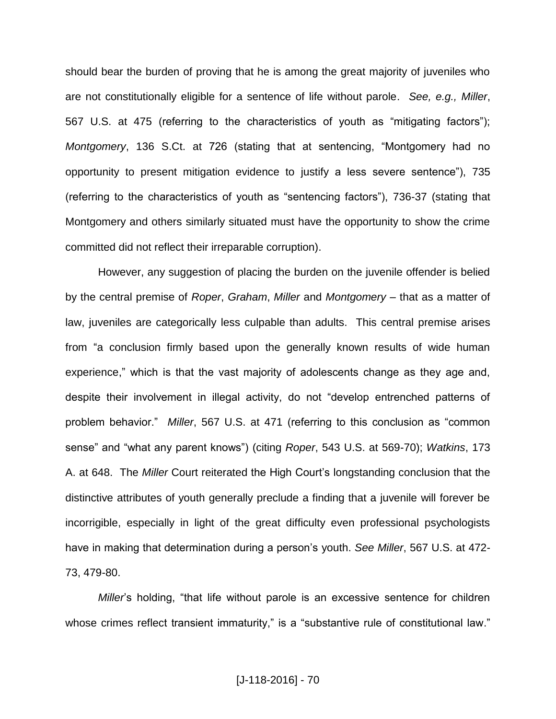should bear the burden of proving that he is among the great majority of juveniles who are not constitutionally eligible for a sentence of life without parole. *See, e.g., Miller*, 567 U.S. at 475 (referring to the characteristics of youth as "mitigating factors"); *Montgomery*, 136 S.Ct. at 726 (stating that at sentencing, "Montgomery had no opportunity to present mitigation evidence to justify a less severe sentence"), 735 (referring to the characteristics of youth as "sentencing factors"), 736-37 (stating that Montgomery and others similarly situated must have the opportunity to show the crime committed did not reflect their irreparable corruption).

However, any suggestion of placing the burden on the juvenile offender is belied by the central premise of *Roper*, *Graham*, *Miller* and *Montgomery* ‒ that as a matter of law, juveniles are categorically less culpable than adults. This central premise arises from "a conclusion firmly based upon the generally known results of wide human experience," which is that the vast majority of adolescents change as they age and, despite their involvement in illegal activity, do not "develop entrenched patterns of problem behavior." *Miller*, 567 U.S. at 471 (referring to this conclusion as "common sense" and "what any parent knows") (citing *Roper*, 543 U.S. at 569-70); *Watkins*, 173 A. at 648. The *Miller* Court reiterated the High Court's longstanding conclusion that the distinctive attributes of youth generally preclude a finding that a juvenile will forever be incorrigible, especially in light of the great difficulty even professional psychologists have in making that determination during a person's youth. *See Miller*, 567 U.S. at 472- 73, 479-80.

*Miller*'s holding, "that life without parole is an excessive sentence for children whose crimes reflect transient immaturity," is a "substantive rule of constitutional law."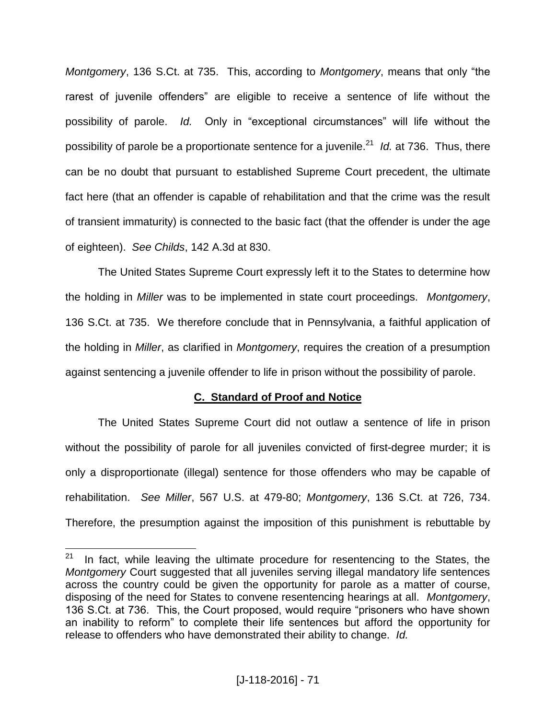*Montgomery*, 136 S.Ct. at 735. This, according to *Montgomery*, means that only "the rarest of juvenile offenders" are eligible to receive a sentence of life without the possibility of parole. *Id.* Only in "exceptional circumstances" will life without the possibility of parole be a proportionate sentence for a juvenile.<sup>21</sup> Id. at 736. Thus, there can be no doubt that pursuant to established Supreme Court precedent, the ultimate fact here (that an offender is capable of rehabilitation and that the crime was the result of transient immaturity) is connected to the basic fact (that the offender is under the age of eighteen). *See Childs*, 142 A.3d at 830.

The United States Supreme Court expressly left it to the States to determine how the holding in *Miller* was to be implemented in state court proceedings. *Montgomery*, 136 S.Ct. at 735. We therefore conclude that in Pennsylvania, a faithful application of the holding in *Miller*, as clarified in *Montgomery*, requires the creation of a presumption against sentencing a juvenile offender to life in prison without the possibility of parole.

### **C. Standard of Proof and Notice**

The United States Supreme Court did not outlaw a sentence of life in prison without the possibility of parole for all juveniles convicted of first-degree murder; it is only a disproportionate (illegal) sentence for those offenders who may be capable of rehabilitation. *See Miller*, 567 U.S. at 479-80; *Montgomery*, 136 S.Ct. at 726, 734. Therefore, the presumption against the imposition of this punishment is rebuttable by

 $\frac{1}{21}$  In fact, while leaving the ultimate procedure for resentencing to the States, the *Montgomery* Court suggested that all juveniles serving illegal mandatory life sentences across the country could be given the opportunity for parole as a matter of course, disposing of the need for States to convene resentencing hearings at all. *Montgomery*, 136 S.Ct. at 736. This, the Court proposed, would require "prisoners who have shown an inability to reform" to complete their life sentences but afford the opportunity for release to offenders who have demonstrated their ability to change. *Id.*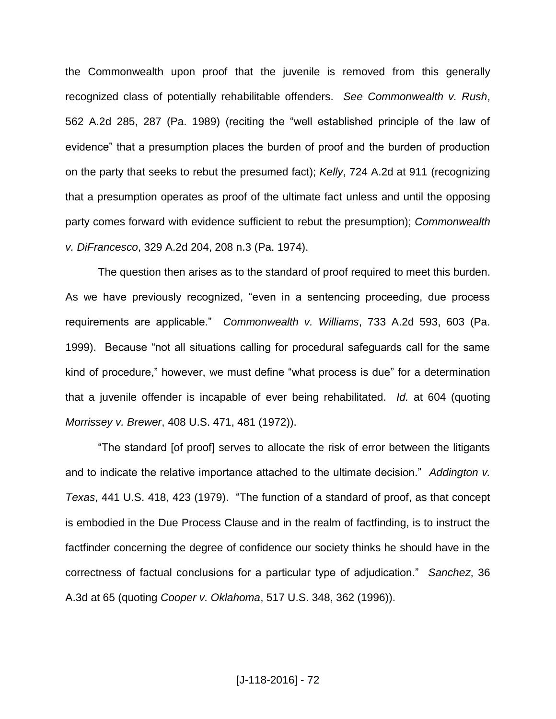the Commonwealth upon proof that the juvenile is removed from this generally recognized class of potentially rehabilitable offenders. *See Commonwealth v. Rush*, 562 A.2d 285, 287 (Pa. 1989) (reciting the "well established principle of the law of evidence" that a presumption places the burden of proof and the burden of production on the party that seeks to rebut the presumed fact); *Kelly*, 724 A.2d at 911 (recognizing that a presumption operates as proof of the ultimate fact unless and until the opposing party comes forward with evidence sufficient to rebut the presumption); *Commonwealth v. DiFrancesco*, 329 A.2d 204, 208 n.3 (Pa. 1974).

The question then arises as to the standard of proof required to meet this burden. As we have previously recognized, "even in a sentencing proceeding, due process requirements are applicable." *Commonwealth v. Williams*, 733 A.2d 593, 603 (Pa. 1999). Because "not all situations calling for procedural safeguards call for the same kind of procedure," however, we must define "what process is due" for a determination that a juvenile offender is incapable of ever being rehabilitated. *Id.* at 604 (quoting *Morrissey v. Brewer*, 408 U.S. 471, 481 (1972)).

"The standard [of proof] serves to allocate the risk of error between the litigants and to indicate the relative importance attached to the ultimate decision." *Addington v. Texas*, 441 U.S. 418, 423 (1979). "The function of a standard of proof, as that concept is embodied in the Due Process Clause and in the realm of factfinding, is to instruct the factfinder concerning the degree of confidence our society thinks he should have in the correctness of factual conclusions for a particular type of adjudication." *Sanchez*, 36 A.3d at 65 (quoting *Cooper v. Oklahoma*, 517 U.S. 348, 362 (1996)).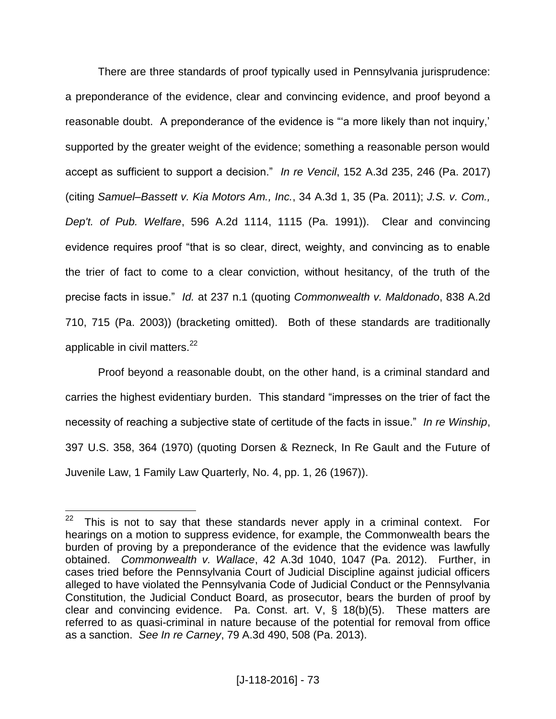There are three standards of proof typically used in Pennsylvania jurisprudence: a preponderance of the evidence, clear and convincing evidence, and proof beyond a reasonable doubt. A preponderance of the evidence is "a more likely than not inquiry," supported by the greater weight of the evidence; something a reasonable person would accept as sufficient to support a decision." *In re Vencil*, 152 A.3d 235, 246 (Pa. 2017) (citing *Samuel–Bassett v. Kia Motors Am., Inc.*, 34 A.3d 1, 35 (Pa. 2011); *J.S. v. Com., Dep't. of Pub. Welfare*, 596 A.2d 1114, 1115 (Pa. 1991)). Clear and convincing evidence requires proof "that is so clear, direct, weighty, and convincing as to enable the trier of fact to come to a clear conviction, without hesitancy, of the truth of the precise facts in issue." *Id.* at 237 n.1 (quoting *Commonwealth v. Maldonado*, 838 A.2d 710, 715 (Pa. 2003)) (bracketing omitted). Both of these standards are traditionally applicable in civil matters.<sup>22</sup>

Proof beyond a reasonable doubt, on the other hand, is a criminal standard and carries the highest evidentiary burden. This standard "impresses on the trier of fact the necessity of reaching a subjective state of certitude of the facts in issue." *In re Winship*, 397 U.S. 358, 364 (1970) (quoting Dorsen & Rezneck, In Re Gault and the Future of Juvenile Law, 1 Family Law Quarterly, No. 4, pp. 1, 26 (1967)).

 $\frac{1}{22}$  This is not to say that these standards never apply in a criminal context. For hearings on a motion to suppress evidence, for example, the Commonwealth bears the burden of proving by a preponderance of the evidence that the evidence was lawfully obtained. *Commonwealth v. Wallace*, 42 A.3d 1040, 1047 (Pa. 2012). Further, in cases tried before the Pennsylvania Court of Judicial Discipline against judicial officers alleged to have violated the Pennsylvania Code of Judicial Conduct or the Pennsylvania Constitution, the Judicial Conduct Board, as prosecutor, bears the burden of proof by clear and convincing evidence. Pa. Const. art. V, § 18(b)(5). These matters are referred to as quasi-criminal in nature because of the potential for removal from office as a sanction. *See In re Carney*, 79 A.3d 490, 508 (Pa. 2013).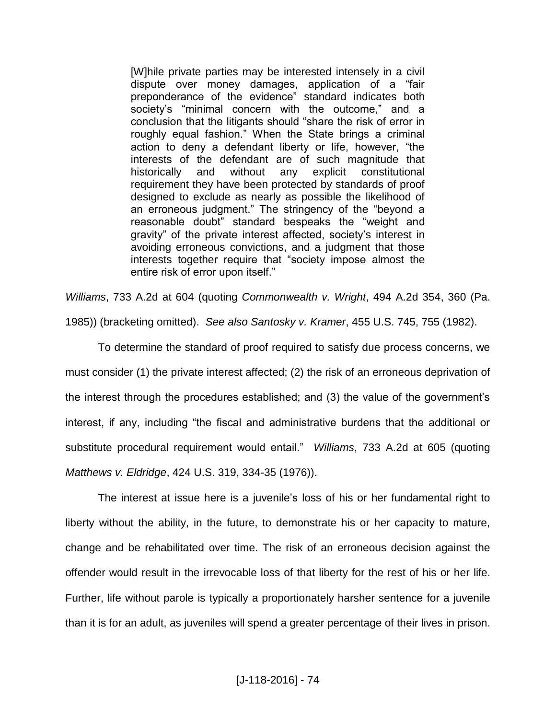[W]hile private parties may be interested intensely in a civil dispute over money damages, application of a "fair preponderance of the evidence" standard indicates both society's "minimal concern with the outcome," and a conclusion that the litigants should "share the risk of error in roughly equal fashion." When the State brings a criminal action to deny a defendant liberty or life, however, "the interests of the defendant are of such magnitude that historically and without any explicit constitutional requirement they have been protected by standards of proof designed to exclude as nearly as possible the likelihood of an erroneous judgment." The stringency of the "beyond a reasonable doubt" standard bespeaks the "weight and gravity" of the private interest affected, society's interest in avoiding erroneous convictions, and a judgment that those interests together require that "society impose almost the entire risk of error upon itself."

*Williams*, 733 A.2d at 604 (quoting *Commonwealth v. Wright*, 494 A.2d 354, 360 (Pa. 1985)) (bracketing omitted). *See also Santosky v. Kramer*, 455 U.S. 745, 755 (1982).

To determine the standard of proof required to satisfy due process concerns, we must consider (1) the private interest affected; (2) the risk of an erroneous deprivation of the interest through the procedures established; and (3) the value of the government's interest, if any, including "the fiscal and administrative burdens that the additional or substitute procedural requirement would entail." *Williams*, 733 A.2d at 605 (quoting *Matthews v. Eldridge*, 424 U.S. 319, 334-35 (1976)).

The interest at issue here is a juvenile's loss of his or her fundamental right to liberty without the ability, in the future, to demonstrate his or her capacity to mature, change and be rehabilitated over time. The risk of an erroneous decision against the offender would result in the irrevocable loss of that liberty for the rest of his or her life. Further, life without parole is typically a proportionately harsher sentence for a juvenile than it is for an adult, as juveniles will spend a greater percentage of their lives in prison.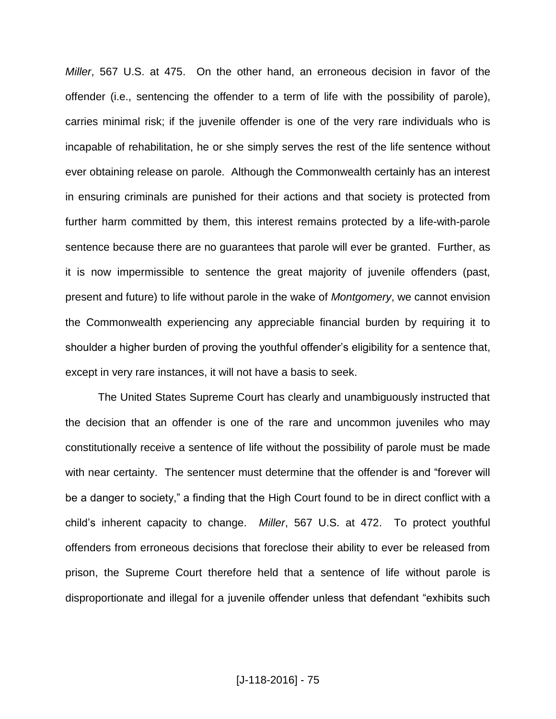*Miller*, 567 U.S. at 475. On the other hand, an erroneous decision in favor of the offender (i.e., sentencing the offender to a term of life with the possibility of parole), carries minimal risk; if the juvenile offender is one of the very rare individuals who is incapable of rehabilitation, he or she simply serves the rest of the life sentence without ever obtaining release on parole. Although the Commonwealth certainly has an interest in ensuring criminals are punished for their actions and that society is protected from further harm committed by them, this interest remains protected by a life-with-parole sentence because there are no guarantees that parole will ever be granted. Further, as it is now impermissible to sentence the great majority of juvenile offenders (past, present and future) to life without parole in the wake of *Montgomery*, we cannot envision the Commonwealth experiencing any appreciable financial burden by requiring it to shoulder a higher burden of proving the youthful offender's eligibility for a sentence that, except in very rare instances, it will not have a basis to seek.

The United States Supreme Court has clearly and unambiguously instructed that the decision that an offender is one of the rare and uncommon juveniles who may constitutionally receive a sentence of life without the possibility of parole must be made with near certainty. The sentencer must determine that the offender is and "forever will be a danger to society," a finding that the High Court found to be in direct conflict with a child's inherent capacity to change. *Miller*, 567 U.S. at 472. To protect youthful offenders from erroneous decisions that foreclose their ability to ever be released from prison, the Supreme Court therefore held that a sentence of life without parole is disproportionate and illegal for a juvenile offender unless that defendant "exhibits such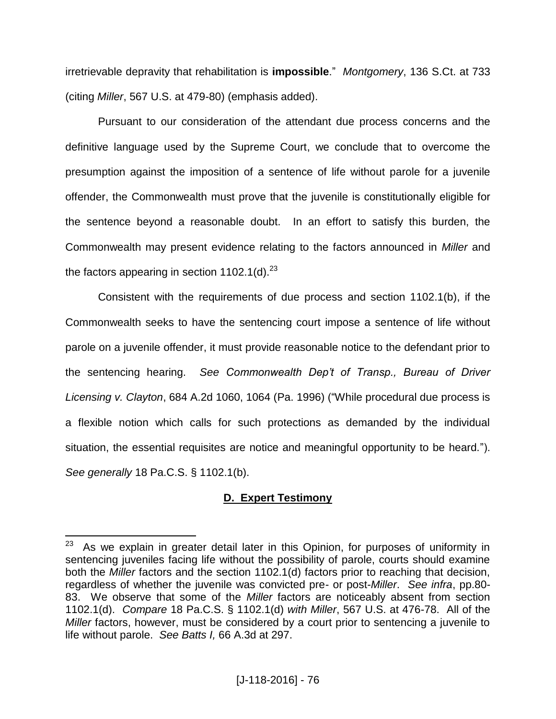irretrievable depravity that rehabilitation is **impossible**." *Montgomery*, 136 S.Ct. at 733 (citing *Miller*, 567 U.S. at 479-80) (emphasis added).

Pursuant to our consideration of the attendant due process concerns and the definitive language used by the Supreme Court, we conclude that to overcome the presumption against the imposition of a sentence of life without parole for a juvenile offender, the Commonwealth must prove that the juvenile is constitutionally eligible for the sentence beyond a reasonable doubt. In an effort to satisfy this burden, the Commonwealth may present evidence relating to the factors announced in *Miller* and the factors appearing in section 1102.1(d). $^{23}$ 

Consistent with the requirements of due process and section 1102.1(b), if the Commonwealth seeks to have the sentencing court impose a sentence of life without parole on a juvenile offender, it must provide reasonable notice to the defendant prior to the sentencing hearing. *See Commonwealth Dep't of Transp., Bureau of Driver Licensing v. Clayton*, 684 A.2d 1060, 1064 (Pa. 1996) ("While procedural due process is a flexible notion which calls for such protections as demanded by the individual situation, the essential requisites are notice and meaningful opportunity to be heard."). *See generally* 18 Pa.C.S. § 1102.1(b).

# **D. Expert Testimony**

 $\frac{1}{23}$  As we explain in greater detail later in this Opinion, for purposes of uniformity in sentencing juveniles facing life without the possibility of parole, courts should examine both the *Miller* factors and the section 1102.1(d) factors prior to reaching that decision, regardless of whether the juvenile was convicted pre- or post-*Miller*. *See infra*, pp.80- 83. We observe that some of the *Miller* factors are noticeably absent from section 1102.1(d). *Compare* 18 Pa.C.S. § 1102.1(d) *with Miller*, 567 U.S. at 476-78. All of the *Miller* factors, however, must be considered by a court prior to sentencing a juvenile to life without parole. *See Batts I,* 66 A.3d at 297.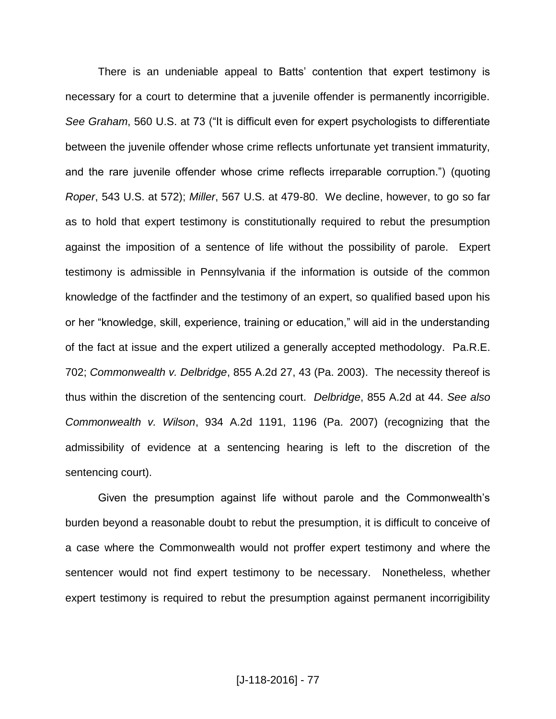There is an undeniable appeal to Batts' contention that expert testimony is necessary for a court to determine that a juvenile offender is permanently incorrigible. *See Graham*, 560 U.S. at 73 ("It is difficult even for expert psychologists to differentiate between the juvenile offender whose crime reflects unfortunate yet transient immaturity, and the rare juvenile offender whose crime reflects irreparable corruption.") (quoting *Roper*, 543 U.S. at 572); *Miller*, 567 U.S. at 479-80. We decline, however, to go so far as to hold that expert testimony is constitutionally required to rebut the presumption against the imposition of a sentence of life without the possibility of parole. Expert testimony is admissible in Pennsylvania if the information is outside of the common knowledge of the factfinder and the testimony of an expert, so qualified based upon his or her "knowledge, skill, experience, training or education," will aid in the understanding of the fact at issue and the expert utilized a generally accepted methodology. Pa.R.E. 702; *Commonwealth v. Delbridge*, 855 A.2d 27, 43 (Pa. 2003). The necessity thereof is thus within the discretion of the sentencing court. *Delbridge*, 855 A.2d at 44. *See also Commonwealth v. Wilson*, 934 A.2d 1191, 1196 (Pa. 2007) (recognizing that the admissibility of evidence at a sentencing hearing is left to the discretion of the sentencing court).

Given the presumption against life without parole and the Commonwealth's burden beyond a reasonable doubt to rebut the presumption, it is difficult to conceive of a case where the Commonwealth would not proffer expert testimony and where the sentencer would not find expert testimony to be necessary. Nonetheless, whether expert testimony is required to rebut the presumption against permanent incorrigibility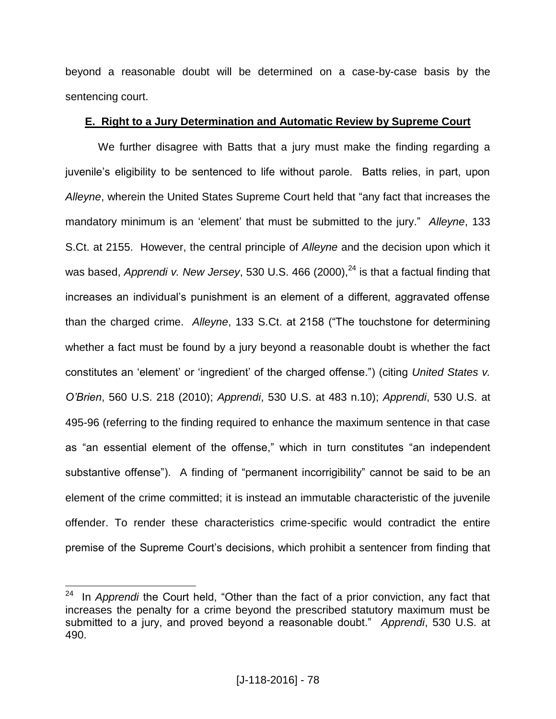beyond a reasonable doubt will be determined on a case-by-case basis by the sentencing court.

## **E. Right to a Jury Determination and Automatic Review by Supreme Court**

We further disagree with Batts that a jury must make the finding regarding a juvenile's eligibility to be sentenced to life without parole. Batts relies, in part, upon *Alleyne*, wherein the United States Supreme Court held that "any fact that increases the mandatory minimum is an 'element' that must be submitted to the jury." *Alleyne*, 133 S.Ct. at 2155. However, the central principle of *Alleyne* and the decision upon which it was based, *Apprendi v. New Jersey*, 530 U.S. 466 (2000),<sup>24</sup> is that a factual finding that increases an individual's punishment is an element of a different, aggravated offense than the charged crime. *Alleyne*, 133 S.Ct. at 2158 ("The touchstone for determining whether a fact must be found by a jury beyond a reasonable doubt is whether the fact constitutes an 'element' or 'ingredient' of the charged offense.") (citing *United States v. O'Brien*, 560 U.S. 218 (2010); *Apprendi*, 530 U.S. at 483 n.10); *Apprendi*, 530 U.S. at 495-96 (referring to the finding required to enhance the maximum sentence in that case as "an essential element of the offense," which in turn constitutes "an independent substantive offense"). A finding of "permanent incorrigibility" cannot be said to be an element of the crime committed; it is instead an immutable characteristic of the juvenile offender. To render these characteristics crime-specific would contradict the entire premise of the Supreme Court's decisions, which prohibit a sentencer from finding that

 $\frac{1}{24}$  In *Apprendi* the Court held, "Other than the fact of a prior conviction, any fact that increases the penalty for a crime beyond the prescribed statutory maximum must be submitted to a jury, and proved beyond a reasonable doubt." *Apprendi*, 530 U.S. at 490.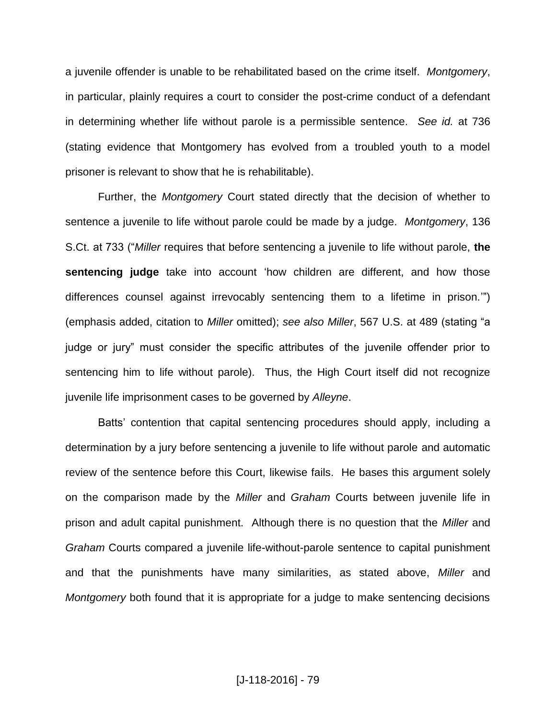a juvenile offender is unable to be rehabilitated based on the crime itself. *Montgomery*, in particular, plainly requires a court to consider the post-crime conduct of a defendant in determining whether life without parole is a permissible sentence. *See id.* at 736 (stating evidence that Montgomery has evolved from a troubled youth to a model prisoner is relevant to show that he is rehabilitable).

Further, the *Montgomery* Court stated directly that the decision of whether to sentence a juvenile to life without parole could be made by a judge. *Montgomery*, 136 S.Ct. at 733 ("*Miller* requires that before sentencing a juvenile to life without parole, **the sentencing judge** take into account 'how children are different, and how those differences counsel against irrevocably sentencing them to a lifetime in prison.'") (emphasis added, citation to *Miller* omitted); *see also Miller*, 567 U.S. at 489 (stating "a judge or jury" must consider the specific attributes of the juvenile offender prior to sentencing him to life without parole). Thus, the High Court itself did not recognize juvenile life imprisonment cases to be governed by *Alleyne*.

Batts' contention that capital sentencing procedures should apply, including a determination by a jury before sentencing a juvenile to life without parole and automatic review of the sentence before this Court, likewise fails. He bases this argument solely on the comparison made by the *Miller* and *Graham* Courts between juvenile life in prison and adult capital punishment. Although there is no question that the *Miller* and *Graham* Courts compared a juvenile life-without-parole sentence to capital punishment and that the punishments have many similarities, as stated above, *Miller* and *Montgomery* both found that it is appropriate for a judge to make sentencing decisions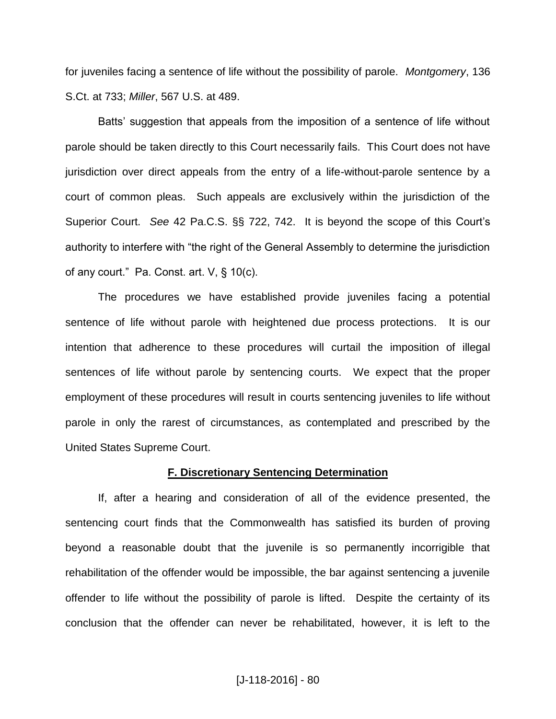for juveniles facing a sentence of life without the possibility of parole. *Montgomery*, 136 S.Ct. at 733; *Miller*, 567 U.S. at 489.

Batts' suggestion that appeals from the imposition of a sentence of life without parole should be taken directly to this Court necessarily fails. This Court does not have jurisdiction over direct appeals from the entry of a life-without-parole sentence by a court of common pleas. Such appeals are exclusively within the jurisdiction of the Superior Court. *See* 42 Pa.C.S. §§ 722, 742. It is beyond the scope of this Court's authority to interfere with "the right of the General Assembly to determine the jurisdiction of any court." Pa. Const. art. V, § 10(c).

The procedures we have established provide juveniles facing a potential sentence of life without parole with heightened due process protections. It is our intention that adherence to these procedures will curtail the imposition of illegal sentences of life without parole by sentencing courts. We expect that the proper employment of these procedures will result in courts sentencing juveniles to life without parole in only the rarest of circumstances, as contemplated and prescribed by the United States Supreme Court.

#### **F. Discretionary Sentencing Determination**

If, after a hearing and consideration of all of the evidence presented, the sentencing court finds that the Commonwealth has satisfied its burden of proving beyond a reasonable doubt that the juvenile is so permanently incorrigible that rehabilitation of the offender would be impossible, the bar against sentencing a juvenile offender to life without the possibility of parole is lifted. Despite the certainty of its conclusion that the offender can never be rehabilitated, however, it is left to the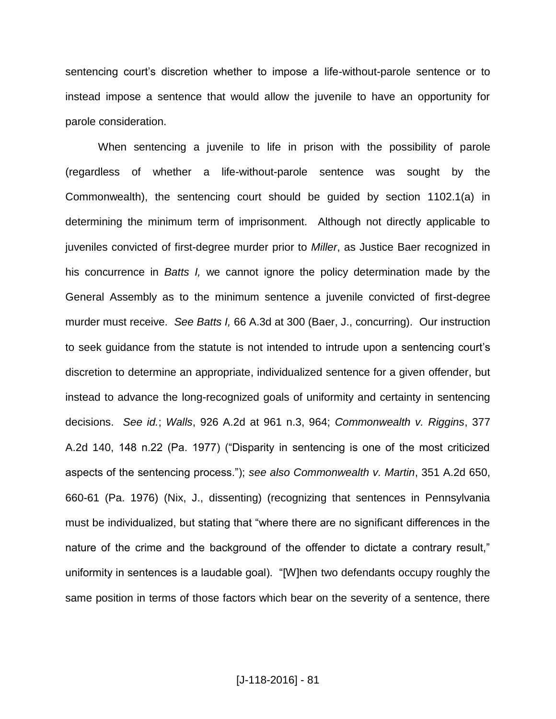sentencing court's discretion whether to impose a life-without-parole sentence or to instead impose a sentence that would allow the juvenile to have an opportunity for parole consideration.

When sentencing a juvenile to life in prison with the possibility of parole (regardless of whether a life-without-parole sentence was sought by the Commonwealth), the sentencing court should be guided by section 1102.1(a) in determining the minimum term of imprisonment. Although not directly applicable to juveniles convicted of first-degree murder prior to *Miller*, as Justice Baer recognized in his concurrence in *Batts I,* we cannot ignore the policy determination made by the General Assembly as to the minimum sentence a juvenile convicted of first-degree murder must receive. *See Batts I,* 66 A.3d at 300 (Baer, J., concurring). Our instruction to seek guidance from the statute is not intended to intrude upon a sentencing court's discretion to determine an appropriate, individualized sentence for a given offender, but instead to advance the long-recognized goals of uniformity and certainty in sentencing decisions. *See id.*; *Walls*, 926 A.2d at 961 n.3, 964; *Commonwealth v. Riggins*, 377 A.2d 140, 148 n.22 (Pa. 1977) ("Disparity in sentencing is one of the most criticized aspects of the sentencing process."); *see also Commonwealth v. Martin*, 351 A.2d 650, 660-61 (Pa. 1976) (Nix, J., dissenting) (recognizing that sentences in Pennsylvania must be individualized, but stating that "where there are no significant differences in the nature of the crime and the background of the offender to dictate a contrary result," uniformity in sentences is a laudable goal). "[W]hen two defendants occupy roughly the same position in terms of those factors which bear on the severity of a sentence, there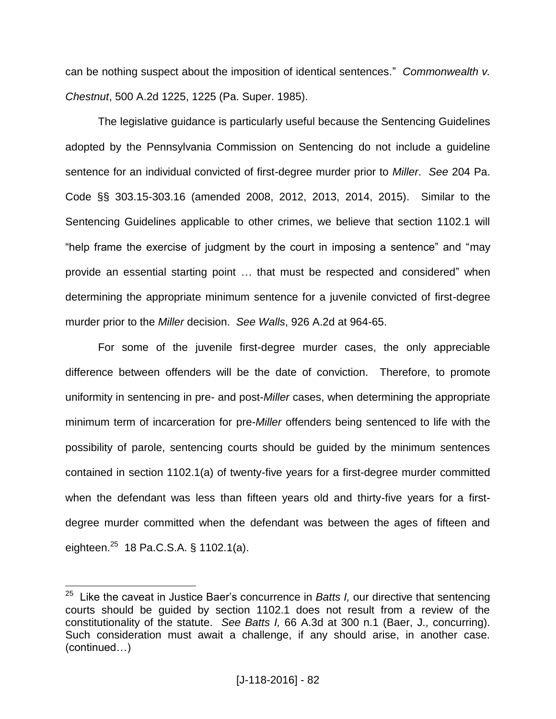can be nothing suspect about the imposition of identical sentences." *Commonwealth v. Chestnut*, 500 A.2d 1225, 1225 (Pa. Super. 1985).

The legislative guidance is particularly useful because the Sentencing Guidelines adopted by the Pennsylvania Commission on Sentencing do not include a guideline sentence for an individual convicted of first-degree murder prior to *Miller*. *See* 204 Pa. Code §§ 303.15-303.16 (amended 2008, 2012, 2013, 2014, 2015). Similar to the Sentencing Guidelines applicable to other crimes, we believe that section 1102.1 will "help frame the exercise of judgment by the court in imposing a sentence" and "may provide an essential starting point … that must be respected and considered" when determining the appropriate minimum sentence for a juvenile convicted of first-degree murder prior to the *Miller* decision. *See Walls*, 926 A.2d at 964-65.

For some of the juvenile first-degree murder cases, the only appreciable difference between offenders will be the date of conviction. Therefore, to promote uniformity in sentencing in pre- and post-*Miller* cases, when determining the appropriate minimum term of incarceration for pre-*Miller* offenders being sentenced to life with the possibility of parole, sentencing courts should be guided by the minimum sentences contained in section 1102.1(a) of twenty-five years for a first-degree murder committed when the defendant was less than fifteen years old and thirty-five years for a firstdegree murder committed when the defendant was between the ages of fifteen and eighteen.<sup>25</sup> 18 Pa.C.S.A. § 1102.1(a).

 25 Like the caveat in Justice Baer's concurrence in *Batts I,* our directive that sentencing courts should be guided by section 1102.1 does not result from a review of the constitutionality of the statute. *See Batts I,* 66 A.3d at 300 n.1 (Baer, J., concurring). Such consideration must await a challenge, if any should arise, in another case. (continued…)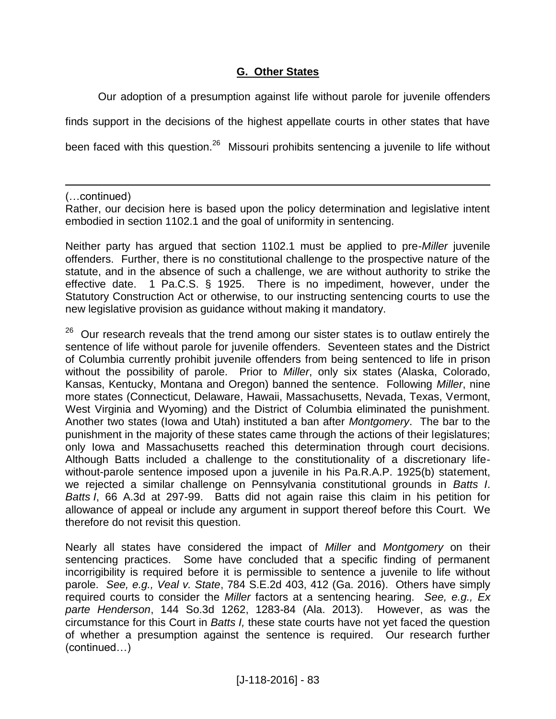## **G. Other States**

Our adoption of a presumption against life without parole for juvenile offenders finds support in the decisions of the highest appellate courts in other states that have been faced with this question.<sup>26</sup> Missouri prohibits sentencing a juvenile to life without

(…continued)

 $\overline{a}$ 

Rather, our decision here is based upon the policy determination and legislative intent embodied in section 1102.1 and the goal of uniformity in sentencing.

Neither party has argued that section 1102.1 must be applied to pre-*Miller* juvenile offenders. Further, there is no constitutional challenge to the prospective nature of the statute, and in the absence of such a challenge, we are without authority to strike the effective date. 1 Pa.C.S. § 1925. There is no impediment, however, under the Statutory Construction Act or otherwise, to our instructing sentencing courts to use the new legislative provision as guidance without making it mandatory.

 $26$  Our research reveals that the trend among our sister states is to outlaw entirely the sentence of life without parole for juvenile offenders. Seventeen states and the District of Columbia currently prohibit juvenile offenders from being sentenced to life in prison without the possibility of parole. Prior to *Miller*, only six states (Alaska, Colorado, Kansas, Kentucky, Montana and Oregon) banned the sentence. Following *Miller*, nine more states (Connecticut, Delaware, Hawaii, Massachusetts, Nevada, Texas, Vermont, West Virginia and Wyoming) and the District of Columbia eliminated the punishment. Another two states (Iowa and Utah) instituted a ban after *Montgomery*. The bar to the punishment in the majority of these states came through the actions of their legislatures; only Iowa and Massachusetts reached this determination through court decisions. Although Batts included a challenge to the constitutionality of a discretionary lifewithout-parole sentence imposed upon a juvenile in his Pa.R.A.P. 1925(b) statement, we rejected a similar challenge on Pennsylvania constitutional grounds in *Batts I*. *Batts I*, 66 A.3d at 297-99. Batts did not again raise this claim in his petition for allowance of appeal or include any argument in support thereof before this Court. We therefore do not revisit this question.

Nearly all states have considered the impact of *Miller* and *Montgomery* on their sentencing practices. Some have concluded that a specific finding of permanent incorrigibility is required before it is permissible to sentence a juvenile to life without parole. *See, e.g., Veal v. State*, 784 S.E.2d 403, 412 (Ga. 2016). Others have simply required courts to consider the *Miller* factors at a sentencing hearing. *See, e.g., Ex parte Henderson*, 144 So.3d 1262, 1283-84 (Ala. 2013). However, as was the circumstance for this Court in *Batts I,* these state courts have not yet faced the question of whether a presumption against the sentence is required. Our research further (continued…)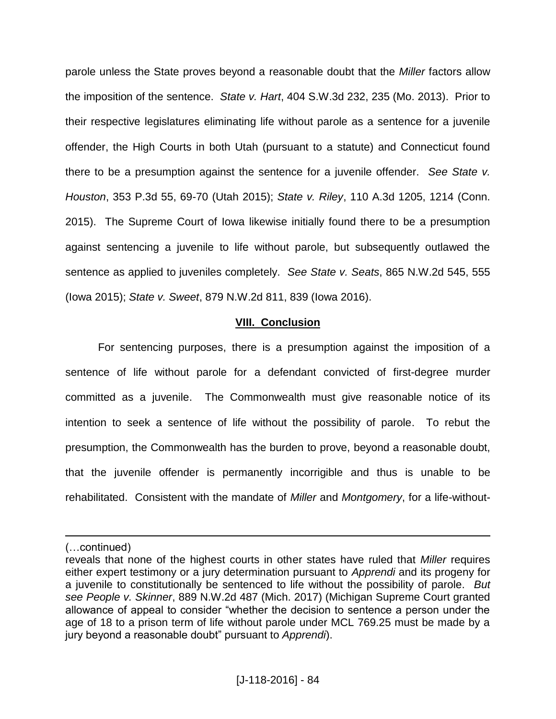parole unless the State proves beyond a reasonable doubt that the *Miller* factors allow the imposition of the sentence. *State v. Hart*, 404 S.W.3d 232, 235 (Mo. 2013). Prior to their respective legislatures eliminating life without parole as a sentence for a juvenile offender, the High Courts in both Utah (pursuant to a statute) and Connecticut found there to be a presumption against the sentence for a juvenile offender. *See State v. Houston*, 353 P.3d 55, 69-70 (Utah 2015); *State v. Riley*, 110 A.3d 1205, 1214 (Conn. 2015). The Supreme Court of Iowa likewise initially found there to be a presumption against sentencing a juvenile to life without parole, but subsequently outlawed the sentence as applied to juveniles completely. *See State v. Seats*, 865 N.W.2d 545, 555 (Iowa 2015); *State v. Sweet*, 879 N.W.2d 811, 839 (Iowa 2016).

### **VIII. Conclusion**

For sentencing purposes, there is a presumption against the imposition of a sentence of life without parole for a defendant convicted of first-degree murder committed as a juvenile. The Commonwealth must give reasonable notice of its intention to seek a sentence of life without the possibility of parole. To rebut the presumption, the Commonwealth has the burden to prove, beyond a reasonable doubt, that the juvenile offender is permanently incorrigible and thus is unable to be rehabilitated. Consistent with the mandate of *Miller* and *Montgomery*, for a life-without-

 $\overline{a}$ 

<sup>(…</sup>continued)

reveals that none of the highest courts in other states have ruled that *Miller* requires either expert testimony or a jury determination pursuant to *Apprendi* and its progeny for a juvenile to constitutionally be sentenced to life without the possibility of parole. *But see People v. Skinner*, 889 N.W.2d 487 (Mich. 2017) (Michigan Supreme Court granted allowance of appeal to consider "whether the decision to sentence a person under the age of 18 to a prison term of life without parole under MCL 769.25 must be made by a jury beyond a reasonable doubt" pursuant to *Apprendi*).